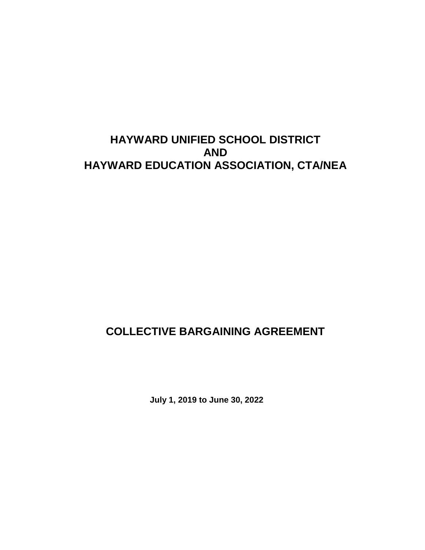# **HAYWARD UNIFIED SCHOOL DISTRICT AND HAYWARD EDUCATION ASSOCIATION, CTA/NEA**

# **COLLECTIVE BARGAINING AGREEMENT**

**July 1, 2019 to June 30, 2022**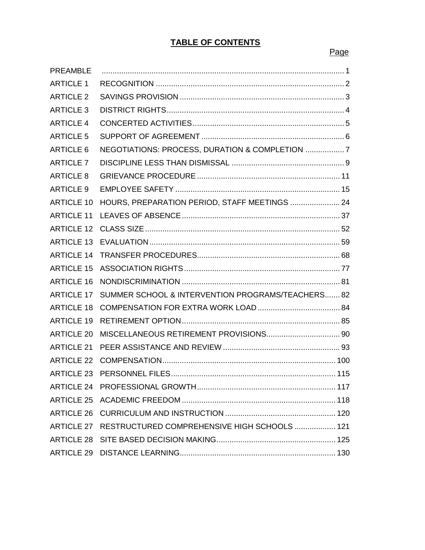## **TABLE OF CONTENTS**

#### **Page Page Page Page Page**

| <b>PREAMBLE</b>   |                                                         |  |
|-------------------|---------------------------------------------------------|--|
| <b>ARTICLE 1</b>  |                                                         |  |
| <b>ARTICLE 2</b>  |                                                         |  |
| <b>ARTICLE 3</b>  |                                                         |  |
| <b>ARTICLE 4</b>  |                                                         |  |
| <b>ARTICLE 5</b>  |                                                         |  |
| <b>ARTICLE 6</b>  | NEGOTIATIONS: PROCESS, DURATION & COMPLETION  7         |  |
| <b>ARTICLE 7</b>  |                                                         |  |
| <b>ARTICLE 8</b>  |                                                         |  |
| <b>ARTICLE 9</b>  |                                                         |  |
| <b>ARTICLE 10</b> | HOURS, PREPARATION PERIOD, STAFF MEETINGS  24           |  |
| <b>ARTICLE 11</b> |                                                         |  |
| <b>ARTICLE 12</b> |                                                         |  |
| <b>ARTICLE 13</b> |                                                         |  |
| <b>ARTICLE 14</b> |                                                         |  |
| <b>ARTICLE 15</b> |                                                         |  |
| <b>ARTICLE 16</b> |                                                         |  |
| <b>ARTICLE 17</b> | SUMMER SCHOOL & INTERVENTION PROGRAMS/TEACHERS 82       |  |
| <b>ARTICLE 18</b> |                                                         |  |
| <b>ARTICLE 19</b> |                                                         |  |
| <b>ARTICLE 20</b> |                                                         |  |
| <b>ARTICLE 21</b> |                                                         |  |
| <b>ARTICLE 22</b> |                                                         |  |
|                   |                                                         |  |
|                   |                                                         |  |
|                   |                                                         |  |
|                   |                                                         |  |
|                   | ARTICLE 27 RESTRUCTURED COMPREHENSIVE HIGH SCHOOLS  121 |  |
|                   |                                                         |  |
|                   |                                                         |  |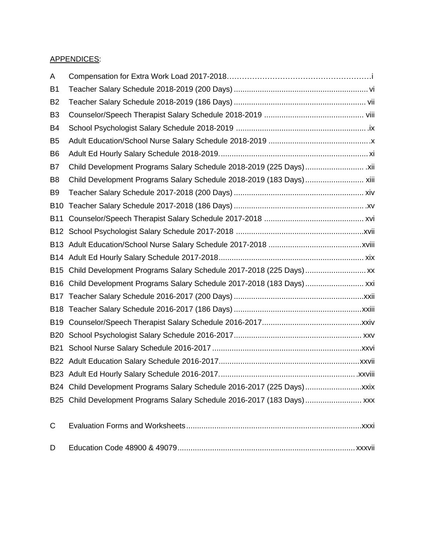### APPENDICES:

| A               |                                                                         |
|-----------------|-------------------------------------------------------------------------|
| B <sub>1</sub>  |                                                                         |
| B <sub>2</sub>  |                                                                         |
| B <sub>3</sub>  |                                                                         |
| B4              |                                                                         |
| B <sub>5</sub>  |                                                                         |
| B <sub>6</sub>  |                                                                         |
| B7              | Child Development Programs Salary Schedule 2018-2019 (225 Days)  xii    |
| B8              | Child Development Programs Salary Schedule 2018-2019 (183 Days)  xiii   |
| B <sub>9</sub>  |                                                                         |
| <b>B10</b>      |                                                                         |
| <b>B11</b>      |                                                                         |
| <b>B12</b>      |                                                                         |
| B13             |                                                                         |
|                 |                                                                         |
| <b>B15</b>      | Child Development Programs Salary Schedule 2017-2018 (225 Days)  xx     |
| <b>B16</b>      |                                                                         |
| <b>B17</b>      |                                                                         |
| B <sub>18</sub> |                                                                         |
| B <sub>19</sub> |                                                                         |
| <b>B20</b>      |                                                                         |
| <b>B21</b>      |                                                                         |
|                 |                                                                         |
|                 |                                                                         |
|                 | B24 Child Development Programs Salary Schedule 2016-2017 (225 Days)xxix |
|                 | B25 Child Development Programs Salary Schedule 2016-2017 (183 Days) xxx |
| С               |                                                                         |
| D               |                                                                         |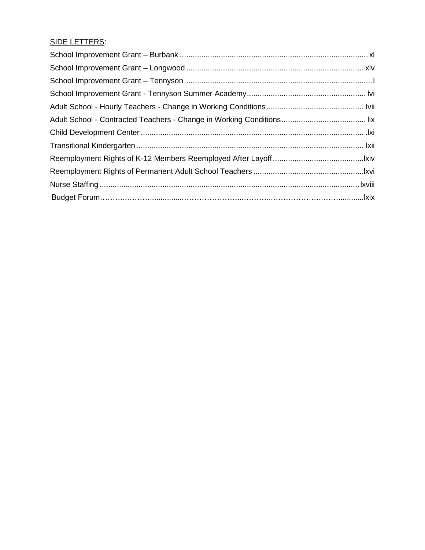## SIDE LETTERS: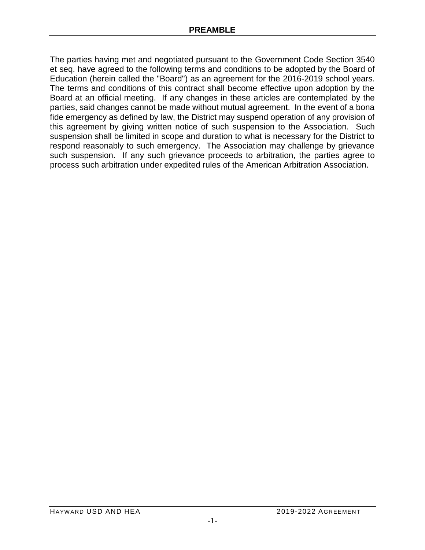The parties having met and negotiated pursuant to the Government Code Section 3540 et seq. have agreed to the following terms and conditions to be adopted by the Board of Education (herein called the "Board") as an agreement for the 2016-2019 school years. The terms and conditions of this contract shall become effective upon adoption by the Board at an official meeting. If any changes in these articles are contemplated by the parties, said changes cannot be made without mutual agreement. In the event of a bona fide emergency as defined by law, the District may suspend operation of any provision of this agreement by giving written notice of such suspension to the Association. Such suspension shall be limited in scope and duration to what is necessary for the District to respond reasonably to such emergency. The Association may challenge by grievance such suspension. If any such grievance proceeds to arbitration, the parties agree to process such arbitration under expedited rules of the American Arbitration Association.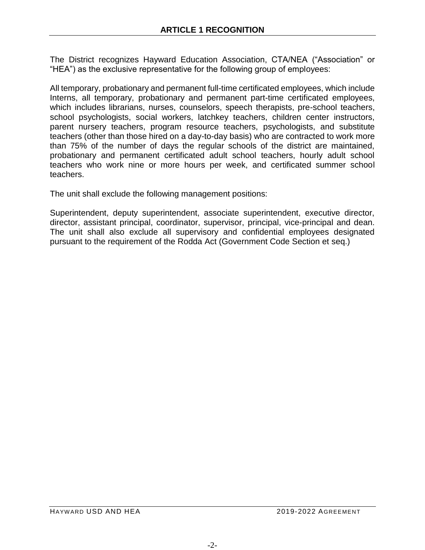The District recognizes Hayward Education Association, CTA/NEA ("Association" or "HEA") as the exclusive representative for the following group of employees:

All temporary, probationary and permanent full-time certificated employees, which include Interns, all temporary, probationary and permanent part-time certificated employees, which includes librarians, nurses, counselors, speech therapists, pre-school teachers, school psychologists, social workers, latchkey teachers, children center instructors, parent nursery teachers, program resource teachers, psychologists, and substitute teachers (other than those hired on a day-to-day basis) who are contracted to work more than 75% of the number of days the regular schools of the district are maintained, probationary and permanent certificated adult school teachers, hourly adult school teachers who work nine or more hours per week, and certificated summer school teachers.

The unit shall exclude the following management positions:

Superintendent, deputy superintendent, associate superintendent, executive director, director, assistant principal, coordinator, supervisor, principal, vice-principal and dean. The unit shall also exclude all supervisory and confidential employees designated pursuant to the requirement of the Rodda Act (Government Code Section et seq.)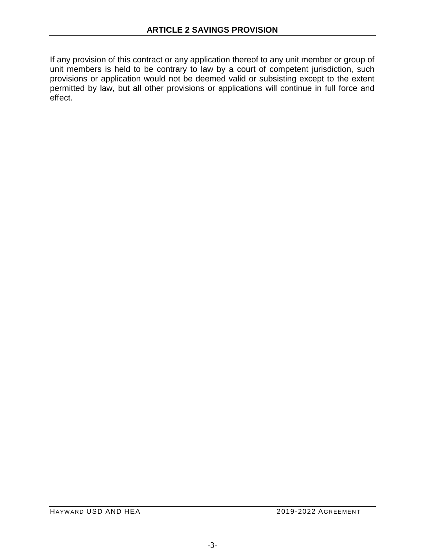If any provision of this contract or any application thereof to any unit member or group of unit members is held to be contrary to law by a court of competent jurisdiction, such provisions or application would not be deemed valid or subsisting except to the extent permitted by law, but all other provisions or applications will continue in full force and effect.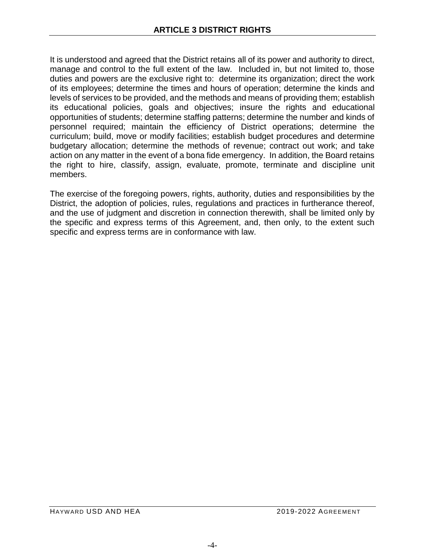It is understood and agreed that the District retains all of its power and authority to direct, manage and control to the full extent of the law. Included in, but not limited to, those duties and powers are the exclusive right to: determine its organization; direct the work of its employees; determine the times and hours of operation; determine the kinds and levels of services to be provided, and the methods and means of providing them; establish its educational policies, goals and objectives; insure the rights and educational opportunities of students; determine staffing patterns; determine the number and kinds of personnel required; maintain the efficiency of District operations; determine the curriculum; build, move or modify facilities; establish budget procedures and determine budgetary allocation; determine the methods of revenue; contract out work; and take action on any matter in the event of a bona fide emergency. In addition, the Board retains the right to hire, classify, assign, evaluate, promote, terminate and discipline unit members.

The exercise of the foregoing powers, rights, authority, duties and responsibilities by the District, the adoption of policies, rules, regulations and practices in furtherance thereof, and the use of judgment and discretion in connection therewith, shall be limited only by the specific and express terms of this Agreement, and, then only, to the extent such specific and express terms are in conformance with law.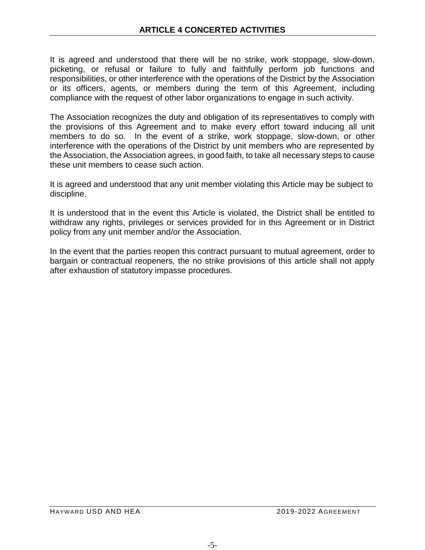It is agreed and understood that there will be no strike, work stoppage, slow-down, picketing, or refusal or failure to fully and faithfully perform job functions and responsibilities, or other interference with the operations of the District by the Association or its officers, agents, or members during the term of this Agreement, including compliance with the request of other labor organizations to engage in such activity.

The Association recognizes the duty and obligation of its representatives to comply with the provisions of this Agreement and to make every effort toward inducing all unit members to do so. In the event of a strike, work stoppage, slow-down, or other interference with the operations of the District by unit members who are represented by the Association, the Association agrees, in good faith, to take all necessary steps to cause these unit members to cease such action.

It is agreed and understood that any unit member violating this Article may be subject to discipline.

It is understood that in the event this Article is violated, the District shall be entitled to withdraw any rights, privileges or services provided for in this Agreement or in District policy from any unit member and/or the Association.

In the event that the parties reopen this contract pursuant to mutual agreement, order to bargain or contractual reopeners, the no strike provisions of this article shall not apply after exhaustion of statutory impasse procedures.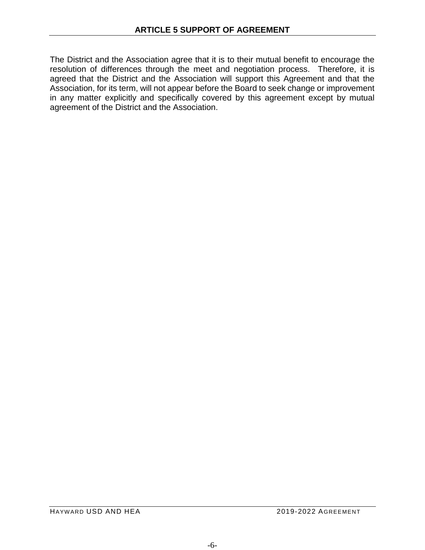The District and the Association agree that it is to their mutual benefit to encourage the resolution of differences through the meet and negotiation process. Therefore, it is agreed that the District and the Association will support this Agreement and that the Association, for its term, will not appear before the Board to seek change or improvement in any matter explicitly and specifically covered by this agreement except by mutual agreement of the District and the Association.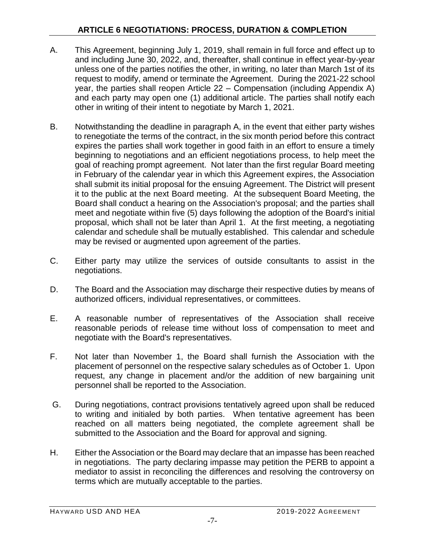- A. This Agreement, beginning July 1, 2019, shall remain in full force and effect up to and including June 30, 2022, and, thereafter, shall continue in effect year-by-year unless one of the parties notifies the other, in writing, no later than March 1st of its request to modify, amend or terminate the Agreement. During the 2021-22 school year, the parties shall reopen Article 22 – Compensation (including Appendix A) and each party may open one (1) additional article. The parties shall notify each other in writing of their intent to negotiate by March 1, 2021.
- B. Notwithstanding the deadline in paragraph A, in the event that either party wishes to renegotiate the terms of the contract, in the six month period before this contract expires the parties shall work together in good faith in an effort to ensure a timely beginning to negotiations and an efficient negotiations process, to help meet the goal of reaching prompt agreement. Not later than the first regular Board meeting in February of the calendar year in which this Agreement expires, the Association shall submit its initial proposal for the ensuing Agreement. The District will present it to the public at the next Board meeting. At the subsequent Board Meeting, the Board shall conduct a hearing on the Association's proposal; and the parties shall meet and negotiate within five (5) days following the adoption of the Board's initial proposal, which shall not be later than April 1. At the first meeting, a negotiating calendar and schedule shall be mutually established. This calendar and schedule may be revised or augmented upon agreement of the parties.
- C. Either party may utilize the services of outside consultants to assist in the negotiations.
- D. The Board and the Association may discharge their respective duties by means of authorized officers, individual representatives, or committees.
- E. A reasonable number of representatives of the Association shall receive reasonable periods of release time without loss of compensation to meet and negotiate with the Board's representatives.
- F. Not later than November 1, the Board shall furnish the Association with the placement of personnel on the respective salary schedules as of October 1. Upon request, any change in placement and/or the addition of new bargaining unit personnel shall be reported to the Association.
- G. During negotiations, contract provisions tentatively agreed upon shall be reduced to writing and initialed by both parties. When tentative agreement has been reached on all matters being negotiated, the complete agreement shall be submitted to the Association and the Board for approval and signing.
- H. Either the Association or the Board may declare that an impasse has been reached in negotiations. The party declaring impasse may petition the PERB to appoint a mediator to assist in reconciling the differences and resolving the controversy on terms which are mutually acceptable to the parties.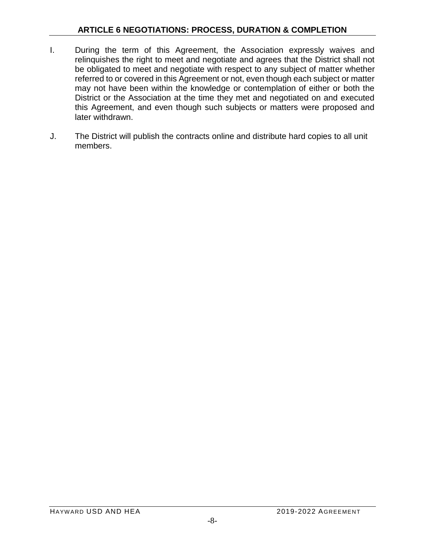- I. During the term of this Agreement, the Association expressly waives and relinquishes the right to meet and negotiate and agrees that the District shall not be obligated to meet and negotiate with respect to any subject of matter whether referred to or covered in this Agreement or not, even though each subject or matter may not have been within the knowledge or contemplation of either or both the District or the Association at the time they met and negotiated on and executed this Agreement, and even though such subjects or matters were proposed and later withdrawn.
- J. The District will publish the contracts online and distribute hard copies to all unit members.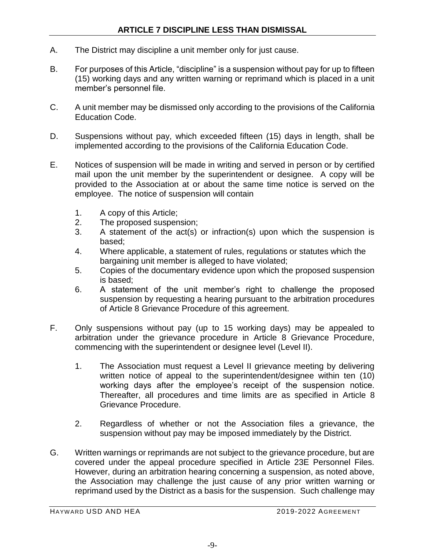- A. The District may discipline a unit member only for just cause.
- B. For purposes of this Article, "discipline" is a suspension without pay for up to fifteen (15) working days and any written warning or reprimand which is placed in a unit member's personnel file.
- C. A unit member may be dismissed only according to the provisions of the California Education Code.
- D. Suspensions without pay, which exceeded fifteen (15) days in length, shall be implemented according to the provisions of the California Education Code.
- E. Notices of suspension will be made in writing and served in person or by certified mail upon the unit member by the superintendent or designee. A copy will be provided to the Association at or about the same time notice is served on the employee. The notice of suspension will contain
	- 1. A copy of this Article;
	- 2. The proposed suspension;
	- 3. A statement of the act(s) or infraction(s) upon which the suspension is based;
	- 4. Where applicable, a statement of rules, regulations or statutes which the bargaining unit member is alleged to have violated;
	- 5. Copies of the documentary evidence upon which the proposed suspension is based;
	- 6. A statement of the unit member's right to challenge the proposed suspension by requesting a hearing pursuant to the arbitration procedures of Article 8 Grievance Procedure of this agreement.
- F. Only suspensions without pay (up to 15 working days) may be appealed to arbitration under the grievance procedure in Article 8 Grievance Procedure, commencing with the superintendent or designee level (Level II).
	- 1. The Association must request a Level II grievance meeting by delivering written notice of appeal to the superintendent/designee within ten (10) working days after the employee's receipt of the suspension notice. Thereafter, all procedures and time limits are as specified in Article 8 Grievance Procedure.
	- 2. Regardless of whether or not the Association files a grievance, the suspension without pay may be imposed immediately by the District.
- G. Written warnings or reprimands are not subject to the grievance procedure, but are covered under the appeal procedure specified in Article 23E Personnel Files. However, during an arbitration hearing concerning a suspension, as noted above, the Association may challenge the just cause of any prior written warning or reprimand used by the District as a basis for the suspension. Such challenge may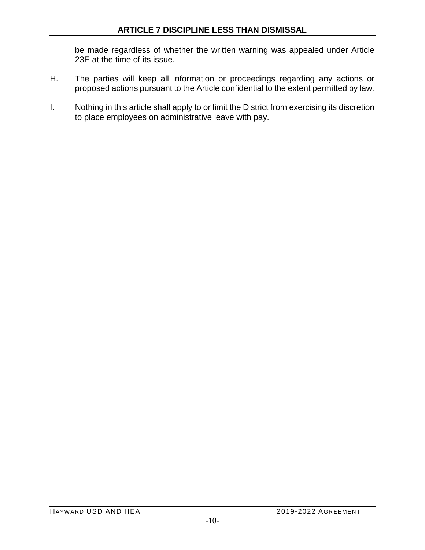be made regardless of whether the written warning was appealed under Article 23E at the time of its issue.

- H. The parties will keep all information or proceedings regarding any actions or proposed actions pursuant to the Article confidential to the extent permitted by law.
- I. Nothing in this article shall apply to or limit the District from exercising its discretion to place employees on administrative leave with pay.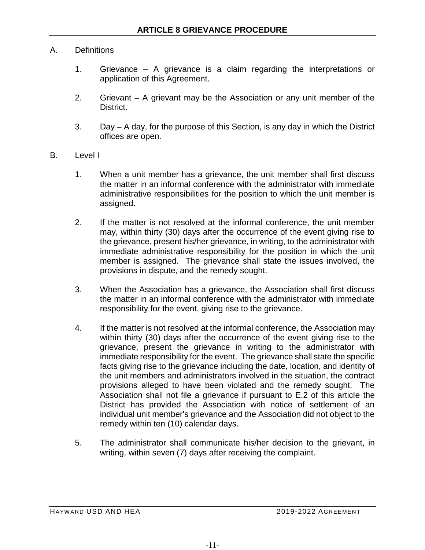## A. Definitions

- 1. Grievance A grievance is a claim regarding the interpretations or application of this Agreement.
- 2. Grievant A grievant may be the Association or any unit member of the District.
- 3. Day A day, for the purpose of this Section, is any day in which the District offices are open.
- B. Level I
	- 1. When a unit member has a grievance, the unit member shall first discuss the matter in an informal conference with the administrator with immediate administrative responsibilities for the position to which the unit member is assigned.
	- 2. If the matter is not resolved at the informal conference, the unit member may, within thirty (30) days after the occurrence of the event giving rise to the grievance, present his/her grievance, in writing, to the administrator with immediate administrative responsibility for the position in which the unit member is assigned. The grievance shall state the issues involved, the provisions in dispute, and the remedy sought.
	- 3. When the Association has a grievance, the Association shall first discuss the matter in an informal conference with the administrator with immediate responsibility for the event, giving rise to the grievance.
	- 4. If the matter is not resolved at the informal conference, the Association may within thirty (30) days after the occurrence of the event giving rise to the grievance, present the grievance in writing to the administrator with immediate responsibility for the event. The grievance shall state the specific facts giving rise to the grievance including the date, location, and identity of the unit members and administrators involved in the situation, the contract provisions alleged to have been violated and the remedy sought. The Association shall not file a grievance if pursuant to E.2 of this article the District has provided the Association with notice of settlement of an individual unit member's grievance and the Association did not object to the remedy within ten (10) calendar days.
	- 5. The administrator shall communicate his/her decision to the grievant, in writing, within seven (7) days after receiving the complaint.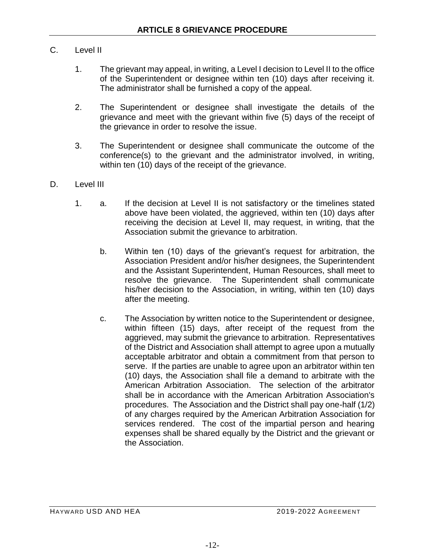## C. Level II

- 1. The grievant may appeal, in writing, a Level I decision to Level II to the office of the Superintendent or designee within ten (10) days after receiving it. The administrator shall be furnished a copy of the appeal.
- 2. The Superintendent or designee shall investigate the details of the grievance and meet with the grievant within five (5) days of the receipt of the grievance in order to resolve the issue.
- 3. The Superintendent or designee shall communicate the outcome of the conference(s) to the grievant and the administrator involved, in writing, within ten (10) days of the receipt of the grievance.
- D. Level III
	- 1. a. If the decision at Level II is not satisfactory or the timelines stated above have been violated, the aggrieved, within ten (10) days after receiving the decision at Level II, may request, in writing, that the Association submit the grievance to arbitration.
		- b. Within ten (10) days of the grievant's request for arbitration, the Association President and/or his/her designees, the Superintendent and the Assistant Superintendent, Human Resources, shall meet to resolve the grievance. The Superintendent shall communicate his/her decision to the Association, in writing, within ten (10) days after the meeting.
		- c. The Association by written notice to the Superintendent or designee, within fifteen (15) days, after receipt of the request from the aggrieved, may submit the grievance to arbitration. Representatives of the District and Association shall attempt to agree upon a mutually acceptable arbitrator and obtain a commitment from that person to serve. If the parties are unable to agree upon an arbitrator within ten (10) days, the Association shall file a demand to arbitrate with the American Arbitration Association. The selection of the arbitrator shall be in accordance with the American Arbitration Association's procedures. The Association and the District shall pay one-half (1/2) of any charges required by the American Arbitration Association for services rendered. The cost of the impartial person and hearing expenses shall be shared equally by the District and the grievant or the Association.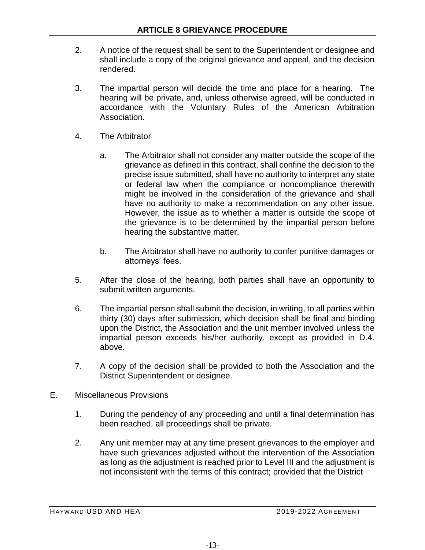- 2. A notice of the request shall be sent to the Superintendent or designee and shall include a copy of the original grievance and appeal, and the decision rendered.
- 3. The impartial person will decide the time and place for a hearing. The hearing will be private, and, unless otherwise agreed, will be conducted in accordance with the Voluntary Rules of the American Arbitration Association.
- 4. The Arbitrator
	- a. The Arbitrator shall not consider any matter outside the scope of the grievance as defined in this contract, shall confine the decision to the precise issue submitted, shall have no authority to interpret any state or federal law when the compliance or noncompliance therewith might be involved in the consideration of the grievance and shall have no authority to make a recommendation on any other issue. However, the issue as to whether a matter is outside the scope of the grievance is to be determined by the impartial person before hearing the substantive matter.
	- b. The Arbitrator shall have no authority to confer punitive damages or attorneys' fees.
- 5. After the close of the hearing, both parties shall have an opportunity to submit written arguments.
- 6. The impartial person shall submit the decision, in writing, to all parties within thirty (30) days after submission, which decision shall be final and binding upon the District, the Association and the unit member involved unless the impartial person exceeds his/her authority, except as provided in D.4. above.
- 7. A copy of the decision shall be provided to both the Association and the District Superintendent or designee.
- E. Miscellaneous Provisions
	- 1. During the pendency of any proceeding and until a final determination has been reached, all proceedings shall be private.
	- 2. Any unit member may at any time present grievances to the employer and have such grievances adjusted without the intervention of the Association as long as the adjustment is reached prior to Level III and the adjustment is not inconsistent with the terms of this contract; provided that the District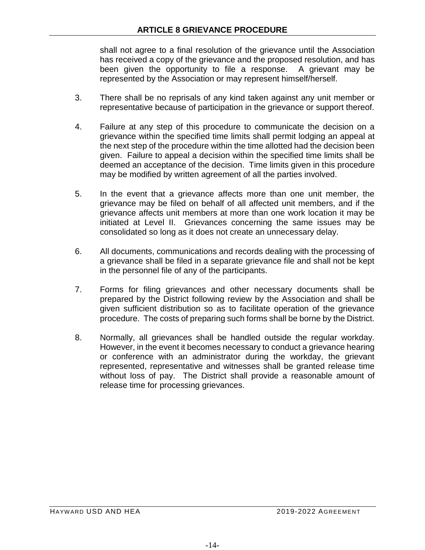### **ARTICLE 8 GRIEVANCE PROCEDURE**

shall not agree to a final resolution of the grievance until the Association has received a copy of the grievance and the proposed resolution, and has been given the opportunity to file a response. A grievant may be represented by the Association or may represent himself/herself.

- 3. There shall be no reprisals of any kind taken against any unit member or representative because of participation in the grievance or support thereof.
- 4. Failure at any step of this procedure to communicate the decision on a grievance within the specified time limits shall permit lodging an appeal at the next step of the procedure within the time allotted had the decision been given. Failure to appeal a decision within the specified time limits shall be deemed an acceptance of the decision. Time limits given in this procedure may be modified by written agreement of all the parties involved.
- 5. In the event that a grievance affects more than one unit member, the grievance may be filed on behalf of all affected unit members, and if the grievance affects unit members at more than one work location it may be initiated at Level II. Grievances concerning the same issues may be consolidated so long as it does not create an unnecessary delay.
- 6. All documents, communications and records dealing with the processing of a grievance shall be filed in a separate grievance file and shall not be kept in the personnel file of any of the participants.
- 7. Forms for filing grievances and other necessary documents shall be prepared by the District following review by the Association and shall be given sufficient distribution so as to facilitate operation of the grievance procedure. The costs of preparing such forms shall be borne by the District.
- 8. Normally, all grievances shall be handled outside the regular workday. However, in the event it becomes necessary to conduct a grievance hearing or conference with an administrator during the workday, the grievant represented, representative and witnesses shall be granted release time without loss of pay. The District shall provide a reasonable amount of release time for processing grievances.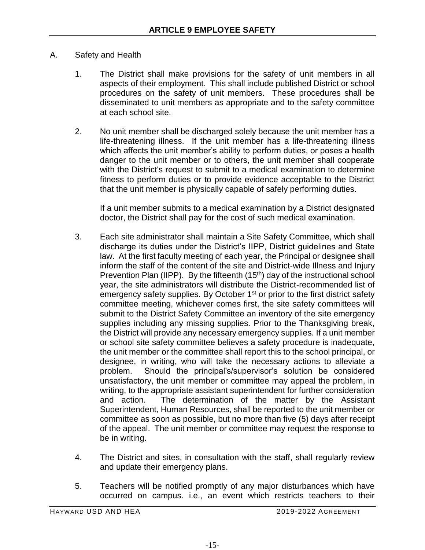- A. Safety and Health
	- 1. The District shall make provisions for the safety of unit members in all aspects of their employment. This shall include published District or school procedures on the safety of unit members. These procedures shall be disseminated to unit members as appropriate and to the safety committee at each school site.
	- 2. No unit member shall be discharged solely because the unit member has a life-threatening illness. If the unit member has a life-threatening illness which affects the unit member's ability to perform duties, or poses a health danger to the unit member or to others, the unit member shall cooperate with the District's request to submit to a medical examination to determine fitness to perform duties or to provide evidence acceptable to the District that the unit member is physically capable of safely performing duties.

If a unit member submits to a medical examination by a District designated doctor, the District shall pay for the cost of such medical examination.

- 3. Each site administrator shall maintain a Site Safety Committee, which shall discharge its duties under the District's IIPP, District guidelines and State law. At the first faculty meeting of each year, the Principal or designee shall inform the staff of the content of the site and District-wide Illness and Injury Prevention Plan (IIPP). By the fifteenth (15<sup>th</sup>) day of the instructional school year, the site administrators will distribute the District-recommended list of emergency safety supplies. By October 1<sup>st</sup> or prior to the first district safety committee meeting, whichever comes first, the site safety committees will submit to the District Safety Committee an inventory of the site emergency supplies including any missing supplies. Prior to the Thanksgiving break, the District will provide any necessary emergency supplies. If a unit member or school site safety committee believes a safety procedure is inadequate, the unit member or the committee shall report this to the school principal, or designee, in writing, who will take the necessary actions to alleviate a problem. Should the principal's/supervisor's solution be considered unsatisfactory, the unit member or committee may appeal the problem, in writing, to the appropriate assistant superintendent for further consideration and action. The determination of the matter by the Assistant Superintendent, Human Resources, shall be reported to the unit member or committee as soon as possible, but no more than five (5) days after receipt of the appeal. The unit member or committee may request the response to be in writing.
- 4. The District and sites, in consultation with the staff, shall regularly review and update their emergency plans.
- 5. Teachers will be notified promptly of any major disturbances which have occurred on campus. i.e., an event which restricts teachers to their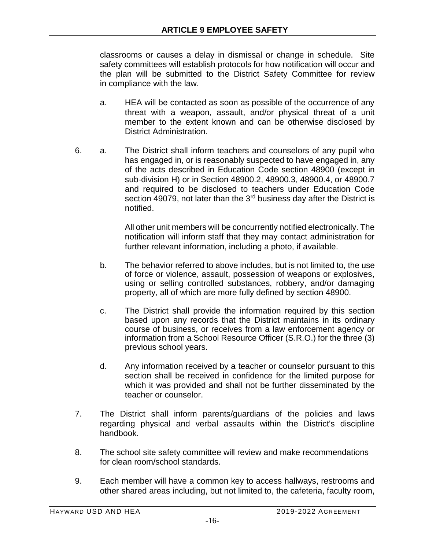classrooms or causes a delay in dismissal or change in schedule. Site safety committees will establish protocols for how notification will occur and the plan will be submitted to the District Safety Committee for review in compliance with the law.

- a. HEA will be contacted as soon as possible of the occurrence of any threat with a weapon, assault, and/or physical threat of a unit member to the extent known and can be otherwise disclosed by District Administration.
- 6. a. The District shall inform teachers and counselors of any pupil who has engaged in, or is reasonably suspected to have engaged in, any of the acts described in Education Code section 48900 (except in sub-division H) or in Section 48900.2, 48900.3, 48900.4, or 48900.7 and required to be disclosed to teachers under Education Code section 49079, not later than the  $3<sup>rd</sup>$  business day after the District is notified.

All other unit members will be concurrently notified electronically. The notification will inform staff that they may contact administration for further relevant information, including a photo, if available.

- b. The behavior referred to above includes, but is not limited to, the use of force or violence, assault, possession of weapons or explosives, using or selling controlled substances, robbery, and/or damaging property, all of which are more fully defined by section 48900.
- c. The District shall provide the information required by this section based upon any records that the District maintains in its ordinary course of business, or receives from a law enforcement agency or information from a School Resource Officer (S.R.O.) for the three (3) previous school years.
- d. Any information received by a teacher or counselor pursuant to this section shall be received in confidence for the limited purpose for which it was provided and shall not be further disseminated by the teacher or counselor.
- 7. The District shall inform parents/guardians of the policies and laws regarding physical and verbal assaults within the District's discipline handbook.
- 8. The school site safety committee will review and make recommendations for clean room/school standards.
- 9. Each member will have a common key to access hallways, restrooms and other shared areas including, but not limited to, the cafeteria, faculty room,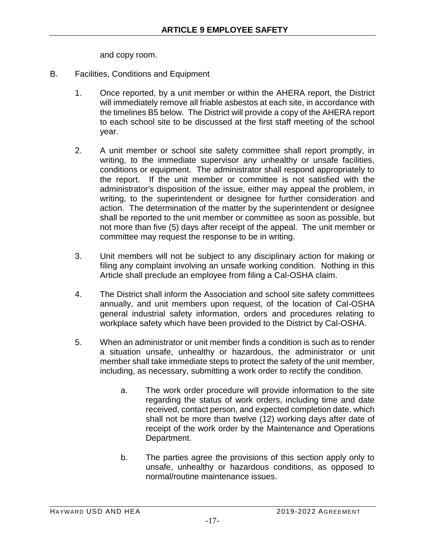and copy room.

- B. Facilities, Conditions and Equipment
	- 1. Once reported, by a unit member or within the AHERA report, the District will immediately remove all friable asbestos at each site, in accordance with the timelines B5 below. The District will provide a copy of the AHERA report to each school site to be discussed at the first staff meeting of the school year.
	- 2. A unit member or school site safety committee shall report promptly, in writing, to the immediate supervisor any unhealthy or unsafe facilities, conditions or equipment. The administrator shall respond appropriately to the report. If the unit member or committee is not satisfied with the administrator's disposition of the issue, either may appeal the problem, in writing, to the superintendent or designee for further consideration and action. The determination of the matter by the superintendent or designee shall be reported to the unit member or committee as soon as possible, but not more than five (5) days after receipt of the appeal. The unit member or committee may request the response to be in writing.
	- 3. Unit members will not be subject to any disciplinary action for making or filing any complaint involving an unsafe working condition. Nothing in this Article shall preclude an employee from filing a Cal-OSHA claim.
	- 4. The District shall inform the Association and school site safety committees annually, and unit members upon request, of the location of Cal-OSHA general industrial safety information, orders and procedures relating to workplace safety which have been provided to the District by Cal-OSHA.
	- 5. When an administrator or unit member finds a condition is such as to render a situation unsafe, unhealthy or hazardous, the administrator or unit member shall take immediate steps to protect the safety of the unit member, including, as necessary, submitting a work order to rectify the condition.
		- a. The work order procedure will provide information to the site regarding the status of work orders, including time and date received, contact person, and expected completion date, which shall not be more than twelve (12) working days after date of receipt of the work order by the Maintenance and Operations Department.
		- b. The parties agree the provisions of this section apply only to unsafe, unhealthy or hazardous conditions, as opposed to normal/routine maintenance issues.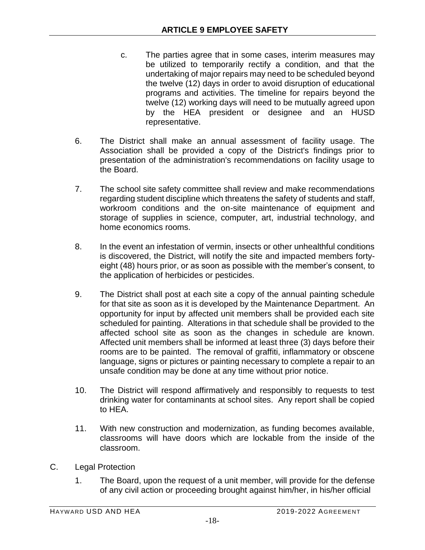- c. The parties agree that in some cases, interim measures may be utilized to temporarily rectify a condition, and that the undertaking of major repairs may need to be scheduled beyond the twelve (12) days in order to avoid disruption of educational programs and activities. The timeline for repairs beyond the twelve (12) working days will need to be mutually agreed upon by the HEA president or designee and an HUSD representative.
- 6. The District shall make an annual assessment of facility usage. The Association shall be provided a copy of the District's findings prior to presentation of the administration's recommendations on facility usage to the Board.
- 7. The school site safety committee shall review and make recommendations regarding student discipline which threatens the safety of students and staff, workroom conditions and the on-site maintenance of equipment and storage of supplies in science, computer, art, industrial technology, and home economics rooms.
- 8. In the event an infestation of vermin, insects or other unhealthful conditions is discovered, the District, will notify the site and impacted members fortyeight (48) hours prior, or as soon as possible with the member's consent, to the application of herbicides or pesticides.
- 9. The District shall post at each site a copy of the annual painting schedule for that site as soon as it is developed by the Maintenance Department. An opportunity for input by affected unit members shall be provided each site scheduled for painting. Alterations in that schedule shall be provided to the affected school site as soon as the changes in schedule are known. Affected unit members shall be informed at least three (3) days before their rooms are to be painted. The removal of graffiti, inflammatory or obscene language, signs or pictures or painting necessary to complete a repair to an unsafe condition may be done at any time without prior notice.
- 10. The District will respond affirmatively and responsibly to requests to test drinking water for contaminants at school sites. Any report shall be copied to HEA.
- 11. With new construction and modernization, as funding becomes available, classrooms will have doors which are lockable from the inside of the classroom.
- C. Legal Protection
	- 1. The Board, upon the request of a unit member, will provide for the defense of any civil action or proceeding brought against him/her, in his/her official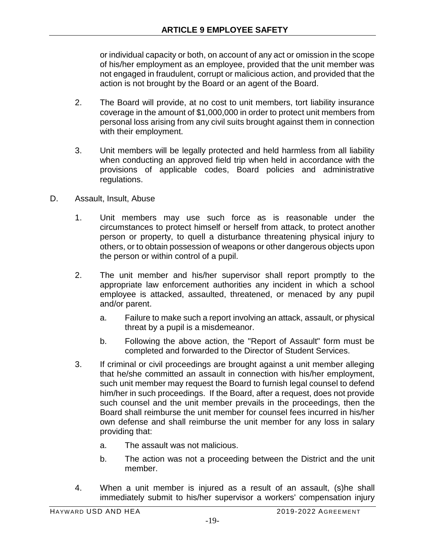or individual capacity or both, on account of any act or omission in the scope of his/her employment as an employee, provided that the unit member was not engaged in fraudulent, corrupt or malicious action, and provided that the action is not brought by the Board or an agent of the Board.

- 2. The Board will provide, at no cost to unit members, tort liability insurance coverage in the amount of \$1,000,000 in order to protect unit members from personal loss arising from any civil suits brought against them in connection with their employment.
- 3. Unit members will be legally protected and held harmless from all liability when conducting an approved field trip when held in accordance with the provisions of applicable codes, Board policies and administrative regulations.
- D. Assault, Insult, Abuse
	- 1. Unit members may use such force as is reasonable under the circumstances to protect himself or herself from attack, to protect another person or property, to quell a disturbance threatening physical injury to others, or to obtain possession of weapons or other dangerous objects upon the person or within control of a pupil.
	- 2. The unit member and his/her supervisor shall report promptly to the appropriate law enforcement authorities any incident in which a school employee is attacked, assaulted, threatened, or menaced by any pupil and/or parent.
		- a. Failure to make such a report involving an attack, assault, or physical threat by a pupil is a misdemeanor.
		- b. Following the above action, the "Report of Assault" form must be completed and forwarded to the Director of Student Services.
	- 3. If criminal or civil proceedings are brought against a unit member alleging that he/she committed an assault in connection with his/her employment, such unit member may request the Board to furnish legal counsel to defend him/her in such proceedings. If the Board, after a request, does not provide such counsel and the unit member prevails in the proceedings, then the Board shall reimburse the unit member for counsel fees incurred in his/her own defense and shall reimburse the unit member for any loss in salary providing that:
		- a. The assault was not malicious.
		- b. The action was not a proceeding between the District and the unit member.
	- 4. When a unit member is injured as a result of an assault, (s)he shall immediately submit to his/her supervisor a workers' compensation injury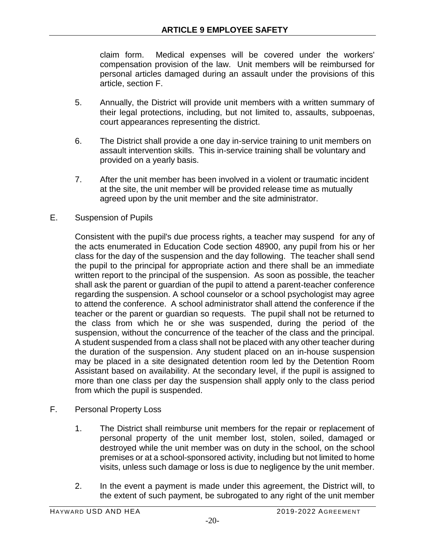claim form. Medical expenses will be covered under the workers' compensation provision of the law. Unit members will be reimbursed for personal articles damaged during an assault under the provisions of this article, section F.

- 5. Annually, the District will provide unit members with a written summary of their legal protections, including, but not limited to, assaults, subpoenas, court appearances representing the district.
- 6. The District shall provide a one day in-service training to unit members on assault intervention skills. This in-service training shall be voluntary and provided on a yearly basis.
- 7. After the unit member has been involved in a violent or traumatic incident at the site, the unit member will be provided release time as mutually agreed upon by the unit member and the site administrator.
- E. Suspension of Pupils

Consistent with the pupil's due process rights, a teacher may suspend for any of the acts enumerated in Education Code section 48900, any pupil from his or her class for the day of the suspension and the day following. The teacher shall send the pupil to the principal for appropriate action and there shall be an immediate written report to the principal of the suspension. As soon as possible, the teacher shall ask the parent or guardian of the pupil to attend a parent-teacher conference regarding the suspension. A school counselor or a school psychologist may agree to attend the conference. A school administrator shall attend the conference if the teacher or the parent or guardian so requests. The pupil shall not be returned to the class from which he or she was suspended, during the period of the suspension, without the concurrence of the teacher of the class and the principal. A student suspended from a class shall not be placed with any other teacher during the duration of the suspension. Any student placed on an in-house suspension may be placed in a site designated detention room led by the Detention Room Assistant based on availability. At the secondary level, if the pupil is assigned to more than one class per day the suspension shall apply only to the class period from which the pupil is suspended.

- F. Personal Property Loss
	- 1. The District shall reimburse unit members for the repair or replacement of personal property of the unit member lost, stolen, soiled, damaged or destroyed while the unit member was on duty in the school, on the school premises or at a school-sponsored activity, including but not limited to home visits, unless such damage or loss is due to negligence by the unit member.
	- 2. In the event a payment is made under this agreement, the District will, to the extent of such payment, be subrogated to any right of the unit member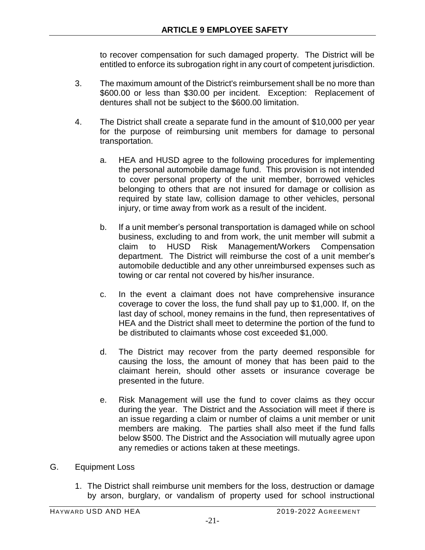to recover compensation for such damaged property. The District will be entitled to enforce its subrogation right in any court of competent jurisdiction.

- 3. The maximum amount of the District's reimbursement shall be no more than \$600.00 or less than \$30.00 per incident. Exception: Replacement of dentures shall not be subject to the \$600.00 limitation.
- 4. The District shall create a separate fund in the amount of \$10,000 per year for the purpose of reimbursing unit members for damage to personal transportation.
	- a. HEA and HUSD agree to the following procedures for implementing the personal automobile damage fund. This provision is not intended to cover personal property of the unit member, borrowed vehicles belonging to others that are not insured for damage or collision as required by state law, collision damage to other vehicles, personal injury, or time away from work as a result of the incident.
	- b. If a unit member's personal transportation is damaged while on school business, excluding to and from work, the unit member will submit a claim to HUSD Risk Management/Workers Compensation department. The District will reimburse the cost of a unit member's automobile deductible and any other unreimbursed expenses such as towing or car rental not covered by his/her insurance.
	- c. In the event a claimant does not have comprehensive insurance coverage to cover the loss, the fund shall pay up to \$1,000. If, on the last day of school, money remains in the fund, then representatives of HEA and the District shall meet to determine the portion of the fund to be distributed to claimants whose cost exceeded \$1,000.
	- d. The District may recover from the party deemed responsible for causing the loss, the amount of money that has been paid to the claimant herein, should other assets or insurance coverage be presented in the future.
	- e. Risk Management will use the fund to cover claims as they occur during the year. The District and the Association will meet if there is an issue regarding a claim or number of claims a unit member or unit members are making. The parties shall also meet if the fund falls below \$500. The District and the Association will mutually agree upon any remedies or actions taken at these meetings.
- G. Equipment Loss
	- 1. The District shall reimburse unit members for the loss, destruction or damage by arson, burglary, or vandalism of property used for school instructional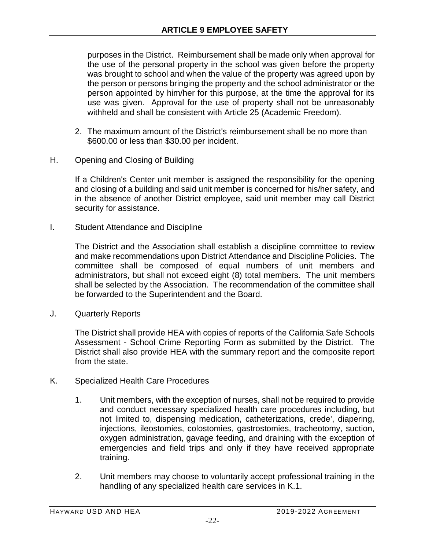purposes in the District. Reimbursement shall be made only when approval for the use of the personal property in the school was given before the property was brought to school and when the value of the property was agreed upon by the person or persons bringing the property and the school administrator or the person appointed by him/her for this purpose, at the time the approval for its use was given. Approval for the use of property shall not be unreasonably withheld and shall be consistent with Article 25 (Academic Freedom).

- 2. The maximum amount of the District's reimbursement shall be no more than \$600.00 or less than \$30.00 per incident.
- H. Opening and Closing of Building

If a Children's Center unit member is assigned the responsibility for the opening and closing of a building and said unit member is concerned for his/her safety, and in the absence of another District employee, said unit member may call District security for assistance.

I. Student Attendance and Discipline

The District and the Association shall establish a discipline committee to review and make recommendations upon District Attendance and Discipline Policies. The committee shall be composed of equal numbers of unit members and administrators, but shall not exceed eight (8) total members. The unit members shall be selected by the Association. The recommendation of the committee shall be forwarded to the Superintendent and the Board.

J. Quarterly Reports

The District shall provide HEA with copies of reports of the California Safe Schools Assessment - School Crime Reporting Form as submitted by the District. The District shall also provide HEA with the summary report and the composite report from the state.

- K. Specialized Health Care Procedures
	- 1. Unit members, with the exception of nurses, shall not be required to provide and conduct necessary specialized health care procedures including, but not limited to, dispensing medication, catheterizations, crede', diapering, injections, ileostomies, colostomies, gastrostomies, tracheotomy, suction, oxygen administration, gavage feeding, and draining with the exception of emergencies and field trips and only if they have received appropriate training.
	- 2. Unit members may choose to voluntarily accept professional training in the handling of any specialized health care services in K.1.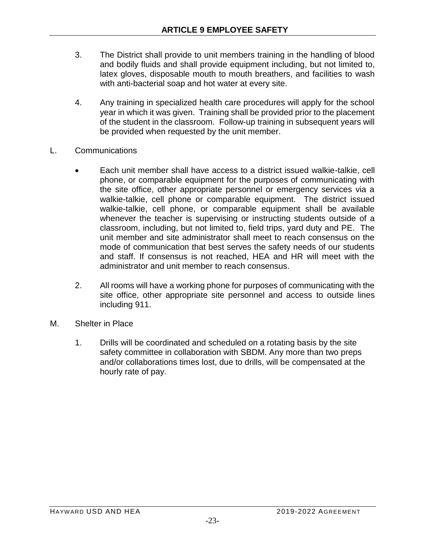- 3. The District shall provide to unit members training in the handling of blood and bodily fluids and shall provide equipment including, but not limited to, latex gloves, disposable mouth to mouth breathers, and facilities to wash with anti-bacterial soap and hot water at every site.
- 4. Any training in specialized health care procedures will apply for the school year in which it was given. Training shall be provided prior to the placement of the student in the classroom. Follow-up training in subsequent years will be provided when requested by the unit member.
- L. Communications
	- Each unit member shall have access to a district issued walkie-talkie, cell phone, or comparable equipment for the purposes of communicating with the site office, other appropriate personnel or emergency services via a walkie-talkie, cell phone or comparable equipment. The district issued walkie-talkie, cell phone, or comparable equipment shall be available whenever the teacher is supervising or instructing students outside of a classroom, including, but not limited to, field trips, yard duty and PE. The unit member and site administrator shall meet to reach consensus on the mode of communication that best serves the safety needs of our students and staff. If consensus is not reached, HEA and HR will meet with the administrator and unit member to reach consensus.
	- 2. All rooms will have a working phone for purposes of communicating with the site office, other appropriate site personnel and access to outside lines including 911.
- M. Shelter in Place
	- 1. Drills will be coordinated and scheduled on a rotating basis by the site safety committee in collaboration with SBDM. Any more than two preps and/or collaborations times lost, due to drills, will be compensated at the hourly rate of pay.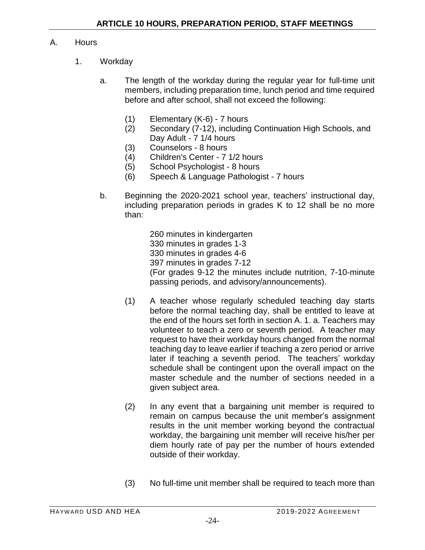#### A. Hours

- 1. Workday
	- a. The length of the workday during the regular year for full-time unit members, including preparation time, lunch period and time required before and after school, shall not exceed the following:
		- (1) Elementary (K-6) 7 hours
		- (2) Secondary (7-12), including Continuation High Schools, and Day Adult - 7 1/4 hours
		- (3) Counselors 8 hours
		- (4) Children's Center 7 1/2 hours
		- (5) School Psychologist 8 hours
		- (6) Speech & Language Pathologist 7 hours
	- b. Beginning the 2020-2021 school year, teachers' instructional day, including preparation periods in grades K to 12 shall be no more than:

260 minutes in kindergarten 330 minutes in grades 1-3 330 minutes in grades 4-6 397 minutes in grades 7-12 (For grades 9-12 the minutes include nutrition, 7-10-minute passing periods, and advisory/announcements).

- (1) A teacher whose regularly scheduled teaching day starts before the normal teaching day, shall be entitled to leave at the end of the hours set forth in section A. 1. a. Teachers may volunteer to teach a zero or seventh period. A teacher may request to have their workday hours changed from the normal teaching day to leave earlier if teaching a zero period or arrive later if teaching a seventh period. The teachers' workday schedule shall be contingent upon the overall impact on the master schedule and the number of sections needed in a given subject area.
- (2) In any event that a bargaining unit member is required to remain on campus because the unit member's assignment results in the unit member working beyond the contractual workday, the bargaining unit member will receive his/her per diem hourly rate of pay per the number of hours extended outside of their workday.
- (3) No full-time unit member shall be required to teach more than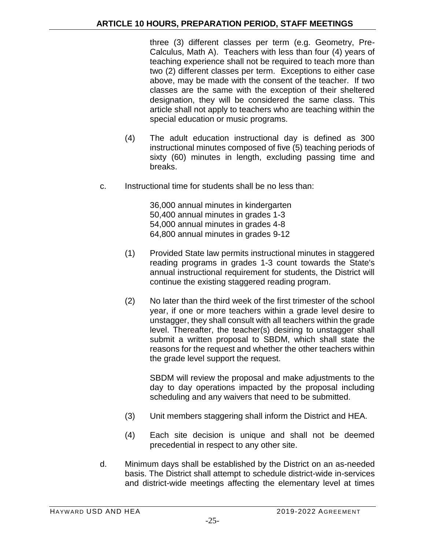three (3) different classes per term (e.g. Geometry, Pre-Calculus, Math A). Teachers with less than four (4) years of teaching experience shall not be required to teach more than two (2) different classes per term. Exceptions to either case above, may be made with the consent of the teacher. If two classes are the same with the exception of their sheltered designation, they will be considered the same class. This article shall not apply to teachers who are teaching within the special education or music programs.

- (4) The adult education instructional day is defined as 300 instructional minutes composed of five (5) teaching periods of sixty (60) minutes in length, excluding passing time and breaks.
- c. Instructional time for students shall be no less than:

36,000 annual minutes in kindergarten 50,400 annual minutes in grades 1-3 54,000 annual minutes in grades 4-8 64,800 annual minutes in grades 9-12

- (1) Provided State law permits instructional minutes in staggered reading programs in grades 1-3 count towards the State's annual instructional requirement for students, the District will continue the existing staggered reading program.
- (2) No later than the third week of the first trimester of the school year, if one or more teachers within a grade level desire to unstagger, they shall consult with all teachers within the grade level. Thereafter, the teacher(s) desiring to unstagger shall submit a written proposal to SBDM, which shall state the reasons for the request and whether the other teachers within the grade level support the request.

SBDM will review the proposal and make adjustments to the day to day operations impacted by the proposal including scheduling and any waivers that need to be submitted.

- (3) Unit members staggering shall inform the District and HEA.
- (4) Each site decision is unique and shall not be deemed precedential in respect to any other site.
- d. Minimum days shall be established by the District on an as-needed basis. The District shall attempt to schedule district-wide in-services and district-wide meetings affecting the elementary level at times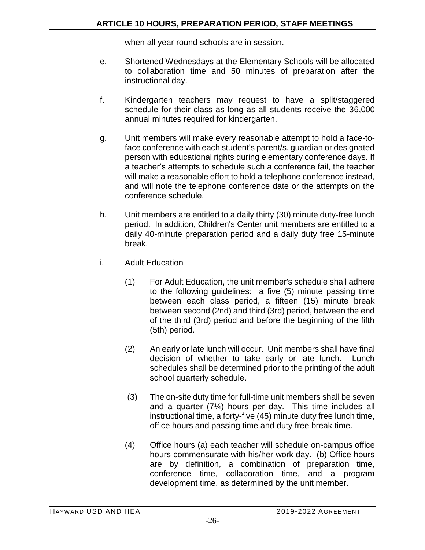when all year round schools are in session.

- e. Shortened Wednesdays at the Elementary Schools will be allocated to collaboration time and 50 minutes of preparation after the instructional day.
- f. Kindergarten teachers may request to have a split/staggered schedule for their class as long as all students receive the 36,000 annual minutes required for kindergarten.
- g. Unit members will make every reasonable attempt to hold a face-toface conference with each student's parent/s, guardian or designated person with educational rights during elementary conference days. If a teacher's attempts to schedule such a conference fail, the teacher will make a reasonable effort to hold a telephone conference instead, and will note the telephone conference date or the attempts on the conference schedule.
- h. Unit members are entitled to a daily thirty (30) minute duty-free lunch period. In addition, Children's Center unit members are entitled to a daily 40-minute preparation period and a daily duty free 15-minute break.
- i. Adult Education
	- (1) For Adult Education, the unit member's schedule shall adhere to the following guidelines: a five (5) minute passing time between each class period, a fifteen (15) minute break between second (2nd) and third (3rd) period, between the end of the third (3rd) period and before the beginning of the fifth (5th) period.
	- (2) An early or late lunch will occur. Unit members shall have final decision of whether to take early or late lunch. Lunch schedules shall be determined prior to the printing of the adult school quarterly schedule.
	- (3) The on-site duty time for full-time unit members shall be seven and a quarter (7¼) hours per day. This time includes all instructional time, a forty-five (45) minute duty free lunch time, office hours and passing time and duty free break time.
	- (4) Office hours (a) each teacher will schedule on-campus office hours commensurate with his/her work day. (b) Office hours are by definition, a combination of preparation time, conference time, collaboration time, and a program development time, as determined by the unit member.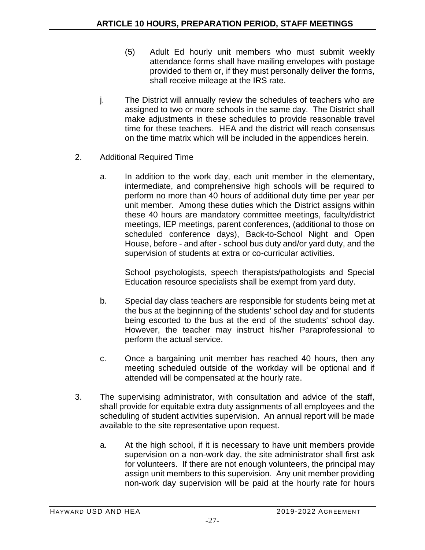- (5) Adult Ed hourly unit members who must submit weekly attendance forms shall have mailing envelopes with postage provided to them or, if they must personally deliver the forms, shall receive mileage at the IRS rate.
- j. The District will annually review the schedules of teachers who are assigned to two or more schools in the same day. The District shall make adjustments in these schedules to provide reasonable travel time for these teachers. HEA and the district will reach consensus on the time matrix which will be included in the appendices herein.
- 2. Additional Required Time
	- a. In addition to the work day, each unit member in the elementary, intermediate, and comprehensive high schools will be required to perform no more than 40 hours of additional duty time per year per unit member. Among these duties which the District assigns within these 40 hours are mandatory committee meetings, faculty/district meetings, IEP meetings, parent conferences, (additional to those on scheduled conference days), Back-to-School Night and Open House, before - and after - school bus duty and/or yard duty, and the supervision of students at extra or co-curricular activities.

School psychologists, speech therapists/pathologists and Special Education resource specialists shall be exempt from yard duty.

- b. Special day class teachers are responsible for students being met at the bus at the beginning of the students' school day and for students being escorted to the bus at the end of the students' school day. However, the teacher may instruct his/her Paraprofessional to perform the actual service.
- c. Once a bargaining unit member has reached 40 hours, then any meeting scheduled outside of the workday will be optional and if attended will be compensated at the hourly rate.
- 3. The supervising administrator, with consultation and advice of the staff, shall provide for equitable extra duty assignments of all employees and the scheduling of student activities supervision. An annual report will be made available to the site representative upon request.
	- a. At the high school, if it is necessary to have unit members provide supervision on a non-work day, the site administrator shall first ask for volunteers. If there are not enough volunteers, the principal may assign unit members to this supervision. Any unit member providing non-work day supervision will be paid at the hourly rate for hours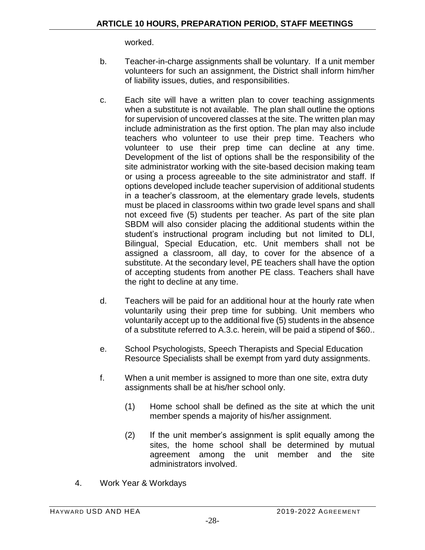worked.

- b. Teacher-in-charge assignments shall be voluntary. If a unit member volunteers for such an assignment, the District shall inform him/her of liability issues, duties, and responsibilities.
- c. Each site will have a written plan to cover teaching assignments when a substitute is not available. The plan shall outline the options for supervision of uncovered classes at the site. The written plan may include administration as the first option. The plan may also include teachers who volunteer to use their prep time. Teachers who volunteer to use their prep time can decline at any time. Development of the list of options shall be the responsibility of the site administrator working with the site-based decision making team or using a process agreeable to the site administrator and staff. If options developed include teacher supervision of additional students in a teacher's classroom, at the elementary grade levels, students must be placed in classrooms within two grade level spans and shall not exceed five (5) students per teacher. As part of the site plan SBDM will also consider placing the additional students within the student's instructional program including but not limited to DLI, Bilingual, Special Education, etc. Unit members shall not be assigned a classroom, all day, to cover for the absence of a substitute. At the secondary level, PE teachers shall have the option of accepting students from another PE class. Teachers shall have the right to decline at any time.
- d. Teachers will be paid for an additional hour at the hourly rate when voluntarily using their prep time for subbing. Unit members who voluntarily accept up to the additional five (5) students in the absence of a substitute referred to A.3.c. herein, will be paid a stipend of \$60..
- e. School Psychologists, Speech Therapists and Special Education Resource Specialists shall be exempt from yard duty assignments.
- f. When a unit member is assigned to more than one site, extra duty assignments shall be at his/her school only.
	- (1) Home school shall be defined as the site at which the unit member spends a majority of his/her assignment.
	- (2) If the unit member's assignment is split equally among the sites, the home school shall be determined by mutual agreement among the unit member and the site administrators involved.
- 4. Work Year & Workdays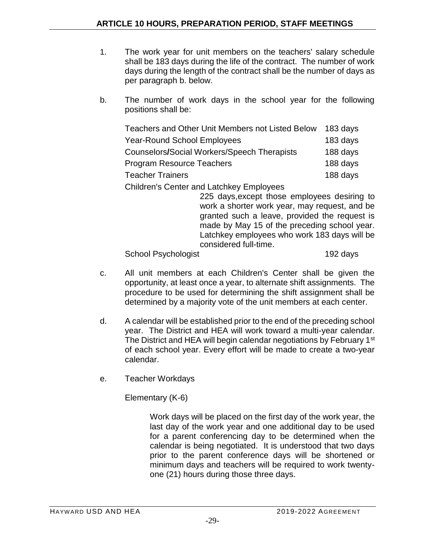- 1. The work year for unit members on the teachers' salary schedule shall be 183 days during the life of the contract. The number of work days during the length of the contract shall be the number of days as per paragraph b. below.
- b. The number of work days in the school year for the following positions shall be:

| Teachers and Other Unit Members not Listed Below   | 183 days |
|----------------------------------------------------|----------|
| <b>Year-Round School Employees</b>                 | 183 days |
| <b>Counselors/Social Workers/Speech Therapists</b> | 188 days |
| <b>Program Resource Teachers</b>                   | 188 days |
| <b>Teacher Trainers</b>                            | 188 days |
|                                                    |          |

Children's Center and Latchkey Employees

225 days,except those employees desiring to work a shorter work year, may request, and be granted such a leave, provided the request is made by May 15 of the preceding school year. Latchkey employees who work 183 days will be considered full-time.

School Psychologist 192 days

- c. All unit members at each Children's Center shall be given the opportunity, at least once a year, to alternate shift assignments. The procedure to be used for determining the shift assignment shall be determined by a majority vote of the unit members at each center.
- d. A calendar will be established prior to the end of the preceding school year. The District and HEA will work toward a multi-year calendar. The District and HEA will begin calendar negotiations by February 1<sup>st</sup> of each school year. Every effort will be made to create a two-year calendar.
- e. Teacher Workdays

Elementary (K-6)

Work days will be placed on the first day of the work year, the last day of the work year and one additional day to be used for a parent conferencing day to be determined when the calendar is being negotiated. It is understood that two days prior to the parent conference days will be shortened or minimum days and teachers will be required to work twentyone (21) hours during those three days.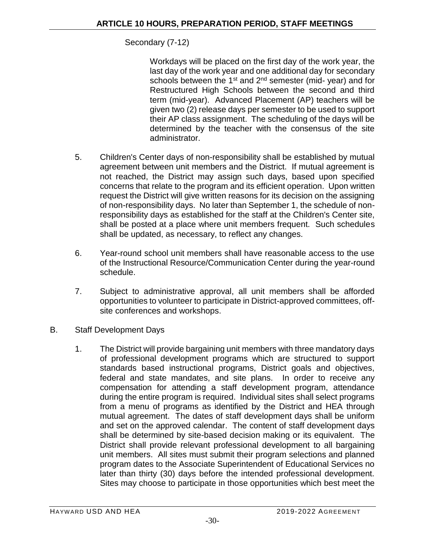#### Secondary (7-12)

Workdays will be placed on the first day of the work year, the last day of the work year and one additional day for secondary schools between the  $1<sup>st</sup>$  and  $2<sup>nd</sup>$  semester (mid- year) and for Restructured High Schools between the second and third term (mid-year). Advanced Placement (AP) teachers will be given two (2) release days per semester to be used to support their AP class assignment. The scheduling of the days will be determined by the teacher with the consensus of the site administrator.

- 5. Children's Center days of non-responsibility shall be established by mutual agreement between unit members and the District. If mutual agreement is not reached, the District may assign such days, based upon specified concerns that relate to the program and its efficient operation. Upon written request the District will give written reasons for its decision on the assigning of non-responsibility days. No later than September 1, the schedule of nonresponsibility days as established for the staff at the Children's Center site, shall be posted at a place where unit members frequent. Such schedules shall be updated, as necessary, to reflect any changes.
- 6. Year-round school unit members shall have reasonable access to the use of the Instructional Resource/Communication Center during the year-round schedule.
- 7. Subject to administrative approval, all unit members shall be afforded opportunities to volunteer to participate in District-approved committees, offsite conferences and workshops.
- B. Staff Development Days
	- 1. The District will provide bargaining unit members with three mandatory days of professional development programs which are structured to support standards based instructional programs, District goals and objectives, federal and state mandates, and site plans. In order to receive any compensation for attending a staff development program, attendance during the entire program is required. Individual sites shall select programs from a menu of programs as identified by the District and HEA through mutual agreement. The dates of staff development days shall be uniform and set on the approved calendar. The content of staff development days shall be determined by site-based decision making or its equivalent. The District shall provide relevant professional development to all bargaining unit members. All sites must submit their program selections and planned program dates to the Associate Superintendent of Educational Services no later than thirty (30) days before the intended professional development. Sites may choose to participate in those opportunities which best meet the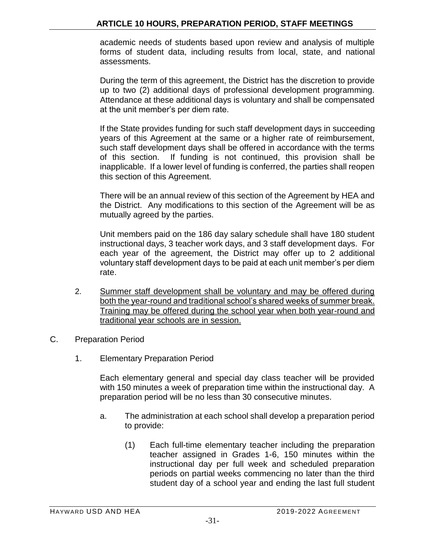academic needs of students based upon review and analysis of multiple forms of student data, including results from local, state, and national assessments.

During the term of this agreement, the District has the discretion to provide up to two (2) additional days of professional development programming. Attendance at these additional days is voluntary and shall be compensated at the unit member's per diem rate.

If the State provides funding for such staff development days in succeeding years of this Agreement at the same or a higher rate of reimbursement, such staff development days shall be offered in accordance with the terms of this section. If funding is not continued, this provision shall be inapplicable. If a lower level of funding is conferred, the parties shall reopen this section of this Agreement.

There will be an annual review of this section of the Agreement by HEA and the District. Any modifications to this section of the Agreement will be as mutually agreed by the parties.

Unit members paid on the 186 day salary schedule shall have 180 student instructional days, 3 teacher work days, and 3 staff development days. For each year of the agreement, the District may offer up to 2 additional voluntary staff development days to be paid at each unit member's per diem rate.

- 2. Summer staff development shall be voluntary and may be offered during both the year-round and traditional school's shared weeks of summer break. Training may be offered during the school year when both year-round and traditional year schools are in session.
- C. Preparation Period
	- 1. Elementary Preparation Period

Each elementary general and special day class teacher will be provided with 150 minutes a week of preparation time within the instructional day. A preparation period will be no less than 30 consecutive minutes.

- a. The administration at each school shall develop a preparation period to provide:
	- (1) Each full-time elementary teacher including the preparation teacher assigned in Grades 1-6, 150 minutes within the instructional day per full week and scheduled preparation periods on partial weeks commencing no later than the third student day of a school year and ending the last full student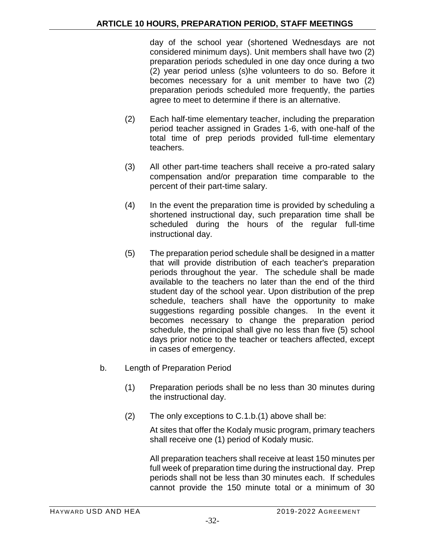day of the school year (shortened Wednesdays are not considered minimum days). Unit members shall have two (2) preparation periods scheduled in one day once during a two (2) year period unless (s)he volunteers to do so. Before it becomes necessary for a unit member to have two (2) preparation periods scheduled more frequently, the parties agree to meet to determine if there is an alternative.

- (2) Each half-time elementary teacher, including the preparation period teacher assigned in Grades 1-6, with one-half of the total time of prep periods provided full-time elementary teachers.
- (3) All other part-time teachers shall receive a pro-rated salary compensation and/or preparation time comparable to the percent of their part-time salary.
- (4) In the event the preparation time is provided by scheduling a shortened instructional day, such preparation time shall be scheduled during the hours of the regular full-time instructional day.
- (5) The preparation period schedule shall be designed in a matter that will provide distribution of each teacher's preparation periods throughout the year. The schedule shall be made available to the teachers no later than the end of the third student day of the school year. Upon distribution of the prep schedule, teachers shall have the opportunity to make suggestions regarding possible changes. In the event it becomes necessary to change the preparation period schedule, the principal shall give no less than five (5) school days prior notice to the teacher or teachers affected, except in cases of emergency.
- b. Length of Preparation Period
	- (1) Preparation periods shall be no less than 30 minutes during the instructional day.
	- (2) The only exceptions to C.1.b.(1) above shall be:

At sites that offer the Kodaly music program, primary teachers shall receive one (1) period of Kodaly music.

All preparation teachers shall receive at least 150 minutes per full week of preparation time during the instructional day. Prep periods shall not be less than 30 minutes each. If schedules cannot provide the 150 minute total or a minimum of 30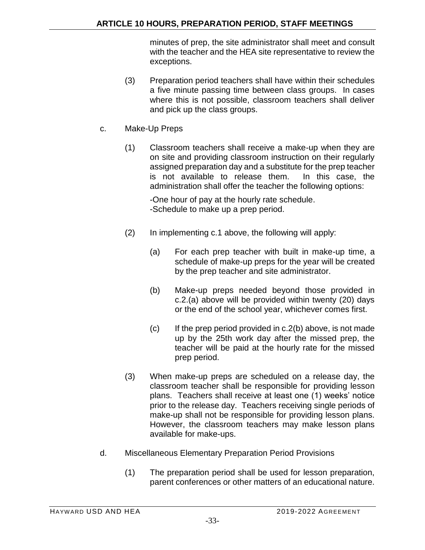minutes of prep, the site administrator shall meet and consult with the teacher and the HEA site representative to review the exceptions.

- (3) Preparation period teachers shall have within their schedules a five minute passing time between class groups. In cases where this is not possible, classroom teachers shall deliver and pick up the class groups.
- c. Make-Up Preps
	- (1) Classroom teachers shall receive a make-up when they are on site and providing classroom instruction on their regularly assigned preparation day and a substitute for the prep teacher is not available to release them. In this case, the administration shall offer the teacher the following options:

-One hour of pay at the hourly rate schedule. -Schedule to make up a prep period.

- (2) In implementing c.1 above, the following will apply:
	- (a) For each prep teacher with built in make-up time, a schedule of make-up preps for the year will be created by the prep teacher and site administrator.
	- (b) Make-up preps needed beyond those provided in c.2.(a) above will be provided within twenty (20) days or the end of the school year, whichever comes first.
	- (c) If the prep period provided in c.2(b) above, is not made up by the 25th work day after the missed prep, the teacher will be paid at the hourly rate for the missed prep period.
- (3) When make-up preps are scheduled on a release day, the classroom teacher shall be responsible for providing lesson plans. Teachers shall receive at least one (1) weeks' notice prior to the release day. Teachers receiving single periods of make-up shall not be responsible for providing lesson plans. However, the classroom teachers may make lesson plans available for make-ups.
- d. Miscellaneous Elementary Preparation Period Provisions
	- (1) The preparation period shall be used for lesson preparation, parent conferences or other matters of an educational nature.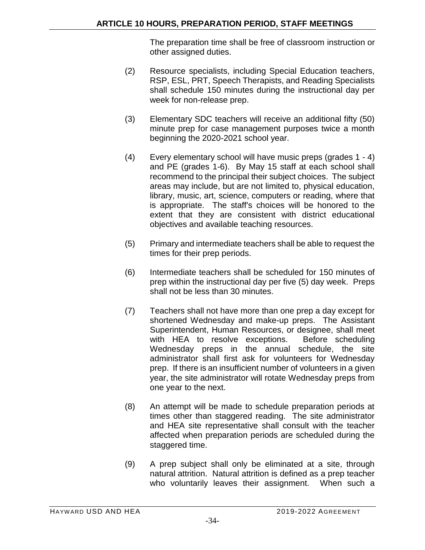The preparation time shall be free of classroom instruction or other assigned duties.

- (2) Resource specialists, including Special Education teachers, RSP, ESL, PRT, Speech Therapists, and Reading Specialists shall schedule 150 minutes during the instructional day per week for non-release prep.
- (3) Elementary SDC teachers will receive an additional fifty (50) minute prep for case management purposes twice a month beginning the 2020-2021 school year.
- (4) Every elementary school will have music preps (grades 1 4) and PE (grades 1-6).By May 15 staff at each school shall recommend to the principal their subject choices. The subject areas may include, but are not limited to, physical education, library, music, art, science, computers or reading, where that is appropriate. The staff's choices will be honored to the extent that they are consistent with district educational objectives and available teaching resources.
- (5) Primary and intermediate teachers shall be able to request the times for their prep periods.
- (6) Intermediate teachers shall be scheduled for 150 minutes of prep within the instructional day per five (5) day week. Preps shall not be less than 30 minutes.
- (7) Teachers shall not have more than one prep a day except for shortened Wednesday and make-up preps. The Assistant Superintendent, Human Resources, or designee, shall meet with HEA to resolve exceptions.Before scheduling Wednesday preps in the annual schedule, the site administrator shall first ask for volunteers for Wednesday prep. If there is an insufficient number of volunteers in a given year, the site administrator will rotate Wednesday preps from one year to the next.
- (8) An attempt will be made to schedule preparation periods at times other than staggered reading. The site administrator and HEA site representative shall consult with the teacher affected when preparation periods are scheduled during the staggered time.
- (9) A prep subject shall only be eliminated at a site, through natural attrition. Natural attrition is defined as a prep teacher who voluntarily leaves their assignment. When such a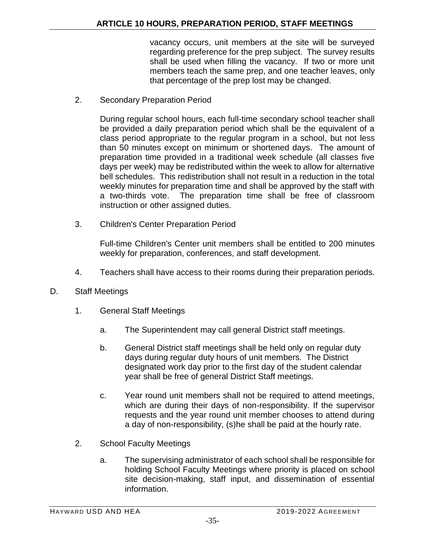vacancy occurs, unit members at the site will be surveyed regarding preference for the prep subject. The survey results shall be used when filling the vacancy. If two or more unit members teach the same prep, and one teacher leaves, only that percentage of the prep lost may be changed.

2. Secondary Preparation Period

During regular school hours, each full-time secondary school teacher shall be provided a daily preparation period which shall be the equivalent of a class period appropriate to the regular program in a school, but not less than 50 minutes except on minimum or shortened days. The amount of preparation time provided in a traditional week schedule (all classes five days per week) may be redistributed within the week to allow for alternative bell schedules. This redistribution shall not result in a reduction in the total weekly minutes for preparation time and shall be approved by the staff with a two-thirds vote. The preparation time shall be free of classroom instruction or other assigned duties.

3. Children's Center Preparation Period

Full-time Children's Center unit members shall be entitled to 200 minutes weekly for preparation, conferences, and staff development.

- 4. Teachers shall have access to their rooms during their preparation periods.
- D. Staff Meetings
	- 1. General Staff Meetings
		- a. The Superintendent may call general District staff meetings.
		- b. General District staff meetings shall be held only on regular duty days during regular duty hours of unit members. The District designated work day prior to the first day of the student calendar year shall be free of general District Staff meetings.
		- c. Year round unit members shall not be required to attend meetings, which are during their days of non-responsibility. If the supervisor requests and the year round unit member chooses to attend during a day of non-responsibility, (s)he shall be paid at the hourly rate.
	- 2. School Faculty Meetings
		- a. The supervising administrator of each school shall be responsible for holding School Faculty Meetings where priority is placed on school site decision-making, staff input, and dissemination of essential information.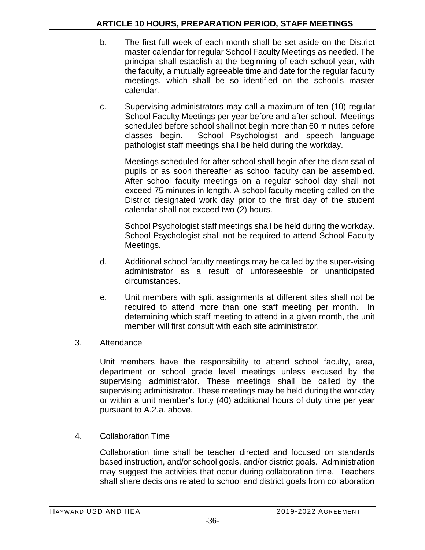- b. The first full week of each month shall be set aside on the District master calendar for regular School Faculty Meetings as needed. The principal shall establish at the beginning of each school year, with the faculty, a mutually agreeable time and date for the regular faculty meetings, which shall be so identified on the school's master calendar.
- c. Supervising administrators may call a maximum of ten (10) regular School Faculty Meetings per year before and after school. Meetings scheduled before school shall not begin more than 60 minutes before classes begin. School Psychologist and speech language pathologist staff meetings shall be held during the workday.

Meetings scheduled for after school shall begin after the dismissal of pupils or as soon thereafter as school faculty can be assembled. After school faculty meetings on a regular school day shall not exceed 75 minutes in length. A school faculty meeting called on the District designated work day prior to the first day of the student calendar shall not exceed two (2) hours.

School Psychologist staff meetings shall be held during the workday. School Psychologist shall not be required to attend School Faculty Meetings.

- d. Additional school faculty meetings may be called by the super-vising administrator as a result of unforeseeable or unanticipated circumstances.
- e. Unit members with split assignments at different sites shall not be required to attend more than one staff meeting per month. In determining which staff meeting to attend in a given month, the unit member will first consult with each site administrator.
- 3. Attendance

Unit members have the responsibility to attend school faculty, area, department or school grade level meetings unless excused by the supervising administrator. These meetings shall be called by the supervising administrator. These meetings may be held during the workday or within a unit member's forty (40) additional hours of duty time per year pursuant to A.2.a. above.

4. Collaboration Time

Collaboration time shall be teacher directed and focused on standards based instruction, and/or school goals, and/or district goals. Administration may suggest the activities that occur during collaboration time. Teachers shall share decisions related to school and district goals from collaboration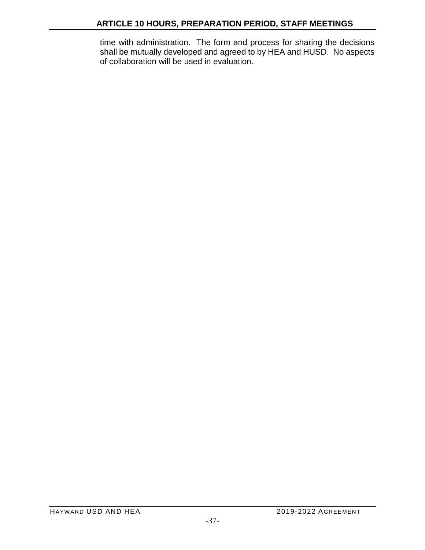time with administration. The form and process for sharing the decisions shall be mutually developed and agreed to by HEA and HUSD. No aspects of collaboration will be used in evaluation.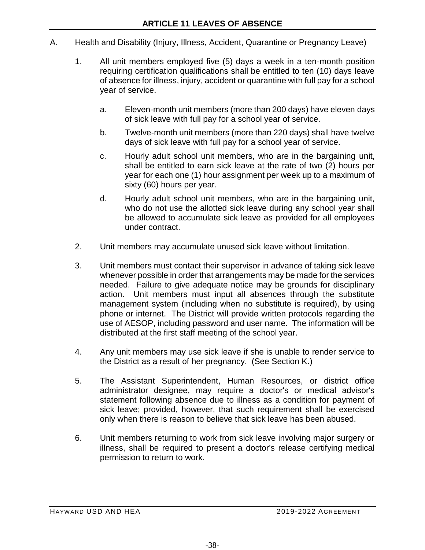- A. Health and Disability (Injury, Illness, Accident, Quarantine or Pregnancy Leave)
	- 1. All unit members employed five (5) days a week in a ten-month position requiring certification qualifications shall be entitled to ten (10) days leave of absence for illness, injury, accident or quarantine with full pay for a school year of service.
		- a. Eleven-month unit members (more than 200 days) have eleven days of sick leave with full pay for a school year of service.
		- b. Twelve-month unit members (more than 220 days) shall have twelve days of sick leave with full pay for a school year of service.
		- c. Hourly adult school unit members, who are in the bargaining unit, shall be entitled to earn sick leave at the rate of two (2) hours per year for each one (1) hour assignment per week up to a maximum of sixty (60) hours per year.
		- d. Hourly adult school unit members, who are in the bargaining unit, who do not use the allotted sick leave during any school year shall be allowed to accumulate sick leave as provided for all employees under contract.
	- 2. Unit members may accumulate unused sick leave without limitation.
	- 3. Unit members must contact their supervisor in advance of taking sick leave whenever possible in order that arrangements may be made for the services needed. Failure to give adequate notice may be grounds for disciplinary action. Unit members must input all absences through the substitute management system (including when no substitute is required), by using phone or internet. The District will provide written protocols regarding the use of AESOP, including password and user name. The information will be distributed at the first staff meeting of the school year.
	- 4. Any unit members may use sick leave if she is unable to render service to the District as a result of her pregnancy. (See Section K.)
	- 5. The Assistant Superintendent, Human Resources, or district office administrator designee, may require a doctor's or medical advisor's statement following absence due to illness as a condition for payment of sick leave; provided, however, that such requirement shall be exercised only when there is reason to believe that sick leave has been abused.
	- 6. Unit members returning to work from sick leave involving major surgery or illness, shall be required to present a doctor's release certifying medical permission to return to work.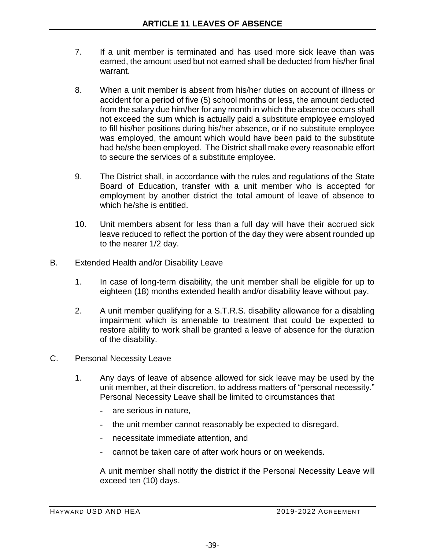- 7. If a unit member is terminated and has used more sick leave than was earned, the amount used but not earned shall be deducted from his/her final warrant.
- 8. When a unit member is absent from his/her duties on account of illness or accident for a period of five (5) school months or less, the amount deducted from the salary due him/her for any month in which the absence occurs shall not exceed the sum which is actually paid a substitute employee employed to fill his/her positions during his/her absence, or if no substitute employee was employed, the amount which would have been paid to the substitute had he/she been employed. The District shall make every reasonable effort to secure the services of a substitute employee.
- 9. The District shall, in accordance with the rules and regulations of the State Board of Education, transfer with a unit member who is accepted for employment by another district the total amount of leave of absence to which he/she is entitled.
- 10. Unit members absent for less than a full day will have their accrued sick leave reduced to reflect the portion of the day they were absent rounded up to the nearer 1/2 day.
- B. Extended Health and/or Disability Leave
	- 1. In case of long-term disability, the unit member shall be eligible for up to eighteen (18) months extended health and/or disability leave without pay.
	- 2. A unit member qualifying for a S.T.R.S. disability allowance for a disabling impairment which is amenable to treatment that could be expected to restore ability to work shall be granted a leave of absence for the duration of the disability.
- C. Personal Necessity Leave
	- 1. Any days of leave of absence allowed for sick leave may be used by the unit member, at their discretion, to address matters of "personal necessity." Personal Necessity Leave shall be limited to circumstances that
		- are serious in nature.
		- the unit member cannot reasonably be expected to disregard,
		- necessitate immediate attention, and
		- cannot be taken care of after work hours or on weekends.

A unit member shall notify the district if the Personal Necessity Leave will exceed ten (10) days.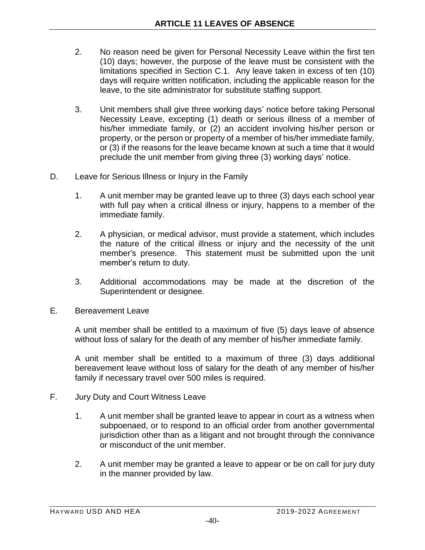- 2. No reason need be given for Personal Necessity Leave within the first ten (10) days; however, the purpose of the leave must be consistent with the limitations specified in Section C.1. Any leave taken in excess of ten (10) days will require written notification, including the applicable reason for the leave, to the site administrator for substitute staffing support.
- 3. Unit members shall give three working days' notice before taking Personal Necessity Leave, excepting (1) death or serious illness of a member of his/her immediate family, or (2) an accident involving his/her person or property, or the person or property of a member of his/her immediate family, or (3) if the reasons for the leave became known at such a time that it would preclude the unit member from giving three (3) working days' notice.
- D. Leave for Serious Illness or Injury in the Family
	- 1. A unit member may be granted leave up to three (3) days each school year with full pay when a critical illness or injury, happens to a member of the immediate family.
	- 2. A physician, or medical advisor, must provide a statement, which includes the nature of the critical illness or injury and the necessity of the unit member's presence. This statement must be submitted upon the unit member's return to duty.
	- 3. Additional accommodations may be made at the discretion of the Superintendent or designee.
- E. Bereavement Leave

A unit member shall be entitled to a maximum of five (5) days leave of absence without loss of salary for the death of any member of his/her immediate family.

A unit member shall be entitled to a maximum of three (3) days additional bereavement leave without loss of salary for the death of any member of his/her family if necessary travel over 500 miles is required.

- F. Jury Duty and Court Witness Leave
	- 1. A unit member shall be granted leave to appear in court as a witness when subpoenaed, or to respond to an official order from another governmental jurisdiction other than as a litigant and not brought through the connivance or misconduct of the unit member.
	- 2. A unit member may be granted a leave to appear or be on call for jury duty in the manner provided by law.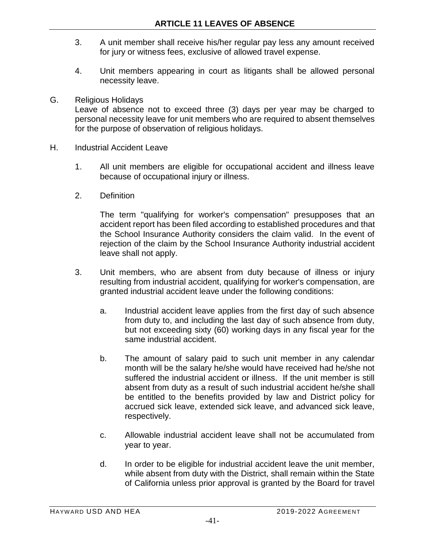- 3. A unit member shall receive his/her regular pay less any amount received for jury or witness fees, exclusive of allowed travel expense.
- 4. Unit members appearing in court as litigants shall be allowed personal necessity leave.
- G. Religious Holidays

Leave of absence not to exceed three (3) days per year may be charged to personal necessity leave for unit members who are required to absent themselves for the purpose of observation of religious holidays.

- H. Industrial Accident Leave
	- 1. All unit members are eligible for occupational accident and illness leave because of occupational injury or illness.
	- 2. Definition

The term "qualifying for worker's compensation" presupposes that an accident report has been filed according to established procedures and that the School Insurance Authority considers the claim valid. In the event of rejection of the claim by the School Insurance Authority industrial accident leave shall not apply.

- 3. Unit members, who are absent from duty because of illness or injury resulting from industrial accident, qualifying for worker's compensation, are granted industrial accident leave under the following conditions:
	- a. Industrial accident leave applies from the first day of such absence from duty to, and including the last day of such absence from duty, but not exceeding sixty (60) working days in any fiscal year for the same industrial accident.
	- b. The amount of salary paid to such unit member in any calendar month will be the salary he/she would have received had he/she not suffered the industrial accident or illness. If the unit member is still absent from duty as a result of such industrial accident he/she shall be entitled to the benefits provided by law and District policy for accrued sick leave, extended sick leave, and advanced sick leave, respectively.
	- c. Allowable industrial accident leave shall not be accumulated from year to year.
	- d. In order to be eligible for industrial accident leave the unit member, while absent from duty with the District, shall remain within the State of California unless prior approval is granted by the Board for travel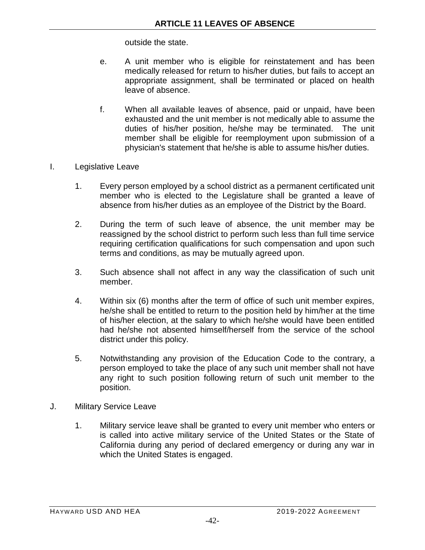outside the state.

- e. A unit member who is eligible for reinstatement and has been medically released for return to his/her duties, but fails to accept an appropriate assignment, shall be terminated or placed on health leave of absence.
- f. When all available leaves of absence, paid or unpaid, have been exhausted and the unit member is not medically able to assume the duties of his/her position, he/she may be terminated. The unit member shall be eligible for reemployment upon submission of a physician's statement that he/she is able to assume his/her duties.
- I. Legislative Leave
	- 1. Every person employed by a school district as a permanent certificated unit member who is elected to the Legislature shall be granted a leave of absence from his/her duties as an employee of the District by the Board.
	- 2. During the term of such leave of absence, the unit member may be reassigned by the school district to perform such less than full time service requiring certification qualifications for such compensation and upon such terms and conditions, as may be mutually agreed upon.
	- 3. Such absence shall not affect in any way the classification of such unit member.
	- 4. Within six (6) months after the term of office of such unit member expires, he/she shall be entitled to return to the position held by him/her at the time of his/her election, at the salary to which he/she would have been entitled had he/she not absented himself/herself from the service of the school district under this policy.
	- 5. Notwithstanding any provision of the Education Code to the contrary, a person employed to take the place of any such unit member shall not have any right to such position following return of such unit member to the position.
- J. Military Service Leave
	- 1. Military service leave shall be granted to every unit member who enters or is called into active military service of the United States or the State of California during any period of declared emergency or during any war in which the United States is engaged.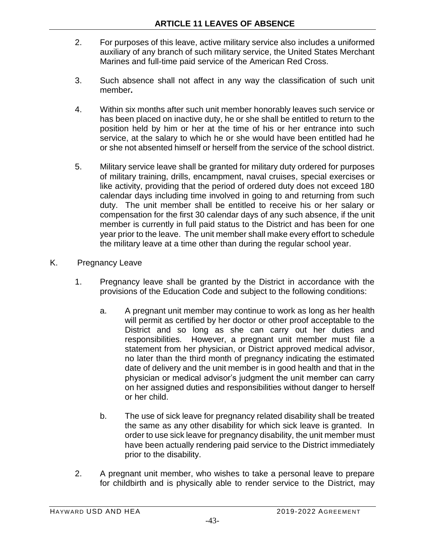- 2. For purposes of this leave, active military service also includes a uniformed auxiliary of any branch of such military service, the United States Merchant Marines and full-time paid service of the American Red Cross.
- 3. Such absence shall not affect in any way the classification of such unit member**.**
- 4. Within six months after such unit member honorably leaves such service or has been placed on inactive duty, he or she shall be entitled to return to the position held by him or her at the time of his or her entrance into such service, at the salary to which he or she would have been entitled had he or she not absented himself or herself from the service of the school district.
- 5. Military service leave shall be granted for military duty ordered for purposes of military training, drills, encampment, naval cruises, special exercises or like activity, providing that the period of ordered duty does not exceed 180 calendar days including time involved in going to and returning from such duty. The unit member shall be entitled to receive his or her salary or compensation for the first 30 calendar days of any such absence, if the unit member is currently in full paid status to the District and has been for one year prior to the leave. The unit member shall make every effort to schedule the military leave at a time other than during the regular school year.
- K. Pregnancy Leave
	- 1. Pregnancy leave shall be granted by the District in accordance with the provisions of the Education Code and subject to the following conditions:
		- a. A pregnant unit member may continue to work as long as her health will permit as certified by her doctor or other proof acceptable to the District and so long as she can carry out her duties and responsibilities. However, a pregnant unit member must file a statement from her physician, or District approved medical advisor, no later than the third month of pregnancy indicating the estimated date of delivery and the unit member is in good health and that in the physician or medical advisor's judgment the unit member can carry on her assigned duties and responsibilities without danger to herself or her child.
		- b. The use of sick leave for pregnancy related disability shall be treated the same as any other disability for which sick leave is granted. In order to use sick leave for pregnancy disability, the unit member must have been actually rendering paid service to the District immediately prior to the disability.
	- 2. A pregnant unit member, who wishes to take a personal leave to prepare for childbirth and is physically able to render service to the District, may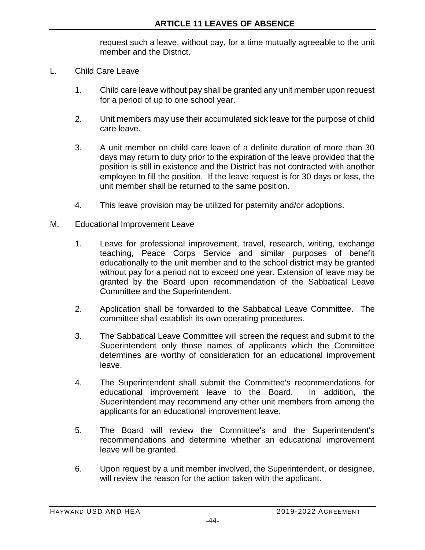request such a leave, without pay, for a time mutually agreeable to the unit member and the District.

- L. Child Care Leave
	- 1. Child care leave without pay shall be granted any unit member upon request for a period of up to one school year.
	- 2. Unit members may use their accumulated sick leave for the purpose of child care leave.
	- 3. A unit member on child care leave of a definite duration of more than 30 days may return to duty prior to the expiration of the leave provided that the position is still in existence and the District has not contracted with another employee to fill the position. If the leave request is for 30 days or less, the unit member shall be returned to the same position.
	- 4. This leave provision may be utilized for paternity and/or adoptions.
- M. Educational Improvement Leave
	- 1. Leave for professional improvement, travel, research, writing, exchange teaching, Peace Corps Service and similar purposes of benefit educationally to the unit member and to the school district may be granted without pay for a period not to exceed one year. Extension of leave may be granted by the Board upon recommendation of the Sabbatical Leave Committee and the Superintendent.
	- 2. Application shall be forwarded to the Sabbatical Leave Committee. The committee shall establish its own operating procedures.
	- 3. The Sabbatical Leave Committee will screen the request and submit to the Superintendent only those names of applicants which the Committee determines are worthy of consideration for an educational improvement leave.
	- 4. The Superintendent shall submit the Committee's recommendations for educational improvement leave to the Board. In addition, the Superintendent may recommend any other unit members from among the applicants for an educational improvement leave.
	- 5. The Board will review the Committee's and the Superintendent's recommendations and determine whether an educational improvement leave will be granted.
	- 6. Upon request by a unit member involved, the Superintendent, or designee, will review the reason for the action taken with the applicant.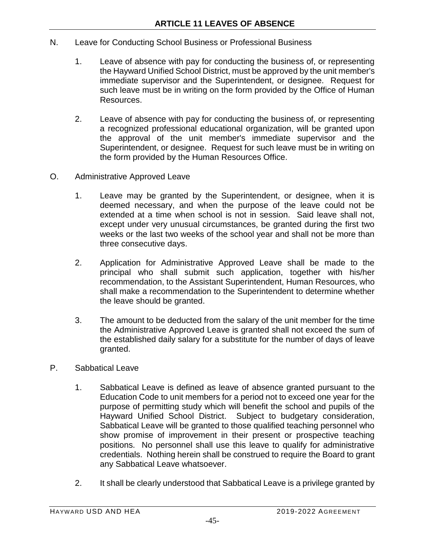- N. Leave for Conducting School Business or Professional Business
	- 1. Leave of absence with pay for conducting the business of, or representing the Hayward Unified School District, must be approved by the unit member's immediate supervisor and the Superintendent, or designee. Request for such leave must be in writing on the form provided by the Office of Human Resources.
	- 2. Leave of absence with pay for conducting the business of, or representing a recognized professional educational organization, will be granted upon the approval of the unit member's immediate supervisor and the Superintendent, or designee. Request for such leave must be in writing on the form provided by the Human Resources Office.
- O. Administrative Approved Leave
	- 1. Leave may be granted by the Superintendent, or designee, when it is deemed necessary, and when the purpose of the leave could not be extended at a time when school is not in session. Said leave shall not, except under very unusual circumstances, be granted during the first two weeks or the last two weeks of the school year and shall not be more than three consecutive days.
	- 2. Application for Administrative Approved Leave shall be made to the principal who shall submit such application, together with his/her recommendation, to the Assistant Superintendent, Human Resources, who shall make a recommendation to the Superintendent to determine whether the leave should be granted.
	- 3. The amount to be deducted from the salary of the unit member for the time the Administrative Approved Leave is granted shall not exceed the sum of the established daily salary for a substitute for the number of days of leave granted.
- P. Sabbatical Leave
	- 1. Sabbatical Leave is defined as leave of absence granted pursuant to the Education Code to unit members for a period not to exceed one year for the purpose of permitting study which will benefit the school and pupils of the Hayward Unified School District. Subject to budgetary consideration, Sabbatical Leave will be granted to those qualified teaching personnel who show promise of improvement in their present or prospective teaching positions. No personnel shall use this leave to qualify for administrative credentials. Nothing herein shall be construed to require the Board to grant any Sabbatical Leave whatsoever.
	- 2. It shall be clearly understood that Sabbatical Leave is a privilege granted by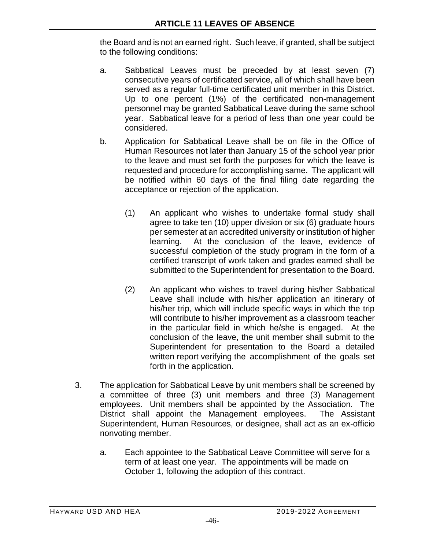the Board and is not an earned right. Such leave, if granted, shall be subject to the following conditions:

- a. Sabbatical Leaves must be preceded by at least seven (7) consecutive years of certificated service, all of which shall have been served as a regular full-time certificated unit member in this District. Up to one percent (1%) of the certificated non-management personnel may be granted Sabbatical Leave during the same school year. Sabbatical leave for a period of less than one year could be considered.
- b. Application for Sabbatical Leave shall be on file in the Office of Human Resources not later than January 15 of the school year prior to the leave and must set forth the purposes for which the leave is requested and procedure for accomplishing same. The applicant will be notified within 60 days of the final filing date regarding the acceptance or rejection of the application.
	- (1) An applicant who wishes to undertake formal study shall agree to take ten (10) upper division or six (6) graduate hours per semester at an accredited university or institution of higher learning. At the conclusion of the leave, evidence of successful completion of the study program in the form of a certified transcript of work taken and grades earned shall be submitted to the Superintendent for presentation to the Board.
	- (2) An applicant who wishes to travel during his/her Sabbatical Leave shall include with his/her application an itinerary of his/her trip, which will include specific ways in which the trip will contribute to his/her improvement as a classroom teacher in the particular field in which he/she is engaged. At the conclusion of the leave, the unit member shall submit to the Superintendent for presentation to the Board a detailed written report verifying the accomplishment of the goals set forth in the application.
- 3. The application for Sabbatical Leave by unit members shall be screened by a committee of three (3) unit members and three (3) Management employees. Unit members shall be appointed by the Association. The District shall appoint the Management employees. The Assistant Superintendent, Human Resources, or designee, shall act as an ex-officio nonvoting member.
	- a. Each appointee to the Sabbatical Leave Committee will serve for a term of at least one year. The appointments will be made on October 1, following the adoption of this contract.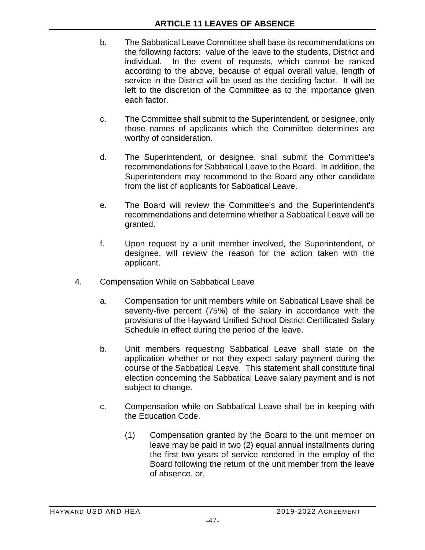- b. The Sabbatical Leave Committee shall base its recommendations on the following factors: value of the leave to the students, District and individual. In the event of requests, which cannot be ranked according to the above, because of equal overall value, length of service in the District will be used as the deciding factor. It will be left to the discretion of the Committee as to the importance given each factor.
- c. The Committee shall submit to the Superintendent, or designee, only those names of applicants which the Committee determines are worthy of consideration.
- d. The Superintendent, or designee, shall submit the Committee's recommendations for Sabbatical Leave to the Board. In addition, the Superintendent may recommend to the Board any other candidate from the list of applicants for Sabbatical Leave.
- e. The Board will review the Committee's and the Superintendent's recommendations and determine whether a Sabbatical Leave will be granted.
- f. Upon request by a unit member involved, the Superintendent, or designee, will review the reason for the action taken with the applicant.
- 4. Compensation While on Sabbatical Leave
	- a. Compensation for unit members while on Sabbatical Leave shall be seventy-five percent (75%) of the salary in accordance with the provisions of the Hayward Unified School District Certificated Salary Schedule in effect during the period of the leave.
	- b. Unit members requesting Sabbatical Leave shall state on the application whether or not they expect salary payment during the course of the Sabbatical Leave. This statement shall constitute final election concerning the Sabbatical Leave salary payment and is not subject to change.
	- c. Compensation while on Sabbatical Leave shall be in keeping with the Education Code.
		- (1) Compensation granted by the Board to the unit member on leave may be paid in two (2) equal annual installments during the first two years of service rendered in the employ of the Board following the return of the unit member from the leave of absence, or,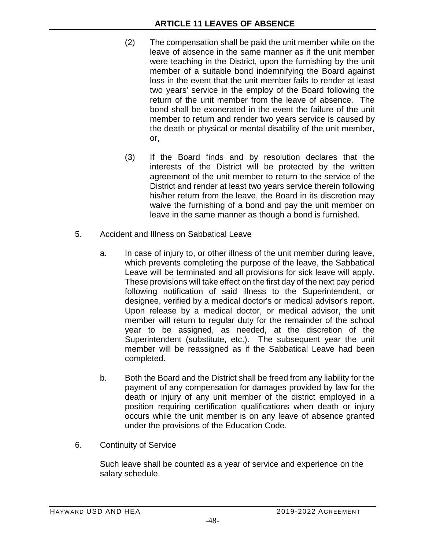- (2) The compensation shall be paid the unit member while on the leave of absence in the same manner as if the unit member were teaching in the District, upon the furnishing by the unit member of a suitable bond indemnifying the Board against loss in the event that the unit member fails to render at least two years' service in the employ of the Board following the return of the unit member from the leave of absence. The bond shall be exonerated in the event the failure of the unit member to return and render two years service is caused by the death or physical or mental disability of the unit member, or,
- (3) If the Board finds and by resolution declares that the interests of the District will be protected by the written agreement of the unit member to return to the service of the District and render at least two years service therein following his/her return from the leave, the Board in its discretion may waive the furnishing of a bond and pay the unit member on leave in the same manner as though a bond is furnished.
- 5. Accident and Illness on Sabbatical Leave
	- a. In case of injury to, or other illness of the unit member during leave, which prevents completing the purpose of the leave, the Sabbatical Leave will be terminated and all provisions for sick leave will apply. These provisions will take effect on the first day of the next pay period following notification of said illness to the Superintendent, or designee, verified by a medical doctor's or medical advisor's report. Upon release by a medical doctor, or medical advisor, the unit member will return to regular duty for the remainder of the school year to be assigned, as needed, at the discretion of the Superintendent (substitute, etc.). The subsequent year the unit member will be reassigned as if the Sabbatical Leave had been completed.
	- b. Both the Board and the District shall be freed from any liability for the payment of any compensation for damages provided by law for the death or injury of any unit member of the district employed in a position requiring certification qualifications when death or injury occurs while the unit member is on any leave of absence granted under the provisions of the Education Code.
- 6. Continuity of Service

Such leave shall be counted as a year of service and experience on the salary schedule.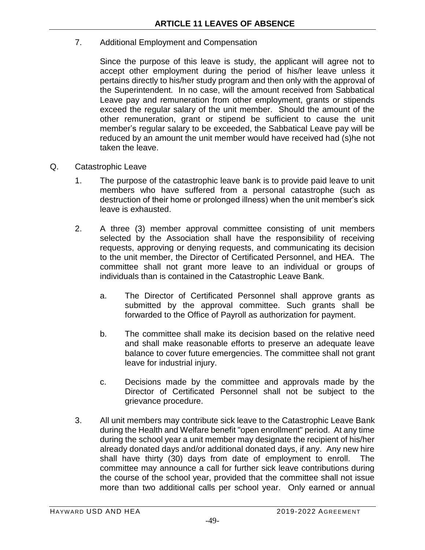## 7. Additional Employment and Compensation

Since the purpose of this leave is study, the applicant will agree not to accept other employment during the period of his/her leave unless it pertains directly to his/her study program and then only with the approval of the Superintendent. In no case, will the amount received from Sabbatical Leave pay and remuneration from other employment, grants or stipends exceed the regular salary of the unit member. Should the amount of the other remuneration, grant or stipend be sufficient to cause the unit member's regular salary to be exceeded, the Sabbatical Leave pay will be reduced by an amount the unit member would have received had (s)he not taken the leave.

- Q. Catastrophic Leave
	- 1. The purpose of the catastrophic leave bank is to provide paid leave to unit members who have suffered from a personal catastrophe (such as destruction of their home or prolonged illness) when the unit member's sick leave is exhausted.
	- 2. A three (3) member approval committee consisting of unit members selected by the Association shall have the responsibility of receiving requests, approving or denying requests, and communicating its decision to the unit member, the Director of Certificated Personnel, and HEA. The committee shall not grant more leave to an individual or groups of individuals than is contained in the Catastrophic Leave Bank.
		- a. The Director of Certificated Personnel shall approve grants as submitted by the approval committee. Such grants shall be forwarded to the Office of Payroll as authorization for payment.
		- b. The committee shall make its decision based on the relative need and shall make reasonable efforts to preserve an adequate leave balance to cover future emergencies. The committee shall not grant leave for industrial injury.
		- c. Decisions made by the committee and approvals made by the Director of Certificated Personnel shall not be subject to the grievance procedure.
	- 3. All unit members may contribute sick leave to the Catastrophic Leave Bank during the Health and Welfare benefit "open enrollment" period. At any time during the school year a unit member may designate the recipient of his/her already donated days and/or additional donated days, if any. Any new hire shall have thirty (30) days from date of employment to enroll. The committee may announce a call for further sick leave contributions during the course of the school year, provided that the committee shall not issue more than two additional calls per school year. Only earned or annual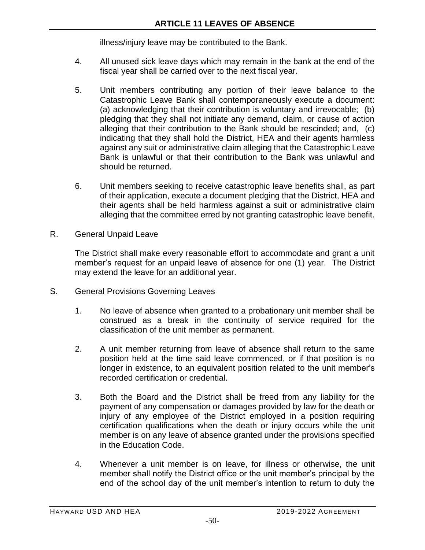illness/injury leave may be contributed to the Bank.

- 4. All unused sick leave days which may remain in the bank at the end of the fiscal year shall be carried over to the next fiscal year.
- 5. Unit members contributing any portion of their leave balance to the Catastrophic Leave Bank shall contemporaneously execute a document: (a) acknowledging that their contribution is voluntary and irrevocable; (b) pledging that they shall not initiate any demand, claim, or cause of action alleging that their contribution to the Bank should be rescinded; and, (c) indicating that they shall hold the District, HEA and their agents harmless against any suit or administrative claim alleging that the Catastrophic Leave Bank is unlawful or that their contribution to the Bank was unlawful and should be returned.
- 6. Unit members seeking to receive catastrophic leave benefits shall, as part of their application, execute a document pledging that the District, HEA and their agents shall be held harmless against a suit or administrative claim alleging that the committee erred by not granting catastrophic leave benefit.
- R. General Unpaid Leave

The District shall make every reasonable effort to accommodate and grant a unit member's request for an unpaid leave of absence for one (1) year. The District may extend the leave for an additional year.

- S. General Provisions Governing Leaves
	- 1. No leave of absence when granted to a probationary unit member shall be construed as a break in the continuity of service required for the classification of the unit member as permanent.
	- 2. A unit member returning from leave of absence shall return to the same position held at the time said leave commenced, or if that position is no longer in existence, to an equivalent position related to the unit member's recorded certification or credential.
	- 3. Both the Board and the District shall be freed from any liability for the payment of any compensation or damages provided by law for the death or injury of any employee of the District employed in a position requiring certification qualifications when the death or injury occurs while the unit member is on any leave of absence granted under the provisions specified in the Education Code.
	- 4. Whenever a unit member is on leave, for illness or otherwise, the unit member shall notify the District office or the unit member's principal by the end of the school day of the unit member's intention to return to duty the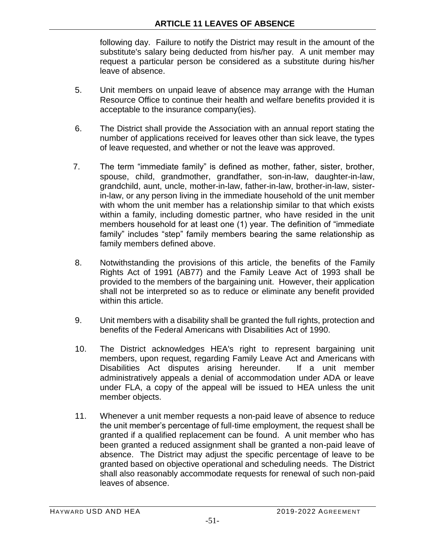following day. Failure to notify the District may result in the amount of the substitute's salary being deducted from his/her pay. A unit member may request a particular person be considered as a substitute during his/her leave of absence.

- 5. Unit members on unpaid leave of absence may arrange with the Human Resource Office to continue their health and welfare benefits provided it is acceptable to the insurance company(ies).
- 6. The District shall provide the Association with an annual report stating the number of applications received for leaves other than sick leave, the types of leave requested, and whether or not the leave was approved.
- 7. The term "immediate family" is defined as mother, father, sister, brother, spouse, child, grandmother, grandfather, son-in-law, daughter-in-law, grandchild, aunt, uncle, mother-in-law, father-in-law, brother-in-law, sisterin-law, or any person living in the immediate household of the unit member with whom the unit member has a relationship similar to that which exists within a family, including domestic partner, who have resided in the unit members household for at least one (1) year. The definition of "immediate family" includes "step" family members bearing the same relationship as family members defined above.
- 8. Notwithstanding the provisions of this article, the benefits of the Family Rights Act of 1991 (AB77) and the Family Leave Act of 1993 shall be provided to the members of the bargaining unit. However, their application shall not be interpreted so as to reduce or eliminate any benefit provided within this article.
- 9. Unit members with a disability shall be granted the full rights, protection and benefits of the Federal Americans with Disabilities Act of 1990.
- 10. The District acknowledges HEA's right to represent bargaining unit members, upon request, regarding Family Leave Act and Americans with Disabilities Act disputes arising hereunder. If a unit member administratively appeals a denial of accommodation under ADA or leave under FLA, a copy of the appeal will be issued to HEA unless the unit member objects.
- 11. Whenever a unit member requests a non-paid leave of absence to reduce the unit member's percentage of full-time employment, the request shall be granted if a qualified replacement can be found. A unit member who has been granted a reduced assignment shall be granted a non-paid leave of absence. The District may adjust the specific percentage of leave to be granted based on objective operational and scheduling needs. The District shall also reasonably accommodate requests for renewal of such non-paid leaves of absence.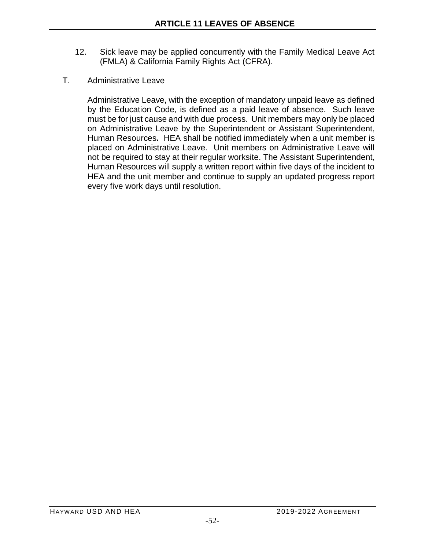- 12. Sick leave may be applied concurrently with the Family Medical Leave Act (FMLA) & California Family Rights Act (CFRA).
- T. Administrative Leave

Administrative Leave, with the exception of mandatory unpaid leave as defined by the Education Code, is defined as a paid leave of absence. Such leave must be for just cause and with due process. Unit members may only be placed on Administrative Leave by the Superintendent or Assistant Superintendent, Human Resources**.** HEA shall be notified immediately when a unit member is placed on Administrative Leave. Unit members on Administrative Leave will not be required to stay at their regular worksite. The Assistant Superintendent, Human Resources will supply a written report within five days of the incident to HEA and the unit member and continue to supply an updated progress report every five work days until resolution.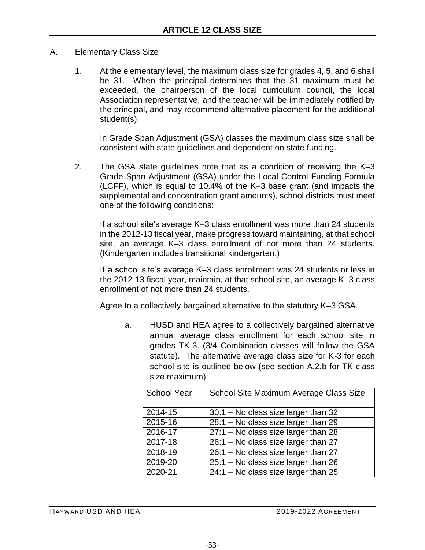- A. Elementary Class Size
	- 1. At the elementary level, the maximum class size for grades 4, 5, and 6 shall be 31. When the principal determines that the 31 maximum must be exceeded, the chairperson of the local curriculum council, the local Association representative, and the teacher will be immediately notified by the principal, and may recommend alternative placement for the additional student(s).

In Grade Span Adjustment (GSA) classes the maximum class size shall be consistent with state guidelines and dependent on state funding.

2. The GSA state guidelines note that as a condition of receiving the K–3 Grade Span Adjustment (GSA) under the Local Control Funding Formula (LCFF), which is equal to 10.4% of the K–3 base grant (and impacts the supplemental and concentration grant amounts), school districts must meet one of the following conditions:

If a school site's average K–3 class enrollment was more than 24 students in the 2012-13 fiscal year, make progress toward maintaining, at that school site, an average K–3 class enrollment of not more than 24 students. (Kindergarten includes transitional kindergarten.)

If a school site's average K–3 class enrollment was 24 students or less in the 2012-13 fiscal year, maintain, at that school site, an average K–3 class enrollment of not more than 24 students.

Agree to a collectively bargained alternative to the statutory K–3 GSA.

a. HUSD and HEA agree to a collectively bargained alternative annual average class enrollment for each school site in grades TK-3. (3/4 Combination classes will follow the GSA statute). The alternative average class size for K-3 for each school site is outlined below (see section A.2.b for TK class size maximum):

| <b>School Year</b> | School Site Maximum Average Class Size |
|--------------------|----------------------------------------|
| 2014-15            | 30:1 - No class size larger than 32    |
| 2015-16            | 28:1 - No class size larger than 29    |
| 2016-17            | $27:1 - No$ class size larger than 28  |
| 2017-18            | 26:1 - No class size larger than 27    |
| 2018-19            | 26:1 - No class size larger than 27    |
| 2019-20            | 25:1 - No class size larger than 26    |
| 2020-21            | $24:1 - No$ class size larger than 25  |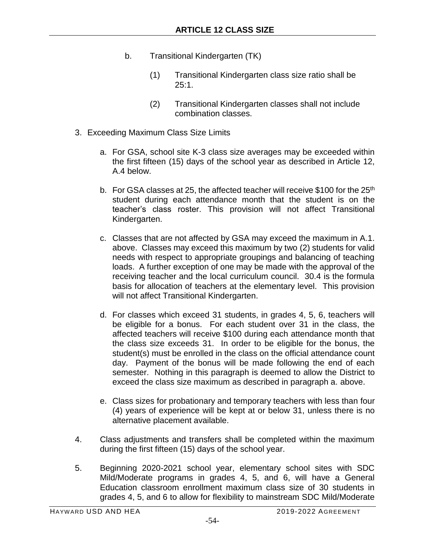- b. Transitional Kindergarten (TK)
	- (1) Transitional Kindergarten class size ratio shall be  $25:1.$
	- (2) Transitional Kindergarten classes shall not include combination classes.
- 3. Exceeding Maximum Class Size Limits
	- a. For GSA, school site K-3 class size averages may be exceeded within the first fifteen (15) days of the school year as described in Article 12, A.4 below.
	- b. For GSA classes at 25, the affected teacher will receive \$100 for the  $25<sup>th</sup>$ student during each attendance month that the student is on the teacher's class roster. This provision will not affect Transitional Kindergarten.
	- c. Classes that are not affected by GSA may exceed the maximum in A.1. above. Classes may exceed this maximum by two (2) students for valid needs with respect to appropriate groupings and balancing of teaching loads. A further exception of one may be made with the approval of the receiving teacher and the local curriculum council. 30.4 is the formula basis for allocation of teachers at the elementary level. This provision will not affect Transitional Kindergarten.
	- d. For classes which exceed 31 students, in grades 4, 5, 6, teachers will be eligible for a bonus. For each student over 31 in the class, the affected teachers will receive \$100 during each attendance month that the class size exceeds 31. In order to be eligible for the bonus, the student(s) must be enrolled in the class on the official attendance count day. Payment of the bonus will be made following the end of each semester. Nothing in this paragraph is deemed to allow the District to exceed the class size maximum as described in paragraph a. above.
	- e. Class sizes for probationary and temporary teachers with less than four (4) years of experience will be kept at or below 31, unless there is no alternative placement available.
- 4. Class adjustments and transfers shall be completed within the maximum during the first fifteen (15) days of the school year.
- 5. Beginning 2020-2021 school year, elementary school sites with SDC Mild/Moderate programs in grades 4, 5, and 6, will have a General Education classroom enrollment maximum class size of 30 students in grades 4, 5, and 6 to allow for flexibility to mainstream SDC Mild/Moderate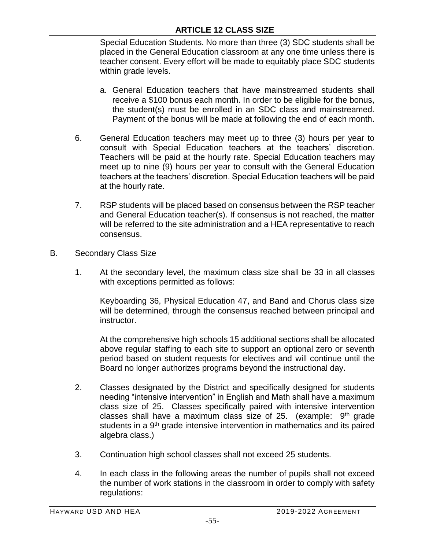Special Education Students. No more than three (3) SDC students shall be placed in the General Education classroom at any one time unless there is teacher consent. Every effort will be made to equitably place SDC students within grade levels.

- a. General Education teachers that have mainstreamed students shall receive a \$100 bonus each month. In order to be eligible for the bonus, the student(s) must be enrolled in an SDC class and mainstreamed. Payment of the bonus will be made at following the end of each month.
- 6. General Education teachers may meet up to three (3) hours per year to consult with Special Education teachers at the teachers' discretion. Teachers will be paid at the hourly rate. Special Education teachers may meet up to nine (9) hours per year to consult with the General Education teachers at the teachers' discretion. Special Education teachers will be paid at the hourly rate.
- 7. RSP students will be placed based on consensus between the RSP teacher and General Education teacher(s). If consensus is not reached, the matter will be referred to the site administration and a HEA representative to reach consensus.
- B. Secondary Class Size
	- 1. At the secondary level, the maximum class size shall be 33 in all classes with exceptions permitted as follows:

Keyboarding 36, Physical Education 47, and Band and Chorus class size will be determined, through the consensus reached between principal and instructor.

At the comprehensive high schools 15 additional sections shall be allocated above regular staffing to each site to support an optional zero or seventh period based on student requests for electives and will continue until the Board no longer authorizes programs beyond the instructional day.

- 2. Classes designated by the District and specifically designed for students needing "intensive intervention" in English and Math shall have a maximum class size of 25. Classes specifically paired with intensive intervention classes shall have a maximum class size of 25. (example:  $9<sup>th</sup>$  grade students in a 9<sup>th</sup> grade intensive intervention in mathematics and its paired algebra class.)
- 3. Continuation high school classes shall not exceed 25 students.
- 4. In each class in the following areas the number of pupils shall not exceed the number of work stations in the classroom in order to comply with safety regulations: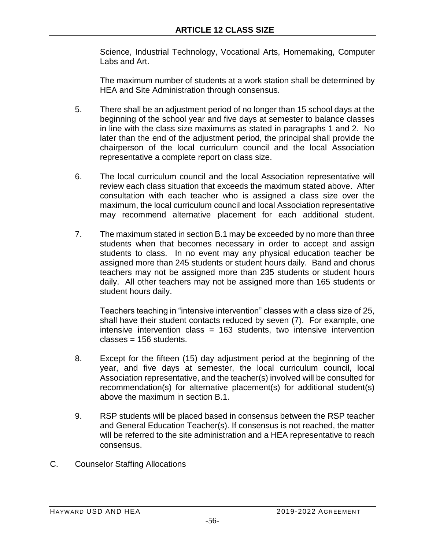Science, Industrial Technology, Vocational Arts, Homemaking, Computer Labs and Art.

The maximum number of students at a work station shall be determined by HEA and Site Administration through consensus.

- 5. There shall be an adjustment period of no longer than 15 school days at the beginning of the school year and five days at semester to balance classes in line with the class size maximums as stated in paragraphs 1 and 2. No later than the end of the adjustment period, the principal shall provide the chairperson of the local curriculum council and the local Association representative a complete report on class size.
- 6. The local curriculum council and the local Association representative will review each class situation that exceeds the maximum stated above. After consultation with each teacher who is assigned a class size over the maximum, the local curriculum council and local Association representative may recommend alternative placement for each additional student.
- 7. The maximum stated in section B.1 may be exceeded by no more than three students when that becomes necessary in order to accept and assign students to class. In no event may any physical education teacher be assigned more than 245 students or student hours daily. Band and chorus teachers may not be assigned more than 235 students or student hours daily. All other teachers may not be assigned more than 165 students or student hours daily.

Teachers teaching in "intensive intervention" classes with a class size of 25, shall have their student contacts reduced by seven (7). For example, one intensive intervention class = 163 students, two intensive intervention classes = 156 students.

- 8. Except for the fifteen (15) day adjustment period at the beginning of the year, and five days at semester, the local curriculum council, local Association representative, and the teacher(s) involved will be consulted for recommendation(s) for alternative placement(s) for additional student(s) above the maximum in section B.1.
- 9. RSP students will be placed based in consensus between the RSP teacher and General Education Teacher(s). If consensus is not reached, the matter will be referred to the site administration and a HEA representative to reach consensus.
- C. Counselor Staffing Allocations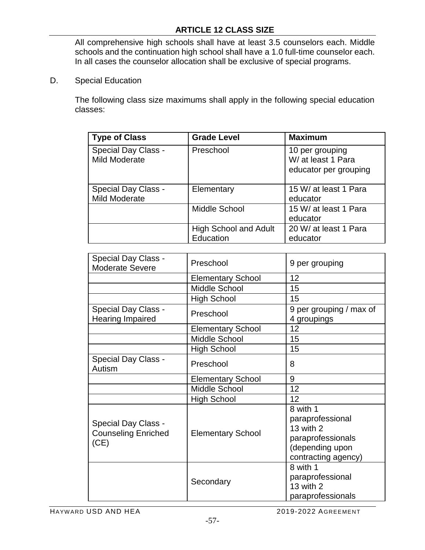All comprehensive high schools shall have at least 3.5 counselors each. Middle schools and the continuation high school shall have a 1.0 full-time counselor each. In all cases the counselor allocation shall be exclusive of special programs.

D. Special Education

The following class size maximums shall apply in the following special education classes:

| <b>Type of Class</b>                        | <b>Grade Level</b>                        | <b>Maximum</b>                                                 |
|---------------------------------------------|-------------------------------------------|----------------------------------------------------------------|
| <b>Special Day Class -</b><br>Mild Moderate | Preschool                                 | 10 per grouping<br>W/ at least 1 Para<br>educator per grouping |
| Special Day Class -<br>Mild Moderate        | Elementary                                | 15 W/ at least 1 Para<br>educator                              |
|                                             | <b>Middle School</b>                      | 15 W/ at least 1 Para<br>educator                              |
|                                             | <b>High School and Adult</b><br>Education | 20 W/ at least 1 Para<br>educator                              |

| <b>Special Day Class -</b><br><b>Moderate Severe</b>             | Preschool                | 9 per grouping                                                                                           |
|------------------------------------------------------------------|--------------------------|----------------------------------------------------------------------------------------------------------|
|                                                                  | <b>Elementary School</b> | 12                                                                                                       |
|                                                                  | <b>Middle School</b>     | 15                                                                                                       |
|                                                                  | <b>High School</b>       | 15                                                                                                       |
| <b>Special Day Class -</b><br><b>Hearing Impaired</b>            | Preschool                | 9 per grouping / max of<br>4 groupings                                                                   |
|                                                                  | <b>Elementary School</b> | 12                                                                                                       |
|                                                                  | <b>Middle School</b>     | 15                                                                                                       |
|                                                                  | <b>High School</b>       | 15                                                                                                       |
| Special Day Class -<br>Autism                                    | Preschool                | 8                                                                                                        |
|                                                                  | <b>Elementary School</b> | 9                                                                                                        |
|                                                                  | <b>Middle School</b>     | 12                                                                                                       |
|                                                                  | <b>High School</b>       | 12                                                                                                       |
| <b>Special Day Class -</b><br><b>Counseling Enriched</b><br>(CE) | <b>Elementary School</b> | 8 with 1<br>paraprofessional<br>13 with 2<br>paraprofessionals<br>(depending upon<br>contracting agency) |
|                                                                  | Secondary                | 8 with 1<br>paraprofessional<br>13 with 2<br>paraprofessionals                                           |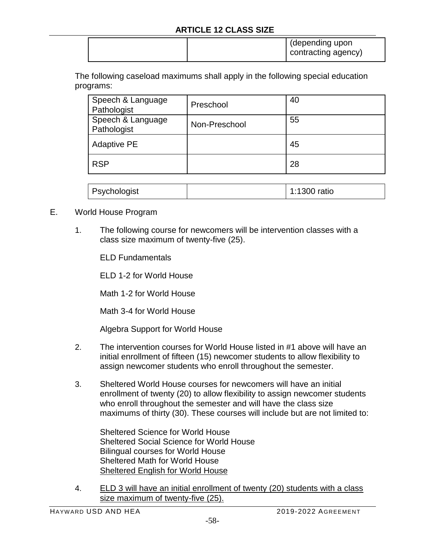|  | (depending upon<br>contracting agency) |  |
|--|----------------------------------------|--|
|--|----------------------------------------|--|

The following caseload maximums shall apply in the following special education programs:

| Preschool     | 40 |
|---------------|----|
| Non-Preschool | 55 |
|               | 45 |
|               | 28 |
|               |    |

| Psychologist |  | 1:1300 ratio |
|--------------|--|--------------|
|--------------|--|--------------|

- E. World House Program
	- 1. The following course for newcomers will be intervention classes with a class size maximum of twenty-five (25).

ELD Fundamentals

ELD 1-2 for World House

Math 1-2 for World House

Math 3-4 for World House

Algebra Support for World House

- 2. The intervention courses for World House listed in #1 above will have an initial enrollment of fifteen (15) newcomer students to allow flexibility to assign newcomer students who enroll throughout the semester.
- 3. Sheltered World House courses for newcomers will have an initial enrollment of twenty (20) to allow flexibility to assign newcomer students who enroll throughout the semester and will have the class size maximums of thirty (30). These courses will include but are not limited to:

Sheltered Science for World House Sheltered Social Science for World House Bilingual courses for World House Sheltered Math for World House Sheltered English for World House

4. ELD 3 will have an initial enrollment of twenty (20) students with a class size maximum of twenty-five (25).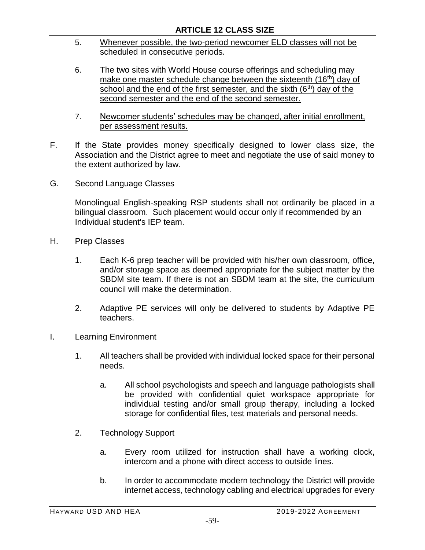- 5. Whenever possible, the two-period newcomer ELD classes will not be scheduled in consecutive periods.
- 6. The two sites with World House course offerings and scheduling may make one master schedule change between the sixteenth  $(16<sup>th</sup>)$  day of school and the end of the first semester, and the sixth  $(6<sup>th</sup>)$  day of the second semester and the end of the second semester.
- 7. Newcomer students' schedules may be changed, after initial enrollment, per assessment results.
- F. If the State provides money specifically designed to lower class size, the Association and the District agree to meet and negotiate the use of said money to the extent authorized by law.
- G. Second Language Classes

Monolingual English-speaking RSP students shall not ordinarily be placed in a bilingual classroom. Such placement would occur only if recommended by an Individual student's IEP team.

- H. Prep Classes
	- 1. Each K-6 prep teacher will be provided with his/her own classroom, office, and/or storage space as deemed appropriate for the subject matter by the SBDM site team. If there is not an SBDM team at the site, the curriculum council will make the determination.
	- 2. Adaptive PE services will only be delivered to students by Adaptive PE teachers.
- I. Learning Environment
	- 1. All teachers shall be provided with individual locked space for their personal needs.
		- a. All school psychologists and speech and language pathologists shall be provided with confidential quiet workspace appropriate for individual testing and/or small group therapy, including a locked storage for confidential files, test materials and personal needs.
	- 2. Technology Support
		- a. Every room utilized for instruction shall have a working clock, intercom and a phone with direct access to outside lines.
		- b. In order to accommodate modern technology the District will provide internet access, technology cabling and electrical upgrades for every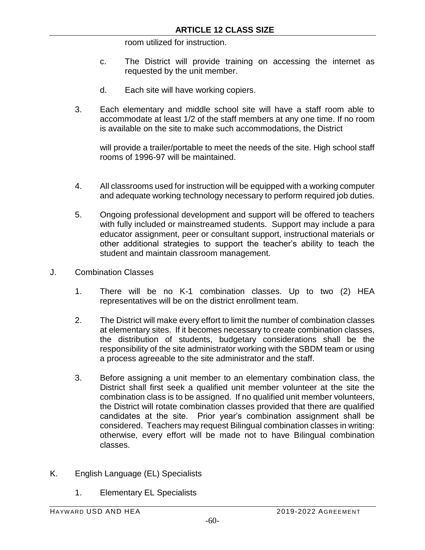room utilized for instruction.

- c. The District will provide training on accessing the internet as requested by the unit member.
- d. Each site will have working copiers.
- 3. Each elementary and middle school site will have a staff room able to accommodate at least 1/2 of the staff members at any one time. If no room is available on the site to make such accommodations, the District

will provide a trailer/portable to meet the needs of the site. High school staff rooms of 1996-97 will be maintained.

- 4. All classrooms used for instruction will be equipped with a working computer and adequate working technology necessary to perform required job duties.
- 5. Ongoing professional development and support will be offered to teachers with fully included or mainstreamed students. Support may include a para educator assignment, peer or consultant support, instructional materials or other additional strategies to support the teacher's ability to teach the student and maintain classroom management.
- J. Combination Classes
	- 1. There will be no K-1 combination classes. Up to two (2) HEA representatives will be on the district enrollment team.
	- 2. The District will make every effort to limit the number of combination classes at elementary sites. If it becomes necessary to create combination classes, the distribution of students, budgetary considerations shall be the responsibility of the site administrator working with the SBDM team or using a process agreeable to the site administrator and the staff.
	- 3. Before assigning a unit member to an elementary combination class, the District shall first seek a qualified unit member volunteer at the site the combination class is to be assigned. If no qualified unit member volunteers, the District will rotate combination classes provided that there are qualified candidates at the site. Prior year's combination assignment shall be considered. Teachers may request Bilingual combination classes in writing: otherwise, every effort will be made not to have Bilingual combination classes.
- K. English Language (EL) Specialists
	- 1. Elementary EL Specialists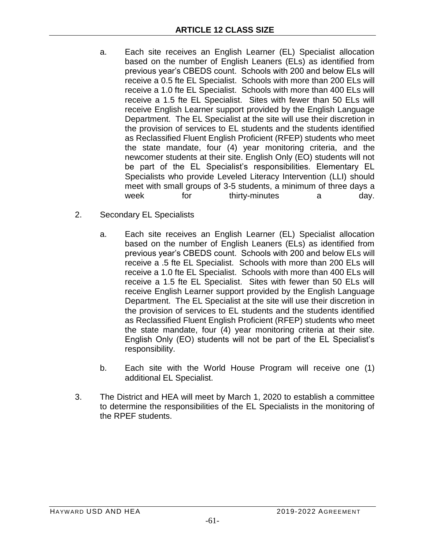- a. Each site receives an English Learner (EL) Specialist allocation based on the number of English Leaners (ELs) as identified from previous year's CBEDS count. Schools with 200 and below ELs will receive a 0.5 fte EL Specialist. Schools with more than 200 ELs will receive a 1.0 fte EL Specialist. Schools with more than 400 ELs will receive a 1.5 fte EL Specialist. Sites with fewer than 50 ELs will receive English Learner support provided by the English Language Department. The EL Specialist at the site will use their discretion in the provision of services to EL students and the students identified as Reclassified Fluent English Proficient (RFEP) students who meet the state mandate, four (4) year monitoring criteria, and the newcomer students at their site. English Only (EO) students will not be part of the EL Specialist's responsibilities. Elementary EL Specialists who provide Leveled Literacy Intervention (LLI) should meet with small groups of 3-5 students, a minimum of three days a week for thirty-minutes a day.
- 2. Secondary EL Specialists
	- a. Each site receives an English Learner (EL) Specialist allocation based on the number of English Leaners (ELs) as identified from previous year's CBEDS count. Schools with 200 and below ELs will receive a .5 fte EL Specialist. Schools with more than 200 ELs will receive a 1.0 fte EL Specialist. Schools with more than 400 ELs will receive a 1.5 fte EL Specialist. Sites with fewer than 50 ELs will receive English Learner support provided by the English Language Department. The EL Specialist at the site will use their discretion in the provision of services to EL students and the students identified as Reclassified Fluent English Proficient (RFEP) students who meet the state mandate, four (4) year monitoring criteria at their site. English Only (EO) students will not be part of the EL Specialist's responsibility.
	- b. Each site with the World House Program will receive one (1) additional EL Specialist.
- 3. The District and HEA will meet by March 1, 2020 to establish a committee to determine the responsibilities of the EL Specialists in the monitoring of the RPEF students.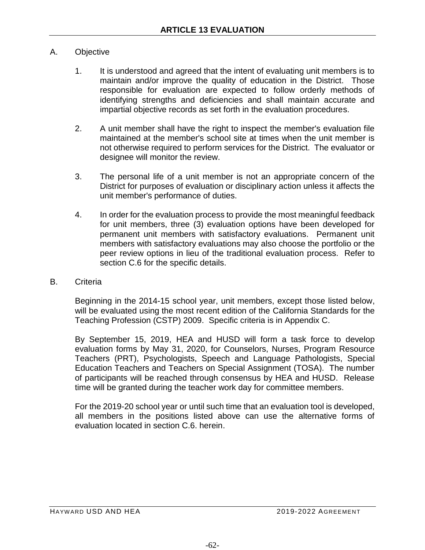## A. Objective

- 1. It is understood and agreed that the intent of evaluating unit members is to maintain and/or improve the quality of education in the District. Those responsible for evaluation are expected to follow orderly methods of identifying strengths and deficiencies and shall maintain accurate and impartial objective records as set forth in the evaluation procedures.
- 2. A unit member shall have the right to inspect the member's evaluation file maintained at the member's school site at times when the unit member is not otherwise required to perform services for the District. The evaluator or designee will monitor the review.
- 3. The personal life of a unit member is not an appropriate concern of the District for purposes of evaluation or disciplinary action unless it affects the unit member's performance of duties.
- 4. In order for the evaluation process to provide the most meaningful feedback for unit members, three (3) evaluation options have been developed for permanent unit members with satisfactory evaluations. Permanent unit members with satisfactory evaluations may also choose the portfolio or the peer review options in lieu of the traditional evaluation process. Refer to section C.6 for the specific details.
- B. Criteria

Beginning in the 2014-15 school year, unit members, except those listed below, will be evaluated using the most recent edition of the California Standards for the Teaching Profession (CSTP) 2009. Specific criteria is in Appendix C.

By September 15, 2019, HEA and HUSD will form a task force to develop evaluation forms by May 31, 2020, for Counselors, Nurses, Program Resource Teachers (PRT), Psychologists, Speech and Language Pathologists, Special Education Teachers and Teachers on Special Assignment (TOSA). The number of participants will be reached through consensus by HEA and HUSD. Release time will be granted during the teacher work day for committee members.

For the 2019-20 school year or until such time that an evaluation tool is developed, all members in the positions listed above can use the alternative forms of evaluation located in section C.6. herein.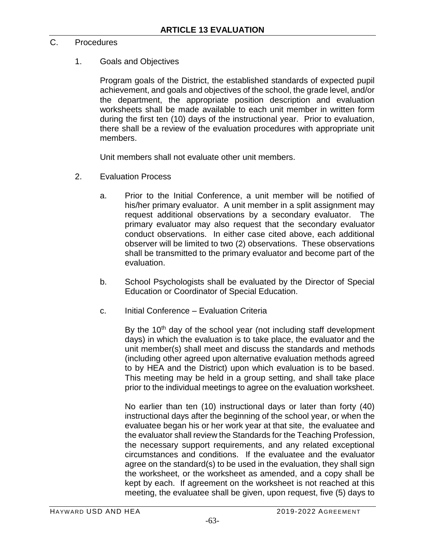## C. Procedures

## 1. Goals and Objectives

Program goals of the District, the established standards of expected pupil achievement, and goals and objectives of the school, the grade level, and/or the department, the appropriate position description and evaluation worksheets shall be made available to each unit member in written form during the first ten (10) days of the instructional year. Prior to evaluation, there shall be a review of the evaluation procedures with appropriate unit members.

Unit members shall not evaluate other unit members.

- 2. Evaluation Process
	- a. Prior to the Initial Conference, a unit member will be notified of his/her primary evaluator. A unit member in a split assignment may request additional observations by a secondary evaluator. The primary evaluator may also request that the secondary evaluator conduct observations. In either case cited above, each additional observer will be limited to two (2) observations. These observations shall be transmitted to the primary evaluator and become part of the evaluation.
	- b. School Psychologists shall be evaluated by the Director of Special Education or Coordinator of Special Education.
	- c. Initial Conference Evaluation Criteria

By the  $10<sup>th</sup>$  day of the school year (not including staff development days) in which the evaluation is to take place, the evaluator and the unit member(s) shall meet and discuss the standards and methods (including other agreed upon alternative evaluation methods agreed to by HEA and the District) upon which evaluation is to be based. This meeting may be held in a group setting, and shall take place prior to the individual meetings to agree on the evaluation worksheet.

No earlier than ten (10) instructional days or later than forty (40) instructional days after the beginning of the school year, or when the evaluatee began his or her work year at that site, the evaluatee and the evaluator shall review the Standards for the Teaching Profession, the necessary support requirements, and any related exceptional circumstances and conditions. If the evaluatee and the evaluator agree on the standard(s) to be used in the evaluation, they shall sign the worksheet, or the worksheet as amended, and a copy shall be kept by each. If agreement on the worksheet is not reached at this meeting, the evaluatee shall be given, upon request, five (5) days to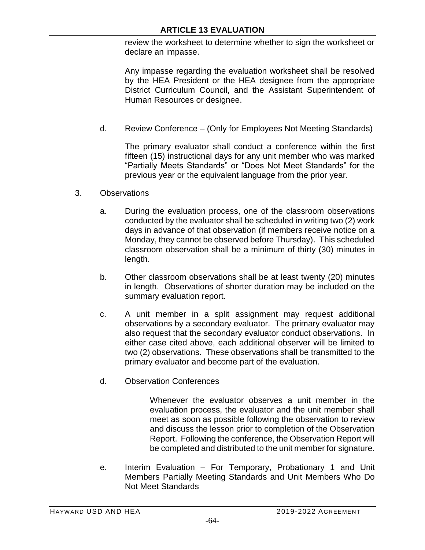review the worksheet to determine whether to sign the worksheet or declare an impasse.

Any impasse regarding the evaluation worksheet shall be resolved by the HEA President or the HEA designee from the appropriate District Curriculum Council, and the Assistant Superintendent of Human Resources or designee.

d. Review Conference – (Only for Employees Not Meeting Standards)

The primary evaluator shall conduct a conference within the first fifteen (15) instructional days for any unit member who was marked "Partially Meets Standards" or "Does Not Meet Standards" for the previous year or the equivalent language from the prior year.

- 3. Observations
	- a. During the evaluation process, one of the classroom observations conducted by the evaluator shall be scheduled in writing two (2) work days in advance of that observation (if members receive notice on a Monday, they cannot be observed before Thursday). This scheduled classroom observation shall be a minimum of thirty (30) minutes in length.
	- b. Other classroom observations shall be at least twenty (20) minutes in length. Observations of shorter duration may be included on the summary evaluation report.
	- c. A unit member in a split assignment may request additional observations by a secondary evaluator. The primary evaluator may also request that the secondary evaluator conduct observations. In either case cited above, each additional observer will be limited to two (2) observations. These observations shall be transmitted to the primary evaluator and become part of the evaluation.
	- d. Observation Conferences

Whenever the evaluator observes a unit member in the evaluation process, the evaluator and the unit member shall meet as soon as possible following the observation to review and discuss the lesson prior to completion of the Observation Report. Following the conference, the Observation Report will be completed and distributed to the unit member for signature.

e. Interim Evaluation – For Temporary, Probationary 1 and Unit Members Partially Meeting Standards and Unit Members Who Do Not Meet Standards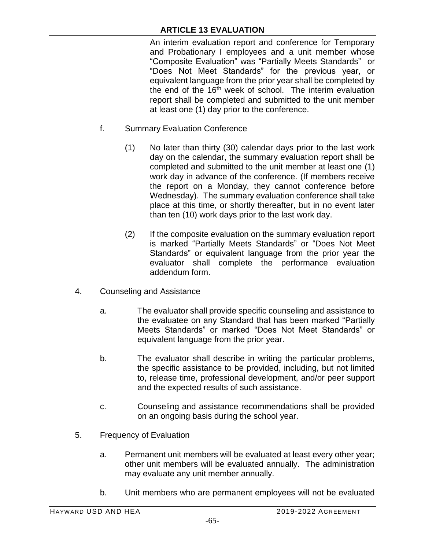An interim evaluation report and conference for Temporary and Probationary I employees and a unit member whose "Composite Evaluation" was "Partially Meets Standards" or "Does Not Meet Standards" for the previous year, or equivalent language from the prior year shall be completed by the end of the 16<sup>th</sup> week of school. The interim evaluation report shall be completed and submitted to the unit member at least one (1) day prior to the conference.

- f. Summary Evaluation Conference
	- (1) No later than thirty (30) calendar days prior to the last work day on the calendar, the summary evaluation report shall be completed and submitted to the unit member at least one (1) work day in advance of the conference. (If members receive the report on a Monday, they cannot conference before Wednesday). The summary evaluation conference shall take place at this time, or shortly thereafter, but in no event later than ten (10) work days prior to the last work day.
	- (2) If the composite evaluation on the summary evaluation report is marked "Partially Meets Standards" or "Does Not Meet Standards" or equivalent language from the prior year the evaluator shall complete the performance evaluation addendum form.
- 4. Counseling and Assistance
	- a. The evaluator shall provide specific counseling and assistance to the evaluatee on any Standard that has been marked "Partially Meets Standards" or marked "Does Not Meet Standards" or equivalent language from the prior year.
	- b. The evaluator shall describe in writing the particular problems, the specific assistance to be provided, including, but not limited to, release time, professional development, and/or peer support and the expected results of such assistance.
	- c. Counseling and assistance recommendations shall be provided on an ongoing basis during the school year.
- 5. Frequency of Evaluation
	- a. Permanent unit members will be evaluated at least every other year; other unit members will be evaluated annually. The administration may evaluate any unit member annually.
	- b. Unit members who are permanent employees will not be evaluated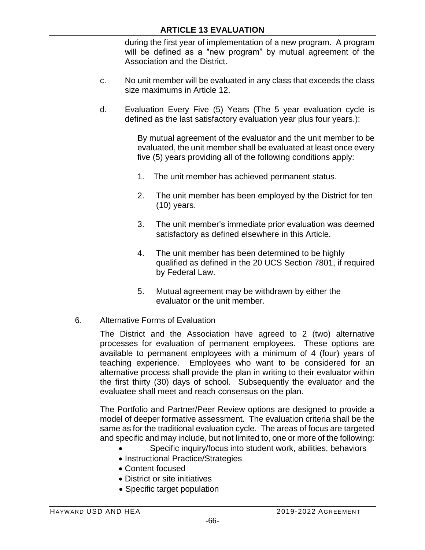during the first year of implementation of a new program. A program will be defined as a "new program" by mutual agreement of the Association and the District.

- c. No unit member will be evaluated in any class that exceeds the class size maximums in Article 12.
- d. Evaluation Every Five (5) Years (The 5 year evaluation cycle is defined as the last satisfactory evaluation year plus four years.):

By mutual agreement of the evaluator and the unit member to be evaluated, the unit member shall be evaluated at least once every five (5) years providing all of the following conditions apply:

- 1. The unit member has achieved permanent status.
- 2. The unit member has been employed by the District for ten (10) years.
- 3. The unit member's immediate prior evaluation was deemed satisfactory as defined elsewhere in this Article.
- 4. The unit member has been determined to be highly qualified as defined in the 20 UCS Section 7801, if required by Federal Law.
- 5. Mutual agreement may be withdrawn by either the evaluator or the unit member.
- 6. Alternative Forms of Evaluation

The District and the Association have agreed to 2 (two) alternative processes for evaluation of permanent employees. These options are available to permanent employees with a minimum of 4 (four) years of teaching experience. Employees who want to be considered for an alternative process shall provide the plan in writing to their evaluator within the first thirty (30) days of school. Subsequently the evaluator and the evaluatee shall meet and reach consensus on the plan.

The Portfolio and Partner/Peer Review options are designed to provide a model of deeper formative assessment. The evaluation criteria shall be the same as for the traditional evaluation cycle. The areas of focus are targeted and specific and may include, but not limited to, one or more of the following:

- Specific inquiry/focus into student work, abilities, behaviors
- Instructional Practice/Strategies
- Content focused
- District or site initiatives
- Specific target population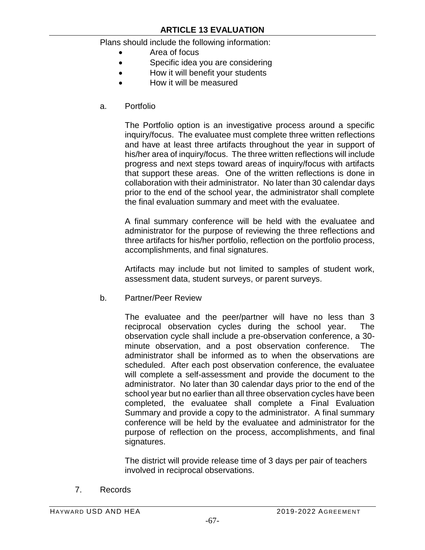Plans should include the following information:

- Area of focus
- Specific idea you are considering
- How it will benefit your students
- How it will be measured
- a. Portfolio

The Portfolio option is an investigative process around a specific inquiry/focus. The evaluatee must complete three written reflections and have at least three artifacts throughout the year in support of his/her area of inquiry/focus. The three written reflections will include progress and next steps toward areas of inquiry/focus with artifacts that support these areas. One of the written reflections is done in collaboration with their administrator. No later than 30 calendar days prior to the end of the school year, the administrator shall complete the final evaluation summary and meet with the evaluatee.

A final summary conference will be held with the evaluatee and administrator for the purpose of reviewing the three reflections and three artifacts for his/her portfolio, reflection on the portfolio process, accomplishments, and final signatures.

Artifacts may include but not limited to samples of student work, assessment data, student surveys, or parent surveys.

b. Partner/Peer Review

The evaluatee and the peer/partner will have no less than 3 reciprocal observation cycles during the school year. The observation cycle shall include a pre-observation conference, a 30 minute observation, and a post observation conference. The administrator shall be informed as to when the observations are scheduled. After each post observation conference, the evaluatee will complete a self-assessment and provide the document to the administrator. No later than 30 calendar days prior to the end of the school year but no earlier than all three observation cycles have been completed, the evaluatee shall complete a Final Evaluation Summary and provide a copy to the administrator. A final summary conference will be held by the evaluatee and administrator for the purpose of reflection on the process, accomplishments, and final signatures.

The district will provide release time of 3 days per pair of teachers involved in reciprocal observations.

7. Records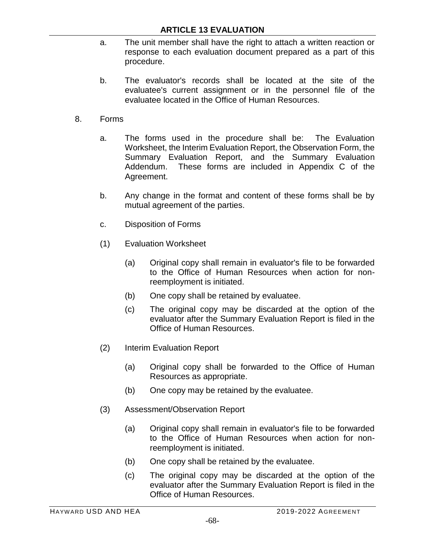- a. The unit member shall have the right to attach a written reaction or response to each evaluation document prepared as a part of this procedure.
- b. The evaluator's records shall be located at the site of the evaluatee's current assignment or in the personnel file of the evaluatee located in the Office of Human Resources.
- 8. Forms
	- a. The forms used in the procedure shall be: The Evaluation Worksheet, the Interim Evaluation Report, the Observation Form, the Summary Evaluation Report, and the Summary Evaluation Addendum. These forms are included in Appendix C of the Agreement.
	- b. Any change in the format and content of these forms shall be by mutual agreement of the parties.
	- c. Disposition of Forms
	- (1) Evaluation Worksheet
		- (a) Original copy shall remain in evaluator's file to be forwarded to the Office of Human Resources when action for nonreemployment is initiated.
		- (b) One copy shall be retained by evaluatee.
		- (c) The original copy may be discarded at the option of the evaluator after the Summary Evaluation Report is filed in the Office of Human Resources.
	- (2) Interim Evaluation Report
		- (a) Original copy shall be forwarded to the Office of Human Resources as appropriate.
		- (b) One copy may be retained by the evaluatee.
	- (3) Assessment/Observation Report
		- (a) Original copy shall remain in evaluator's file to be forwarded to the Office of Human Resources when action for nonreemployment is initiated.
		- (b) One copy shall be retained by the evaluatee.
		- (c) The original copy may be discarded at the option of the evaluator after the Summary Evaluation Report is filed in the Office of Human Resources.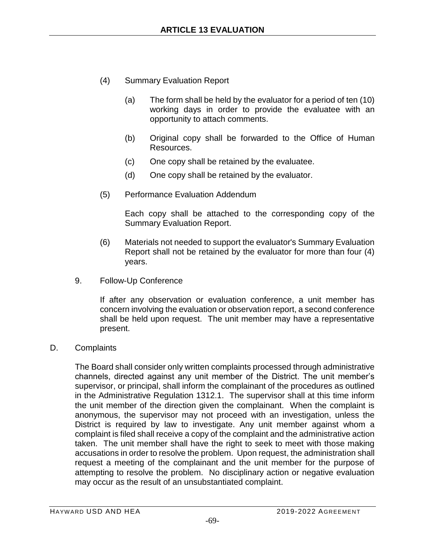- (4) Summary Evaluation Report
	- (a) The form shall be held by the evaluator for a period of ten (10) working days in order to provide the evaluatee with an opportunity to attach comments.
	- (b) Original copy shall be forwarded to the Office of Human Resources.
	- (c) One copy shall be retained by the evaluatee.
	- (d) One copy shall be retained by the evaluator.
- (5) Performance Evaluation Addendum

Each copy shall be attached to the corresponding copy of the Summary Evaluation Report.

- (6) Materials not needed to support the evaluator's Summary Evaluation Report shall not be retained by the evaluator for more than four (4) years.
- 9. Follow-Up Conference

If after any observation or evaluation conference, a unit member has concern involving the evaluation or observation report, a second conference shall be held upon request. The unit member may have a representative present.

D. Complaints

The Board shall consider only written complaints processed through administrative channels, directed against any unit member of the District. The unit member's supervisor, or principal, shall inform the complainant of the procedures as outlined in the Administrative Regulation 1312.1. The supervisor shall at this time inform the unit member of the direction given the complainant. When the complaint is anonymous, the supervisor may not proceed with an investigation, unless the District is required by law to investigate. Any unit member against whom a complaint is filed shall receive a copy of the complaint and the administrative action taken. The unit member shall have the right to seek to meet with those making accusations in order to resolve the problem. Upon request, the administration shall request a meeting of the complainant and the unit member for the purpose of attempting to resolve the problem. No disciplinary action or negative evaluation may occur as the result of an unsubstantiated complaint.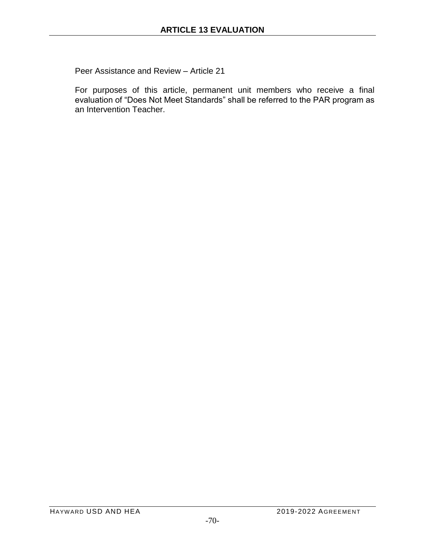Peer Assistance and Review – Article 21

For purposes of this article, permanent unit members who receive a final evaluation of "Does Not Meet Standards" shall be referred to the PAR program as an Intervention Teacher.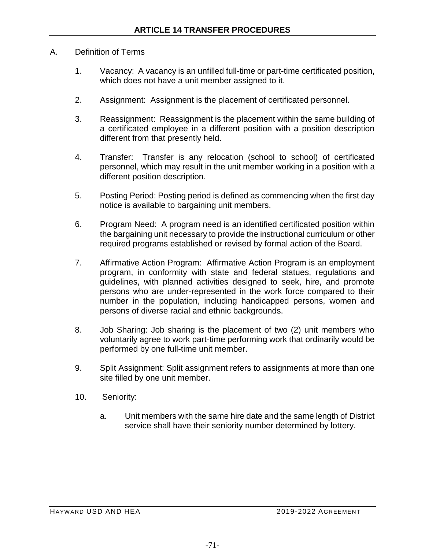### A. Definition of Terms

- 1. Vacancy: A vacancy is an unfilled full-time or part-time certificated position, which does not have a unit member assigned to it.
- 2. Assignment: Assignment is the placement of certificated personnel.
- 3. Reassignment: Reassignment is the placement within the same building of a certificated employee in a different position with a position description different from that presently held.
- 4. Transfer: Transfer is any relocation (school to school) of certificated personnel, which may result in the unit member working in a position with a different position description.
- 5. Posting Period: Posting period is defined as commencing when the first day notice is available to bargaining unit members.
- 6. Program Need: A program need is an identified certificated position within the bargaining unit necessary to provide the instructional curriculum or other required programs established or revised by formal action of the Board.
- 7. Affirmative Action Program: Affirmative Action Program is an employment program, in conformity with state and federal statues, regulations and guidelines, with planned activities designed to seek, hire, and promote persons who are under-represented in the work force compared to their number in the population, including handicapped persons, women and persons of diverse racial and ethnic backgrounds.
- 8. Job Sharing: Job sharing is the placement of two (2) unit members who voluntarily agree to work part-time performing work that ordinarily would be performed by one full-time unit member.
- 9. Split Assignment: Split assignment refers to assignments at more than one site filled by one unit member.
- 10. Seniority:
	- a. Unit members with the same hire date and the same length of District service shall have their seniority number determined by lottery.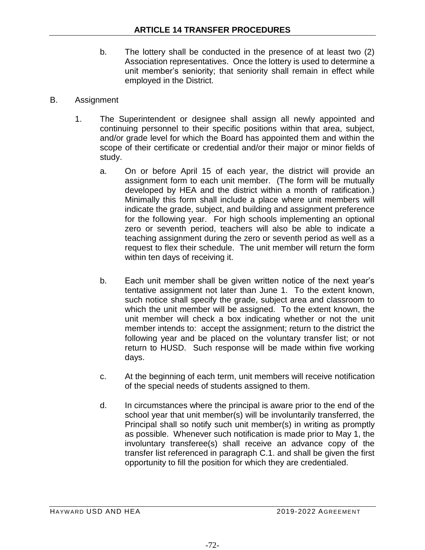- b. The lottery shall be conducted in the presence of at least two (2) Association representatives. Once the lottery is used to determine a unit member's seniority; that seniority shall remain in effect while employed in the District.
- B. Assignment
	- 1. The Superintendent or designee shall assign all newly appointed and continuing personnel to their specific positions within that area, subject, and/or grade level for which the Board has appointed them and within the scope of their certificate or credential and/or their major or minor fields of study.
		- a. On or before April 15 of each year, the district will provide an assignment form to each unit member. (The form will be mutually developed by HEA and the district within a month of ratification.) Minimally this form shall include a place where unit members will indicate the grade, subject, and building and assignment preference for the following year. For high schools implementing an optional zero or seventh period, teachers will also be able to indicate a teaching assignment during the zero or seventh period as well as a request to flex their schedule. The unit member will return the form within ten days of receiving it.
		- b. Each unit member shall be given written notice of the next year's tentative assignment not later than June 1. To the extent known, such notice shall specify the grade, subject area and classroom to which the unit member will be assigned. To the extent known, the unit member will check a box indicating whether or not the unit member intends to: accept the assignment; return to the district the following year and be placed on the voluntary transfer list; or not return to HUSD. Such response will be made within five working days.
		- c. At the beginning of each term, unit members will receive notification of the special needs of students assigned to them.
		- d. In circumstances where the principal is aware prior to the end of the school year that unit member(s) will be involuntarily transferred, the Principal shall so notify such unit member(s) in writing as promptly as possible. Whenever such notification is made prior to May 1, the involuntary transferee(s) shall receive an advance copy of the transfer list referenced in paragraph C.1. and shall be given the first opportunity to fill the position for which they are credentialed.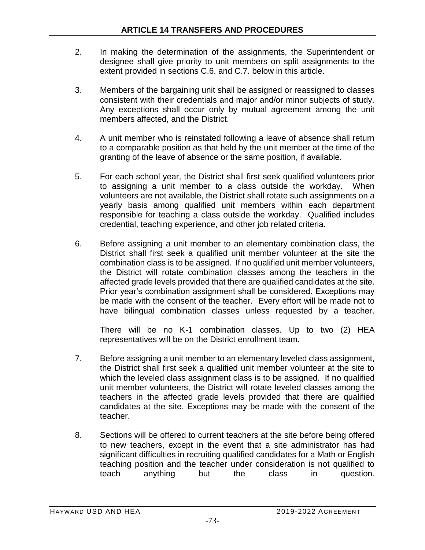- 2. In making the determination of the assignments, the Superintendent or designee shall give priority to unit members on split assignments to the extent provided in sections C.6. and C.7. below in this article.
- 3. Members of the bargaining unit shall be assigned or reassigned to classes consistent with their credentials and major and/or minor subjects of study. Any exceptions shall occur only by mutual agreement among the unit members affected, and the District.
- 4. A unit member who is reinstated following a leave of absence shall return to a comparable position as that held by the unit member at the time of the granting of the leave of absence or the same position, if available.
- 5. For each school year, the District shall first seek qualified volunteers prior to assigning a unit member to a class outside the workday. When volunteers are not available, the District shall rotate such assignments on a yearly basis among qualified unit members within each department responsible for teaching a class outside the workday. Qualified includes credential, teaching experience, and other job related criteria.
- 6. Before assigning a unit member to an elementary combination class, the District shall first seek a qualified unit member volunteer at the site the combination class is to be assigned. If no qualified unit member volunteers, the District will rotate combination classes among the teachers in the affected grade levels provided that there are qualified candidates at the site. Prior year's combination assignment shall be considered. Exceptions may be made with the consent of the teacher. Every effort will be made not to have bilingual combination classes unless requested by a teacher.

There will be no K-1 combination classes. Up to two (2) HEA representatives will be on the District enrollment team.

- 7. Before assigning a unit member to an elementary leveled class assignment, the District shall first seek a qualified unit member volunteer at the site to which the leveled class assignment class is to be assigned. If no qualified unit member volunteers, the District will rotate leveled classes among the teachers in the affected grade levels provided that there are qualified candidates at the site. Exceptions may be made with the consent of the teacher.
- 8. Sections will be offered to current teachers at the site before being offered to new teachers, except in the event that a site administrator has had significant difficulties in recruiting qualified candidates for a Math or English teaching position and the teacher under consideration is not qualified to teach anything but the class in question.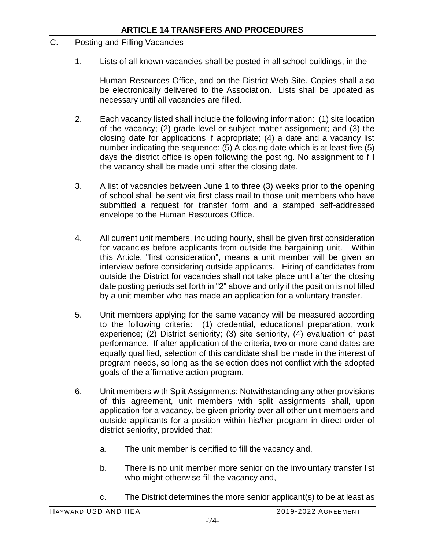- C. Posting and Filling Vacancies
	- 1. Lists of all known vacancies shall be posted in all school buildings, in the

Human Resources Office, and on the District Web Site. Copies shall also be electronically delivered to the Association. Lists shall be updated as necessary until all vacancies are filled.

- 2. Each vacancy listed shall include the following information: (1) site location of the vacancy; (2) grade level or subject matter assignment; and (3) the closing date for applications if appropriate; (4) a date and a vacancy list number indicating the sequence; (5) A closing date which is at least five (5) days the district office is open following the posting. No assignment to fill the vacancy shall be made until after the closing date.
- 3. A list of vacancies between June 1 to three (3) weeks prior to the opening of school shall be sent via first class mail to those unit members who have submitted a request for transfer form and a stamped self-addressed envelope to the Human Resources Office.
- 4. All current unit members, including hourly, shall be given first consideration for vacancies before applicants from outside the bargaining unit. Within this Article, "first consideration", means a unit member will be given an interview before considering outside applicants. Hiring of candidates from outside the District for vacancies shall not take place until after the closing date posting periods set forth in "2" above and only if the position is not filled by a unit member who has made an application for a voluntary transfer.
- 5. Unit members applying for the same vacancy will be measured according to the following criteria: (1) credential, educational preparation, work experience; (2) District seniority; (3) site seniority, (4) evaluation of past performance. If after application of the criteria, two or more candidates are equally qualified, selection of this candidate shall be made in the interest of program needs, so long as the selection does not conflict with the adopted goals of the affirmative action program.
- 6. Unit members with Split Assignments: Notwithstanding any other provisions of this agreement, unit members with split assignments shall, upon application for a vacancy, be given priority over all other unit members and outside applicants for a position within his/her program in direct order of district seniority, provided that:
	- a. The unit member is certified to fill the vacancy and,
	- b. There is no unit member more senior on the involuntary transfer list who might otherwise fill the vacancy and,
	- c. The District determines the more senior applicant(s) to be at least as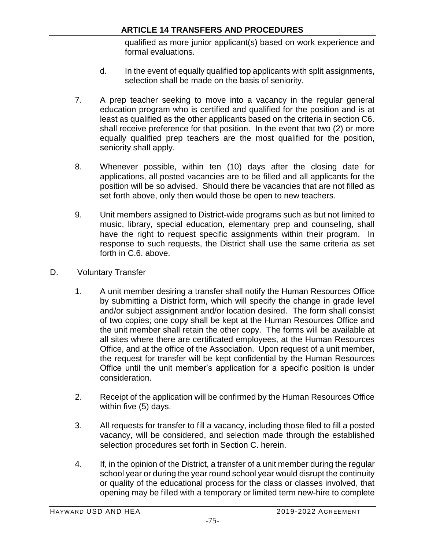qualified as more junior applicant(s) based on work experience and formal evaluations.

- d. In the event of equally qualified top applicants with split assignments, selection shall be made on the basis of seniority.
- 7. A prep teacher seeking to move into a vacancy in the regular general education program who is certified and qualified for the position and is at least as qualified as the other applicants based on the criteria in section C6. shall receive preference for that position. In the event that two (2) or more equally qualified prep teachers are the most qualified for the position, seniority shall apply.
- 8. Whenever possible, within ten (10) days after the closing date for applications, all posted vacancies are to be filled and all applicants for the position will be so advised. Should there be vacancies that are not filled as set forth above, only then would those be open to new teachers.
- 9. Unit members assigned to District-wide programs such as but not limited to music, library, special education, elementary prep and counseling, shall have the right to request specific assignments within their program. In response to such requests, the District shall use the same criteria as set forth in C.6. above.
- D. Voluntary Transfer
	- 1. A unit member desiring a transfer shall notify the Human Resources Office by submitting a District form, which will specify the change in grade level and/or subject assignment and/or location desired. The form shall consist of two copies; one copy shall be kept at the Human Resources Office and the unit member shall retain the other copy. The forms will be available at all sites where there are certificated employees, at the Human Resources Office, and at the office of the Association. Upon request of a unit member, the request for transfer will be kept confidential by the Human Resources Office until the unit member's application for a specific position is under consideration.
	- 2. Receipt of the application will be confirmed by the Human Resources Office within five (5) days.
	- 3. All requests for transfer to fill a vacancy, including those filed to fill a posted vacancy, will be considered, and selection made through the established selection procedures set forth in Section C. herein.
	- 4. If, in the opinion of the District, a transfer of a unit member during the regular school year or during the year round school year would disrupt the continuity or quality of the educational process for the class or classes involved, that opening may be filled with a temporary or limited term new-hire to complete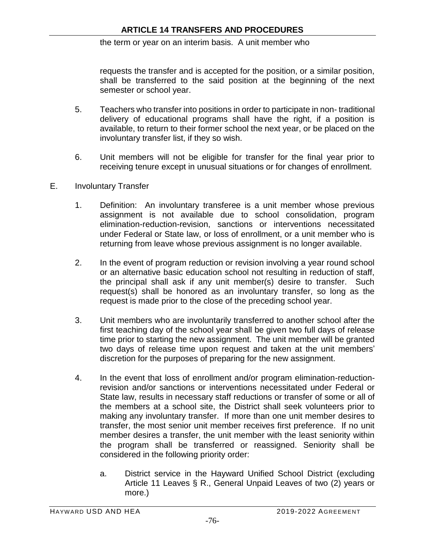#### the term or year on an interim basis. A unit member who

requests the transfer and is accepted for the position, or a similar position, shall be transferred to the said position at the beginning of the next semester or school year.

- 5. Teachers who transfer into positions in order to participate in non- traditional delivery of educational programs shall have the right, if a position is available, to return to their former school the next year, or be placed on the involuntary transfer list, if they so wish.
- 6. Unit members will not be eligible for transfer for the final year prior to receiving tenure except in unusual situations or for changes of enrollment.

#### E. Involuntary Transfer

- 1. Definition: An involuntary transferee is a unit member whose previous assignment is not available due to school consolidation, program elimination-reduction-revision, sanctions or interventions necessitated under Federal or State law, or loss of enrollment, or a unit member who is returning from leave whose previous assignment is no longer available.
- 2. In the event of program reduction or revision involving a year round school or an alternative basic education school not resulting in reduction of staff, the principal shall ask if any unit member(s) desire to transfer. Such request(s) shall be honored as an involuntary transfer, so long as the request is made prior to the close of the preceding school year.
- 3. Unit members who are involuntarily transferred to another school after the first teaching day of the school year shall be given two full days of release time prior to starting the new assignment. The unit member will be granted two days of release time upon request and taken at the unit members' discretion for the purposes of preparing for the new assignment.
- 4. In the event that loss of enrollment and/or program elimination-reductionrevision and/or sanctions or interventions necessitated under Federal or State law, results in necessary staff reductions or transfer of some or all of the members at a school site, the District shall seek volunteers prior to making any involuntary transfer. If more than one unit member desires to transfer, the most senior unit member receives first preference. If no unit member desires a transfer, the unit member with the least seniority within the program shall be transferred or reassigned. Seniority shall be considered in the following priority order:
	- a. District service in the Hayward Unified School District (excluding Article 11 Leaves § R., General Unpaid Leaves of two (2) years or more.)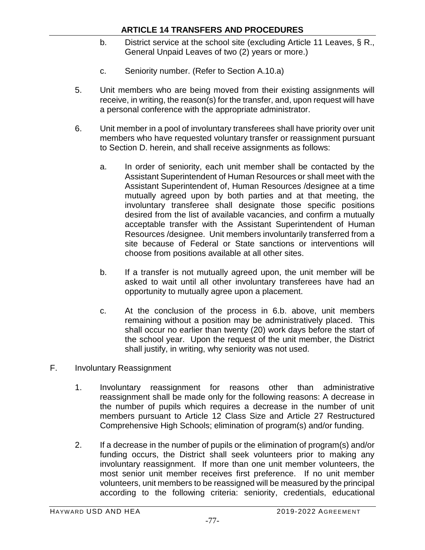- b. District service at the school site (excluding Article 11 Leaves, § R., General Unpaid Leaves of two (2) years or more.)
- c. Seniority number. (Refer to Section A.10.a)
- 5. Unit members who are being moved from their existing assignments will receive, in writing, the reason(s) for the transfer, and, upon request will have a personal conference with the appropriate administrator.
- 6. Unit member in a pool of involuntary transferees shall have priority over unit members who have requested voluntary transfer or reassignment pursuant to Section D. herein, and shall receive assignments as follows:
	- a. In order of seniority, each unit member shall be contacted by the Assistant Superintendent of Human Resources or shall meet with the Assistant Superintendent of, Human Resources /designee at a time mutually agreed upon by both parties and at that meeting, the involuntary transferee shall designate those specific positions desired from the list of available vacancies, and confirm a mutually acceptable transfer with the Assistant Superintendent of Human Resources /designee. Unit members involuntarily transferred from a site because of Federal or State sanctions or interventions will choose from positions available at all other sites.
	- b. If a transfer is not mutually agreed upon, the unit member will be asked to wait until all other involuntary transferees have had an opportunity to mutually agree upon a placement.
	- c. At the conclusion of the process in 6.b. above, unit members remaining without a position may be administratively placed. This shall occur no earlier than twenty (20) work days before the start of the school year. Upon the request of the unit member, the District shall justify, in writing, why seniority was not used.
- F. Involuntary Reassignment
	- 1. Involuntary reassignment for reasons other than administrative reassignment shall be made only for the following reasons: A decrease in the number of pupils which requires a decrease in the number of unit members pursuant to Article 12 Class Size and Article 27 Restructured Comprehensive High Schools; elimination of program(s) and/or funding.
	- 2. If a decrease in the number of pupils or the elimination of program(s) and/or funding occurs, the District shall seek volunteers prior to making any involuntary reassignment. If more than one unit member volunteers, the most senior unit member receives first preference. If no unit member volunteers, unit members to be reassigned will be measured by the principal according to the following criteria: seniority, credentials, educational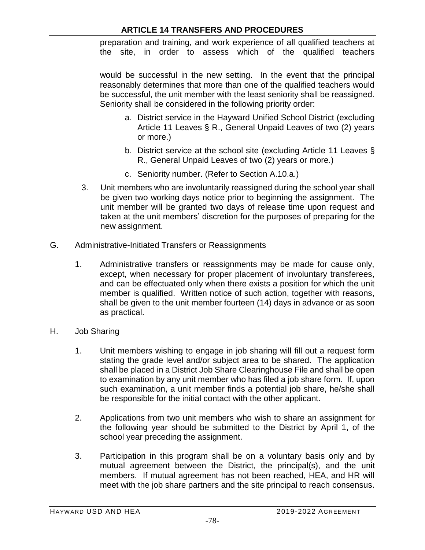preparation and training, and work experience of all qualified teachers at the site, in order to assess which of the qualified teachers

would be successful in the new setting. In the event that the principal reasonably determines that more than one of the qualified teachers would be successful, the unit member with the least seniority shall be reassigned. Seniority shall be considered in the following priority order:

- a. District service in the Hayward Unified School District (excluding Article 11 Leaves § R., General Unpaid Leaves of two (2) years or more.)
- b. District service at the school site (excluding Article 11 Leaves § R., General Unpaid Leaves of two (2) years or more.)
- c. Seniority number. (Refer to Section A.10.a.)
- 3. Unit members who are involuntarily reassigned during the school year shall be given two working days notice prior to beginning the assignment. The unit member will be granted two days of release time upon request and taken at the unit members' discretion for the purposes of preparing for the new assignment.
- G. Administrative-Initiated Transfers or Reassignments
	- 1. Administrative transfers or reassignments may be made for cause only, except, when necessary for proper placement of involuntary transferees, and can be effectuated only when there exists a position for which the unit member is qualified. Written notice of such action, together with reasons, shall be given to the unit member fourteen (14) days in advance or as soon as practical.
- H. Job Sharing
	- 1. Unit members wishing to engage in job sharing will fill out a request form stating the grade level and/or subject area to be shared. The application shall be placed in a District Job Share Clearinghouse File and shall be open to examination by any unit member who has filed a job share form. If, upon such examination, a unit member finds a potential job share, he/she shall be responsible for the initial contact with the other applicant.
	- 2. Applications from two unit members who wish to share an assignment for the following year should be submitted to the District by April 1, of the school year preceding the assignment.
	- 3. Participation in this program shall be on a voluntary basis only and by mutual agreement between the District, the principal(s), and the unit members. If mutual agreement has not been reached, HEA, and HR will meet with the job share partners and the site principal to reach consensus.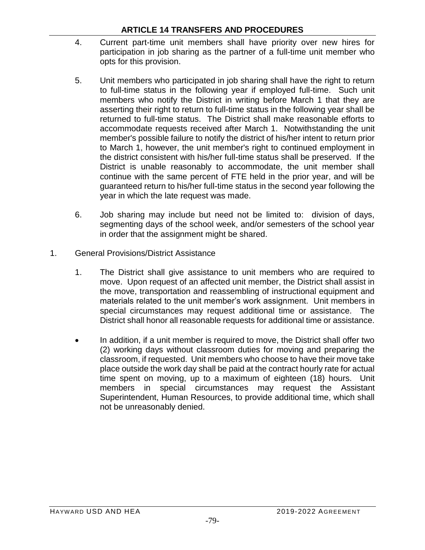- 4. Current part-time unit members shall have priority over new hires for participation in job sharing as the partner of a full-time unit member who opts for this provision.
- 5. Unit members who participated in job sharing shall have the right to return to full-time status in the following year if employed full-time. Such unit members who notify the District in writing before March 1 that they are asserting their right to return to full-time status in the following year shall be returned to full-time status. The District shall make reasonable efforts to accommodate requests received after March 1. Notwithstanding the unit member's possible failure to notify the district of his/her intent to return prior to March 1, however, the unit member's right to continued employment in the district consistent with his/her full-time status shall be preserved. If the District is unable reasonably to accommodate, the unit member shall continue with the same percent of FTE held in the prior year, and will be guaranteed return to his/her full-time status in the second year following the year in which the late request was made.
- 6. Job sharing may include but need not be limited to: division of days, segmenting days of the school week, and/or semesters of the school year in order that the assignment might be shared.
- 1. General Provisions/District Assistance
	- 1. The District shall give assistance to unit members who are required to move. Upon request of an affected unit member, the District shall assist in the move, transportation and reassembling of instructional equipment and materials related to the unit member's work assignment. Unit members in special circumstances may request additional time or assistance. The District shall honor all reasonable requests for additional time or assistance.
	- In addition, if a unit member is required to move, the District shall offer two (2) working days without classroom duties for moving and preparing the classroom, if requested. Unit members who choose to have their move take place outside the work day shall be paid at the contract hourly rate for actual time spent on moving, up to a maximum of eighteen (18) hours. Unit members in special circumstances may request the Assistant Superintendent, Human Resources, to provide additional time, which shall not be unreasonably denied.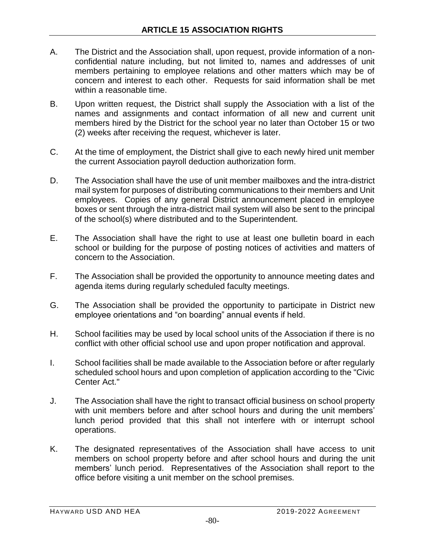- A. The District and the Association shall, upon request, provide information of a nonconfidential nature including, but not limited to, names and addresses of unit members pertaining to employee relations and other matters which may be of concern and interest to each other. Requests for said information shall be met within a reasonable time.
- B. Upon written request, the District shall supply the Association with a list of the names and assignments and contact information of all new and current unit members hired by the District for the school year no later than October 15 or two (2) weeks after receiving the request, whichever is later.
- C. At the time of employment, the District shall give to each newly hired unit member the current Association payroll deduction authorization form.
- D. The Association shall have the use of unit member mailboxes and the intra-district mail system for purposes of distributing communications to their members and Unit employees. Copies of any general District announcement placed in employee boxes or sent through the intra-district mail system will also be sent to the principal of the school(s) where distributed and to the Superintendent.
- E. The Association shall have the right to use at least one bulletin board in each school or building for the purpose of posting notices of activities and matters of concern to the Association.
- F. The Association shall be provided the opportunity to announce meeting dates and agenda items during regularly scheduled faculty meetings.
- G. The Association shall be provided the opportunity to participate in District new employee orientations and "on boarding" annual events if held.
- H. School facilities may be used by local school units of the Association if there is no conflict with other official school use and upon proper notification and approval.
- I. School facilities shall be made available to the Association before or after regularly scheduled school hours and upon completion of application according to the "Civic Center Act."
- J. The Association shall have the right to transact official business on school property with unit members before and after school hours and during the unit members' lunch period provided that this shall not interfere with or interrupt school operations.
- K. The designated representatives of the Association shall have access to unit members on school property before and after school hours and during the unit members' lunch period. Representatives of the Association shall report to the office before visiting a unit member on the school premises.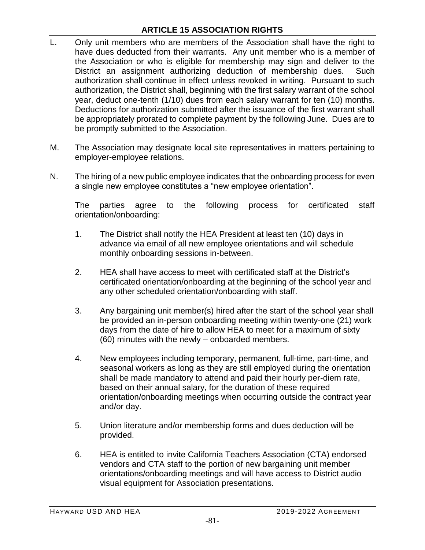# **ARTICLE 15 ASSOCIATION RIGHTS**

- L. Only unit members who are members of the Association shall have the right to have dues deducted from their warrants. Any unit member who is a member of the Association or who is eligible for membership may sign and deliver to the District an assignment authorizing deduction of membership dues. Such authorization shall continue in effect unless revoked in writing. Pursuant to such authorization, the District shall, beginning with the first salary warrant of the school year, deduct one-tenth (1/10) dues from each salary warrant for ten (10) months. Deductions for authorization submitted after the issuance of the first warrant shall be appropriately prorated to complete payment by the following June. Dues are to be promptly submitted to the Association.
- M. The Association may designate local site representatives in matters pertaining to employer-employee relations.
- N. The hiring of a new public employee indicates that the onboarding process for even a single new employee constitutes a "new employee orientation".

The parties agree to the following process for certificated staff orientation/onboarding:

- 1. The District shall notify the HEA President at least ten (10) days in advance via email of all new employee orientations and will schedule monthly onboarding sessions in-between.
- 2. HEA shall have access to meet with certificated staff at the District's certificated orientation/onboarding at the beginning of the school year and any other scheduled orientation/onboarding with staff.
- 3. Any bargaining unit member(s) hired after the start of the school year shall be provided an in-person onboarding meeting within twenty-one (21) work days from the date of hire to allow HEA to meet for a maximum of sixty (60) minutes with the newly – onboarded members.
- 4. New employees including temporary, permanent, full-time, part-time, and seasonal workers as long as they are still employed during the orientation shall be made mandatory to attend and paid their hourly per-diem rate, based on their annual salary, for the duration of these required orientation/onboarding meetings when occurring outside the contract year and/or day.
- 5. Union literature and/or membership forms and dues deduction will be provided.
- 6. HEA is entitled to invite California Teachers Association (CTA) endorsed vendors and CTA staff to the portion of new bargaining unit member orientations/onboarding meetings and will have access to District audio visual equipment for Association presentations.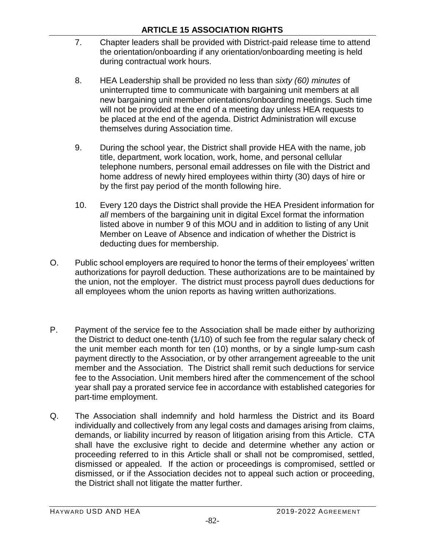- 7. Chapter leaders shall be provided with District-paid release time to attend the orientation/onboarding if any orientation/onboarding meeting is held during contractual work hours.
- 8. HEA Leadership shall be provided no less than *sixty (60) minutes* of uninterrupted time to communicate with bargaining unit members at all new bargaining unit member orientations/onboarding meetings. Such time will not be provided at the end of a meeting day unless HEA requests to be placed at the end of the agenda. District Administration will excuse themselves during Association time.
- 9. During the school year, the District shall provide HEA with the name, job title, department, work location, work, home, and personal cellular telephone numbers, personal email addresses on file with the District and home address of newly hired employees within thirty (30) days of hire or by the first pay period of the month following hire.
- 10. Every 120 days the District shall provide the HEA President information for *all* members of the bargaining unit in digital Excel format the information listed above in number 9 of this MOU and in addition to listing of any Unit Member on Leave of Absence and indication of whether the District is deducting dues for membership.
- O. Public school employers are required to honor the terms of their employees' written authorizations for payroll deduction. These authorizations are to be maintained by the union, not the employer. The district must process payroll dues deductions for all employees whom the union reports as having written authorizations.
- P. Payment of the service fee to the Association shall be made either by authorizing the District to deduct one-tenth (1/10) of such fee from the regular salary check of the unit member each month for ten (10) months, or by a single lump-sum cash payment directly to the Association, or by other arrangement agreeable to the unit member and the Association. The District shall remit such deductions for service fee to the Association. Unit members hired after the commencement of the school year shall pay a prorated service fee in accordance with established categories for part-time employment.
- Q. The Association shall indemnify and hold harmless the District and its Board individually and collectively from any legal costs and damages arising from claims, demands, or liability incurred by reason of litigation arising from this Article. CTA shall have the exclusive right to decide and determine whether any action or proceeding referred to in this Article shall or shall not be compromised, settled, dismissed or appealed. If the action or proceedings is compromised, settled or dismissed, or if the Association decides not to appeal such action or proceeding, the District shall not litigate the matter further.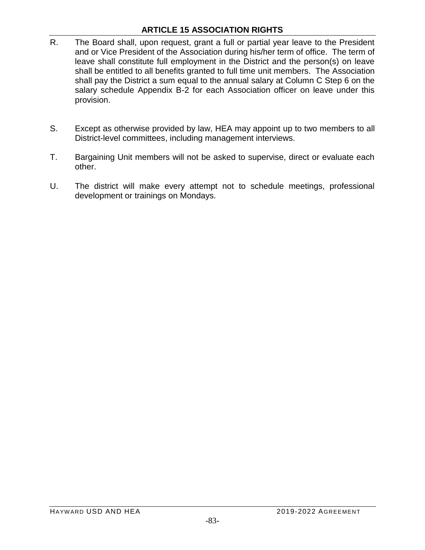# **ARTICLE 15 ASSOCIATION RIGHTS**

- R. The Board shall, upon request, grant a full or partial year leave to the President and or Vice President of the Association during his/her term of office. The term of leave shall constitute full employment in the District and the person(s) on leave shall be entitled to all benefits granted to full time unit members. The Association shall pay the District a sum equal to the annual salary at Column C Step 6 on the salary schedule Appendix B-2 for each Association officer on leave under this provision.
- S. Except as otherwise provided by law, HEA may appoint up to two members to all District-level committees, including management interviews.
- T. Bargaining Unit members will not be asked to supervise, direct or evaluate each other.
- U. The district will make every attempt not to schedule meetings, professional development or trainings on Mondays.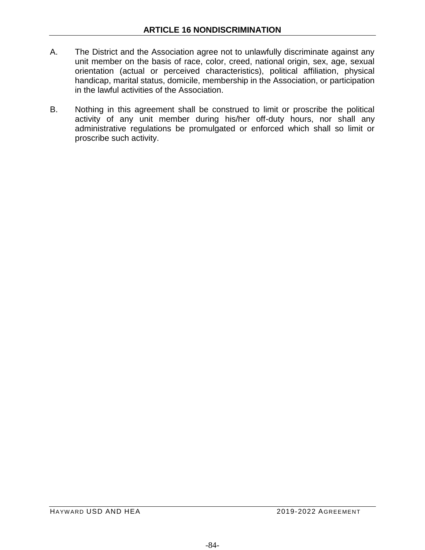- A. The District and the Association agree not to unlawfully discriminate against any unit member on the basis of race, color, creed, national origin, sex, age, sexual orientation (actual or perceived characteristics), political affiliation, physical handicap, marital status, domicile, membership in the Association, or participation in the lawful activities of the Association.
- B. Nothing in this agreement shall be construed to limit or proscribe the political activity of any unit member during his/her off-duty hours, nor shall any administrative regulations be promulgated or enforced which shall so limit or proscribe such activity.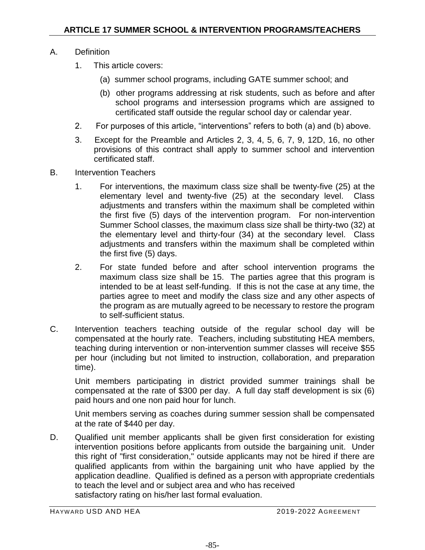# A. Definition

- 1. This article covers:
	- (a) summer school programs, including GATE summer school; and
	- (b) other programs addressing at risk students, such as before and after school programs and intersession programs which are assigned to certificated staff outside the regular school day or calendar year.
- 2. For purposes of this article, "interventions" refers to both (a) and (b) above.
- 3. Except for the Preamble and Articles 2, 3, 4, 5, 6, 7, 9, 12D, 16, no other provisions of this contract shall apply to summer school and intervention certificated staff.
- B. Intervention Teachers
	- 1. For interventions, the maximum class size shall be twenty-five (25) at the elementary level and twenty-five (25) at the secondary level. Class adjustments and transfers within the maximum shall be completed within the first five (5) days of the intervention program. For non-intervention Summer School classes, the maximum class size shall be thirty-two (32) at the elementary level and thirty-four (34) at the secondary level. Class adjustments and transfers within the maximum shall be completed within the first five (5) days.
	- 2. For state funded before and after school intervention programs the maximum class size shall be 15. The parties agree that this program is intended to be at least self-funding. If this is not the case at any time, the parties agree to meet and modify the class size and any other aspects of the program as are mutually agreed to be necessary to restore the program to self-sufficient status.
- C. Intervention teachers teaching outside of the regular school day will be compensated at the hourly rate. Teachers, including substituting HEA members, teaching during intervention or non-intervention summer classes will receive \$55 per hour (including but not limited to instruction, collaboration, and preparation time).

Unit members participating in district provided summer trainings shall be compensated at the rate of \$300 per day. A full day staff development is six (6) paid hours and one non paid hour for lunch.

Unit members serving as coaches during summer session shall be compensated at the rate of \$440 per day.

D. Qualified unit member applicants shall be given first consideration for existing intervention positions before applicants from outside the bargaining unit. Under this right of "first consideration," outside applicants may not be hired if there are qualified applicants from within the bargaining unit who have applied by the application deadline. Qualified is defined as a person with appropriate credentials to teach the level and or subject area and who has received satisfactory rating on his/her last formal evaluation.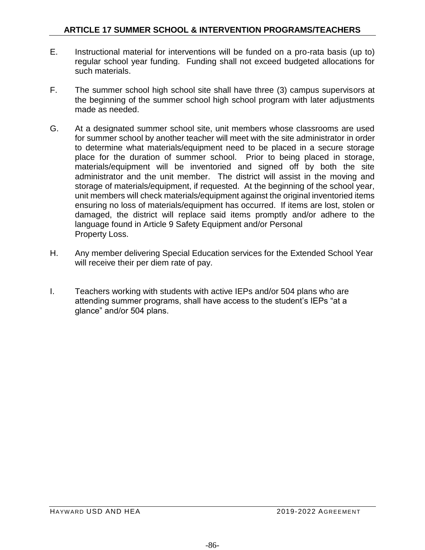- E. Instructional material for interventions will be funded on a pro-rata basis (up to) regular school year funding. Funding shall not exceed budgeted allocations for such materials.
- F. The summer school high school site shall have three (3) campus supervisors at the beginning of the summer school high school program with later adjustments made as needed.
- G. At a designated summer school site, unit members whose classrooms are used for summer school by another teacher will meet with the site administrator in order to determine what materials/equipment need to be placed in a secure storage place for the duration of summer school. Prior to being placed in storage, materials/equipment will be inventoried and signed off by both the site administrator and the unit member. The district will assist in the moving and storage of materials/equipment, if requested. At the beginning of the school year, unit members will check materials/equipment against the original inventoried items ensuring no loss of materials/equipment has occurred. If items are lost, stolen or damaged, the district will replace said items promptly and/or adhere to the language found in Article 9 Safety Equipment and/or Personal Property Loss.
- H. Any member delivering Special Education services for the Extended School Year will receive their per diem rate of pay.
- I. Teachers working with students with active IEPs and/or 504 plans who are attending summer programs, shall have access to the student's IEPs "at a glance" and/or 504 plans.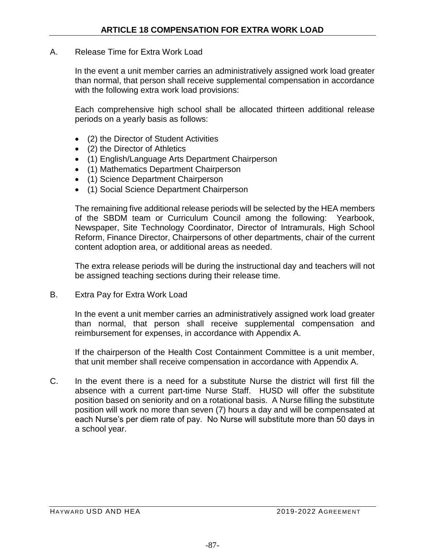#### A. Release Time for Extra Work Load

In the event a unit member carries an administratively assigned work load greater than normal, that person shall receive supplemental compensation in accordance with the following extra work load provisions:

Each comprehensive high school shall be allocated thirteen additional release periods on a yearly basis as follows:

- (2) the Director of Student Activities
- (2) the Director of Athletics
- (1) English/Language Arts Department Chairperson
- (1) Mathematics Department Chairperson
- (1) Science Department Chairperson
- (1) Social Science Department Chairperson

The remaining five additional release periods will be selected by the HEA members of the SBDM team or Curriculum Council among the following: Yearbook, Newspaper, Site Technology Coordinator, Director of Intramurals, High School Reform, Finance Director, Chairpersons of other departments, chair of the current content adoption area, or additional areas as needed.

The extra release periods will be during the instructional day and teachers will not be assigned teaching sections during their release time.

B. Extra Pay for Extra Work Load

In the event a unit member carries an administratively assigned work load greater than normal, that person shall receive supplemental compensation and reimbursement for expenses, in accordance with Appendix A.

If the chairperson of the Health Cost Containment Committee is a unit member, that unit member shall receive compensation in accordance with Appendix A.

C. In the event there is a need for a substitute Nurse the district will first fill the absence with a current part-time Nurse Staff. HUSD will offer the substitute position based on seniority and on a rotational basis. A Nurse filling the substitute position will work no more than seven (7) hours a day and will be compensated at each Nurse's per diem rate of pay. No Nurse will substitute more than 50 days in a school year.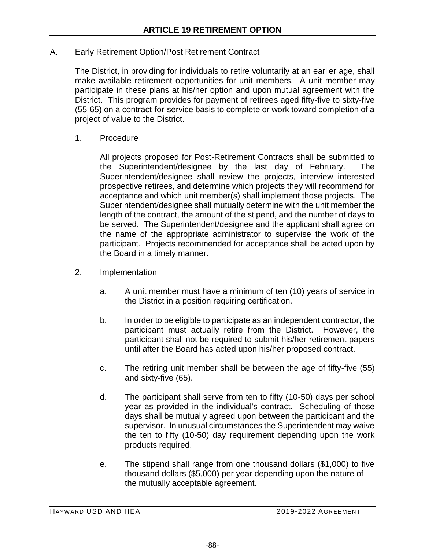### A. Early Retirement Option/Post Retirement Contract

The District, in providing for individuals to retire voluntarily at an earlier age, shall make available retirement opportunities for unit members. A unit member may participate in these plans at his/her option and upon mutual agreement with the District. This program provides for payment of retirees aged fifty-five to sixty-five (55-65) on a contract-for-service basis to complete or work toward completion of a project of value to the District.

1. Procedure

All projects proposed for Post-Retirement Contracts shall be submitted to the Superintendent/designee by the last day of February. The Superintendent/designee shall review the projects, interview interested prospective retirees, and determine which projects they will recommend for acceptance and which unit member(s) shall implement those projects. The Superintendent/designee shall mutually determine with the unit member the length of the contract, the amount of the stipend, and the number of days to be served. The Superintendent/designee and the applicant shall agree on the name of the appropriate administrator to supervise the work of the participant. Projects recommended for acceptance shall be acted upon by the Board in a timely manner.

- 2. Implementation
	- a. A unit member must have a minimum of ten (10) years of service in the District in a position requiring certification.
	- b. In order to be eligible to participate as an independent contractor, the participant must actually retire from the District. However, the participant shall not be required to submit his/her retirement papers until after the Board has acted upon his/her proposed contract.
	- c. The retiring unit member shall be between the age of fifty-five (55) and sixty-five (65).
	- d. The participant shall serve from ten to fifty (10-50) days per school year as provided in the individual's contract. Scheduling of those days shall be mutually agreed upon between the participant and the supervisor. In unusual circumstances the Superintendent may waive the ten to fifty (10-50) day requirement depending upon the work products required.
	- e. The stipend shall range from one thousand dollars (\$1,000) to five thousand dollars (\$5,000) per year depending upon the nature of the mutually acceptable agreement.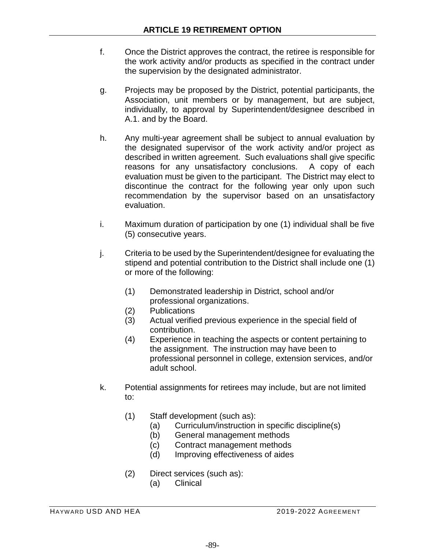- f. Once the District approves the contract, the retiree is responsible for the work activity and/or products as specified in the contract under the supervision by the designated administrator.
- g. Projects may be proposed by the District, potential participants, the Association, unit members or by management, but are subject, individually, to approval by Superintendent/designee described in A.1. and by the Board.
- h. Any multi-year agreement shall be subject to annual evaluation by the designated supervisor of the work activity and/or project as described in written agreement. Such evaluations shall give specific reasons for any unsatisfactory conclusions. A copy of each evaluation must be given to the participant. The District may elect to discontinue the contract for the following year only upon such recommendation by the supervisor based on an unsatisfactory evaluation.
- i. Maximum duration of participation by one (1) individual shall be five (5) consecutive years.
- j. Criteria to be used by the Superintendent/designee for evaluating the stipend and potential contribution to the District shall include one (1) or more of the following:
	- (1) Demonstrated leadership in District, school and/or professional organizations.
	- (2) Publications
	- (3) Actual verified previous experience in the special field of contribution.
	- (4) Experience in teaching the aspects or content pertaining to the assignment. The instruction may have been to professional personnel in college, extension services, and/or adult school.
- k. Potential assignments for retirees may include, but are not limited to:
	- (1) Staff development (such as):
		- (a) Curriculum/instruction in specific discipline(s)
		- (b) General management methods
		- (c) Contract management methods
		- (d) Improving effectiveness of aides
	- (2) Direct services (such as):
		- (a) Clinical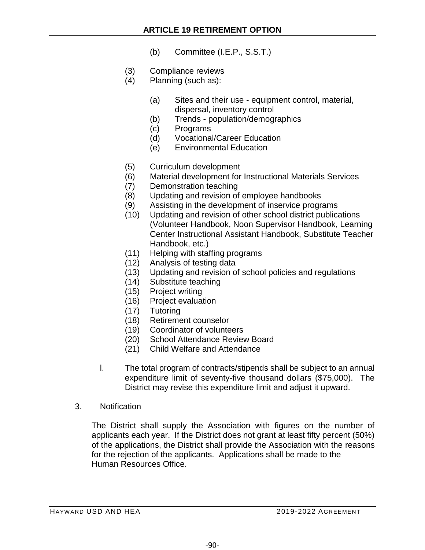- (b) Committee (I.E.P., S.S.T.)
- (3) Compliance reviews
- $(4)$  Planning (such as):
	- (a) Sites and their use equipment control, material, dispersal, inventory control
	- (b) Trends population/demographics
	- (c) Programs
	- (d) Vocational/Career Education
	- (e) Environmental Education
- (5) Curriculum development
- (6) Material development for Instructional Materials Services
- (7) Demonstration teaching
- (8) Updating and revision of employee handbooks
- (9) Assisting in the development of inservice programs
- (10) Updating and revision of other school district publications (Volunteer Handbook, Noon Supervisor Handbook, Learning Center Instructional Assistant Handbook, Substitute Teacher Handbook, etc.)
- (11) Helping with staffing programs
- (12) Analysis of testing data
- (13) Updating and revision of school policies and regulations
- (14) Substitute teaching
- (15) Project writing
- (16) Project evaluation
- (17) Tutoring
- (18) Retirement counselor
- (19) Coordinator of volunteers
- (20) School Attendance Review Board
- (21) Child Welfare and Attendance
- l. The total program of contracts/stipends shall be subject to an annual expenditure limit of seventy-five thousand dollars (\$75,000). The District may revise this expenditure limit and adjust it upward.
- 3. Notification

The District shall supply the Association with figures on the number of applicants each year. If the District does not grant at least fifty percent (50%) of the applications, the District shall provide the Association with the reasons for the rejection of the applicants. Applications shall be made to the Human Resources Office.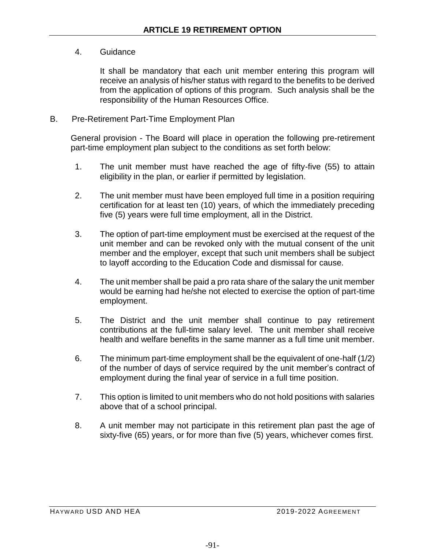## 4. Guidance

It shall be mandatory that each unit member entering this program will receive an analysis of his/her status with regard to the benefits to be derived from the application of options of this program. Such analysis shall be the responsibility of the Human Resources Office.

### B. Pre-Retirement Part-Time Employment Plan

General provision - The Board will place in operation the following pre-retirement part-time employment plan subject to the conditions as set forth below:

- 1. The unit member must have reached the age of fifty-five (55) to attain eligibility in the plan, or earlier if permitted by legislation.
- 2. The unit member must have been employed full time in a position requiring certification for at least ten (10) years, of which the immediately preceding five (5) years were full time employment, all in the District.
- 3. The option of part-time employment must be exercised at the request of the unit member and can be revoked only with the mutual consent of the unit member and the employer, except that such unit members shall be subject to layoff according to the Education Code and dismissal for cause.
- 4. The unit member shall be paid a pro rata share of the salary the unit member would be earning had he/she not elected to exercise the option of part-time employment.
- 5. The District and the unit member shall continue to pay retirement contributions at the full-time salary level. The unit member shall receive health and welfare benefits in the same manner as a full time unit member.
- 6. The minimum part-time employment shall be the equivalent of one-half (1/2) of the number of days of service required by the unit member's contract of employment during the final year of service in a full time position.
- 7. This option is limited to unit members who do not hold positions with salaries above that of a school principal.
- 8. A unit member may not participate in this retirement plan past the age of sixty-five (65) years, or for more than five (5) years, whichever comes first.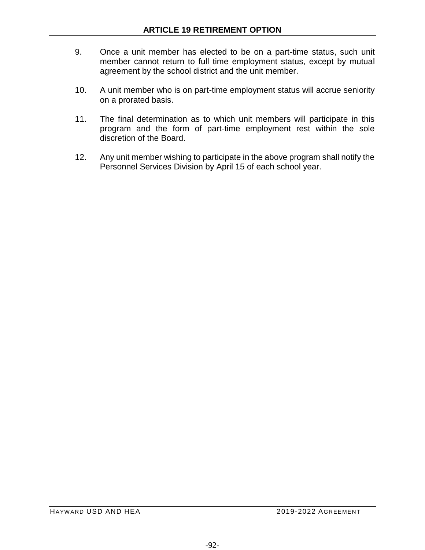- 9. Once a unit member has elected to be on a part-time status, such unit member cannot return to full time employment status, except by mutual agreement by the school district and the unit member.
- 10. A unit member who is on part-time employment status will accrue seniority on a prorated basis.
- 11. The final determination as to which unit members will participate in this program and the form of part-time employment rest within the sole discretion of the Board.
- 12. Any unit member wishing to participate in the above program shall notify the Personnel Services Division by April 15 of each school year.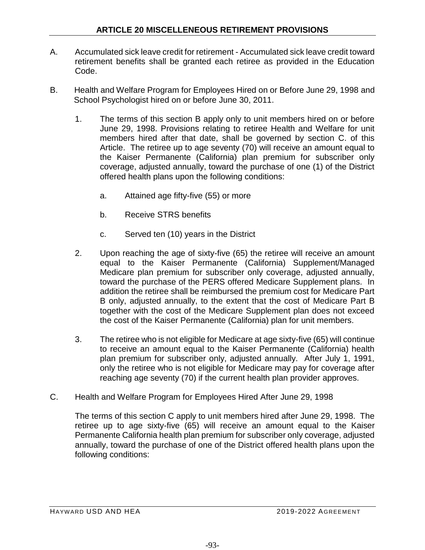- A. Accumulated sick leave credit for retirement Accumulated sick leave credit toward retirement benefits shall be granted each retiree as provided in the Education Code.
- B. Health and Welfare Program for Employees Hired on or Before June 29, 1998 and School Psychologist hired on or before June 30, 2011.
	- 1. The terms of this section B apply only to unit members hired on or before June 29, 1998. Provisions relating to retiree Health and Welfare for unit members hired after that date, shall be governed by section C. of this Article. The retiree up to age seventy (70) will receive an amount equal to the Kaiser Permanente (California) plan premium for subscriber only coverage, adjusted annually, toward the purchase of one (1) of the District offered health plans upon the following conditions:
		- a. Attained age fifty-five (55) or more
		- b. Receive STRS benefits
		- c. Served ten (10) years in the District
	- 2. Upon reaching the age of sixty-five (65) the retiree will receive an amount equal to the Kaiser Permanente (California) Supplement/Managed Medicare plan premium for subscriber only coverage, adjusted annually, toward the purchase of the PERS offered Medicare Supplement plans. In addition the retiree shall be reimbursed the premium cost for Medicare Part B only, adjusted annually, to the extent that the cost of Medicare Part B together with the cost of the Medicare Supplement plan does not exceed the cost of the Kaiser Permanente (California) plan for unit members.
	- 3. The retiree who is not eligible for Medicare at age sixty-five (65) will continue to receive an amount equal to the Kaiser Permanente (California) health plan premium for subscriber only, adjusted annually. After July 1, 1991, only the retiree who is not eligible for Medicare may pay for coverage after reaching age seventy (70) if the current health plan provider approves.
- C. Health and Welfare Program for Employees Hired After June 29, 1998

The terms of this section C apply to unit members hired after June 29, 1998. The retiree up to age sixty-five (65) will receive an amount equal to the Kaiser Permanente California health plan premium for subscriber only coverage, adjusted annually, toward the purchase of one of the District offered health plans upon the following conditions: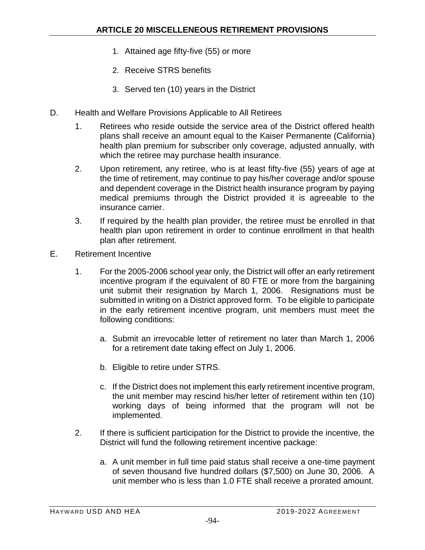- 1. Attained age fifty-five (55) or more
- 2. Receive STRS benefits
- 3. Served ten (10) years in the District
- D. Health and Welfare Provisions Applicable to All Retirees
	- 1. Retirees who reside outside the service area of the District offered health plans shall receive an amount equal to the Kaiser Permanente (California) health plan premium for subscriber only coverage, adjusted annually, with which the retiree may purchase health insurance.
	- 2. Upon retirement, any retiree, who is at least fifty-five (55) years of age at the time of retirement, may continue to pay his/her coverage and/or spouse and dependent coverage in the District health insurance program by paying medical premiums through the District provided it is agreeable to the insurance carrier.
	- 3. If required by the health plan provider, the retiree must be enrolled in that health plan upon retirement in order to continue enrollment in that health plan after retirement.
- E. Retirement Incentive
	- 1. For the 2005-2006 school year only, the District will offer an early retirement incentive program if the equivalent of 80 FTE or more from the bargaining unit submit their resignation by March 1, 2006. Resignations must be submitted in writing on a District approved form. To be eligible to participate in the early retirement incentive program, unit members must meet the following conditions:
		- a. Submit an irrevocable letter of retirement no later than March 1, 2006 for a retirement date taking effect on July 1, 2006.
		- b. Eligible to retire under STRS.
		- c. If the District does not implement this early retirement incentive program, the unit member may rescind his/her letter of retirement within ten (10) working days of being informed that the program will not be implemented.
	- 2. If there is sufficient participation for the District to provide the incentive, the District will fund the following retirement incentive package:
		- a. A unit member in full time paid status shall receive a one-time payment of seven thousand five hundred dollars (\$7,500) on June 30, 2006. A unit member who is less than 1.0 FTE shall receive a prorated amount.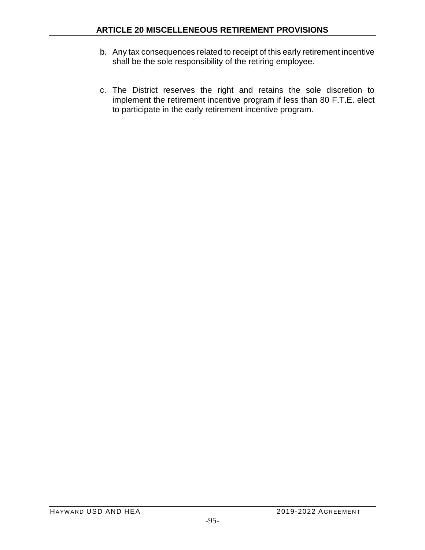- b. Any tax consequences related to receipt of this early retirement incentive shall be the sole responsibility of the retiring employee.
- c. The District reserves the right and retains the sole discretion to implement the retirement incentive program if less than 80 F.T.E. elect to participate in the early retirement incentive program.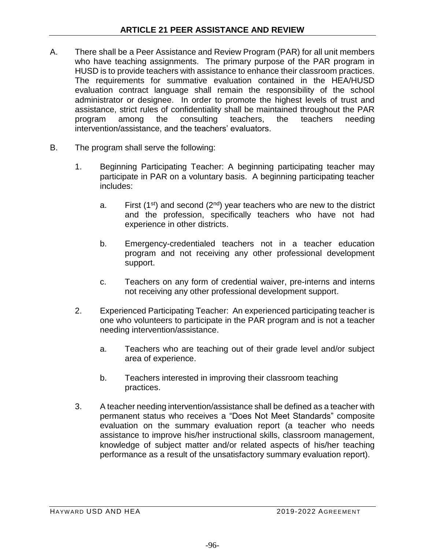- A. There shall be a Peer Assistance and Review Program (PAR) for all unit members who have teaching assignments. The primary purpose of the PAR program in HUSD is to provide teachers with assistance to enhance their classroom practices. The requirements for summative evaluation contained in the HEA/HUSD evaluation contract language shall remain the responsibility of the school administrator or designee. In order to promote the highest levels of trust and assistance, strict rules of confidentiality shall be maintained throughout the PAR program among the consulting teachers, the teachers needing intervention/assistance, and the teachers' evaluators.
- B. The program shall serve the following:
	- 1. Beginning Participating Teacher: A beginning participating teacher may participate in PAR on a voluntary basis. A beginning participating teacher includes:
		- a. First (1<sup>st</sup>) and second ( $2<sup>nd</sup>$ ) year teachers who are new to the district and the profession, specifically teachers who have not had experience in other districts.
		- b. Emergency-credentialed teachers not in a teacher education program and not receiving any other professional development support.
		- c. Teachers on any form of credential waiver, pre-interns and interns not receiving any other professional development support.
	- 2. Experienced Participating Teacher: An experienced participating teacher is one who volunteers to participate in the PAR program and is not a teacher needing intervention/assistance.
		- a. Teachers who are teaching out of their grade level and/or subject area of experience.
		- b. Teachers interested in improving their classroom teaching practices.
	- 3. A teacher needing intervention/assistance shall be defined as a teacher with permanent status who receives a "Does Not Meet Standards" composite evaluation on the summary evaluation report (a teacher who needs assistance to improve his/her instructional skills, classroom management, knowledge of subject matter and/or related aspects of his/her teaching performance as a result of the unsatisfactory summary evaluation report).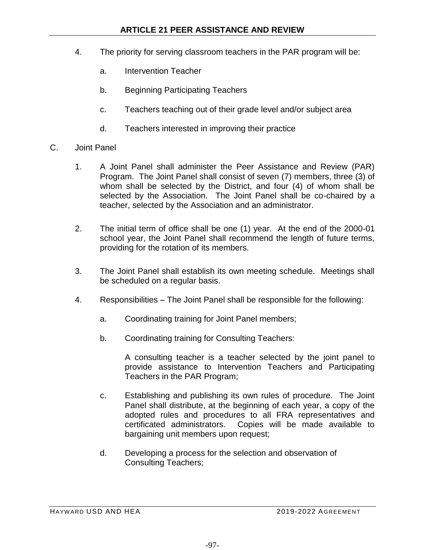- 4. The priority for serving classroom teachers in the PAR program will be:
	- a. Intervention Teacher
	- b. Beginning Participating Teachers
	- c. Teachers teaching out of their grade level and/or subject area
	- d. Teachers interested in improving their practice
- C. Joint Panel
	- 1. A Joint Panel shall administer the Peer Assistance and Review (PAR) Program. The Joint Panel shall consist of seven (7) members, three (3) of whom shall be selected by the District, and four (4) of whom shall be selected by the Association. The Joint Panel shall be co-chaired by a teacher, selected by the Association and an administrator.
	- 2. The initial term of office shall be one (1) year. At the end of the 2000-01 school year, the Joint Panel shall recommend the length of future terms, providing for the rotation of its members.
	- 3. The Joint Panel shall establish its own meeting schedule. Meetings shall be scheduled on a regular basis.
	- 4. Responsibilities The Joint Panel shall be responsible for the following:
		- a. Coordinating training for Joint Panel members;
		- b. Coordinating training for Consulting Teachers:

A consulting teacher is a teacher selected by the joint panel to provide assistance to Intervention Teachers and Participating Teachers in the PAR Program;

- c. Establishing and publishing its own rules of procedure. The Joint Panel shall distribute, at the beginning of each year, a copy of the adopted rules and procedures to all FRA representatives and certificated administrators. Copies will be made available to bargaining unit members upon request;
- d. Developing a process for the selection and observation of Consulting Teachers;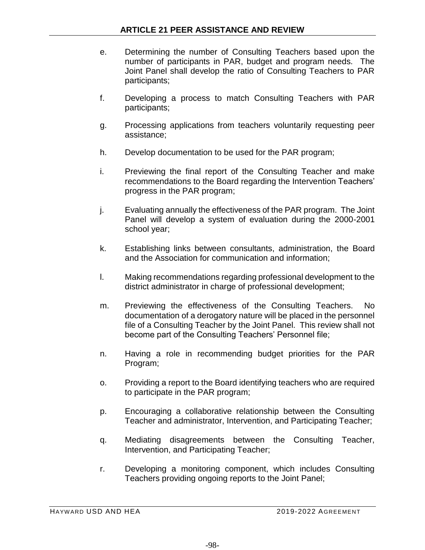- e. Determining the number of Consulting Teachers based upon the number of participants in PAR, budget and program needs. The Joint Panel shall develop the ratio of Consulting Teachers to PAR participants;
- f. Developing a process to match Consulting Teachers with PAR participants;
- g. Processing applications from teachers voluntarily requesting peer assistance;
- h. Develop documentation to be used for the PAR program;
- i. Previewing the final report of the Consulting Teacher and make recommendations to the Board regarding the Intervention Teachers' progress in the PAR program;
- j. Evaluating annually the effectiveness of the PAR program. The Joint Panel will develop a system of evaluation during the 2000-2001 school year;
- k. Establishing links between consultants, administration, the Board and the Association for communication and information;
- l. Making recommendations regarding professional development to the district administrator in charge of professional development;
- m. Previewing the effectiveness of the Consulting Teachers. No documentation of a derogatory nature will be placed in the personnel file of a Consulting Teacher by the Joint Panel. This review shall not become part of the Consulting Teachers' Personnel file;
- n. Having a role in recommending budget priorities for the PAR Program;
- o. Providing a report to the Board identifying teachers who are required to participate in the PAR program;
- p. Encouraging a collaborative relationship between the Consulting Teacher and administrator, Intervention, and Participating Teacher;
- q. Mediating disagreements between the Consulting Teacher, Intervention, and Participating Teacher;
- r. Developing a monitoring component, which includes Consulting Teachers providing ongoing reports to the Joint Panel;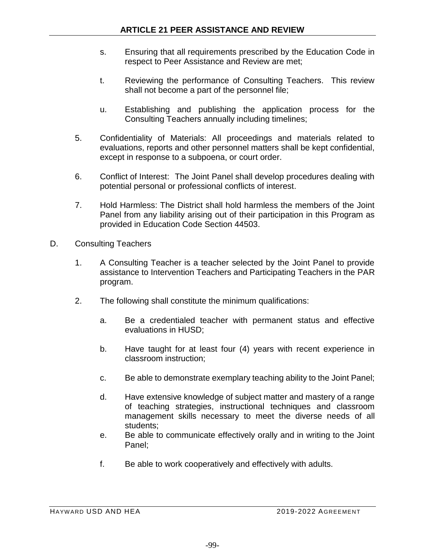- s. Ensuring that all requirements prescribed by the Education Code in respect to Peer Assistance and Review are met;
- t. Reviewing the performance of Consulting Teachers. This review shall not become a part of the personnel file;
- u. Establishing and publishing the application process for the Consulting Teachers annually including timelines;
- 5. Confidentiality of Materials: All proceedings and materials related to evaluations, reports and other personnel matters shall be kept confidential, except in response to a subpoena, or court order.
- 6. Conflict of Interest: The Joint Panel shall develop procedures dealing with potential personal or professional conflicts of interest.
- 7. Hold Harmless: The District shall hold harmless the members of the Joint Panel from any liability arising out of their participation in this Program as provided in Education Code Section 44503.
- D. Consulting Teachers
	- 1. A Consulting Teacher is a teacher selected by the Joint Panel to provide assistance to Intervention Teachers and Participating Teachers in the PAR program.
	- 2. The following shall constitute the minimum qualifications:
		- a. Be a credentialed teacher with permanent status and effective evaluations in HUSD;
		- b. Have taught for at least four (4) years with recent experience in classroom instruction;
		- c. Be able to demonstrate exemplary teaching ability to the Joint Panel;
		- d. Have extensive knowledge of subject matter and mastery of a range of teaching strategies, instructional techniques and classroom management skills necessary to meet the diverse needs of all students;
		- e. Be able to communicate effectively orally and in writing to the Joint Panel;
		- f. Be able to work cooperatively and effectively with adults.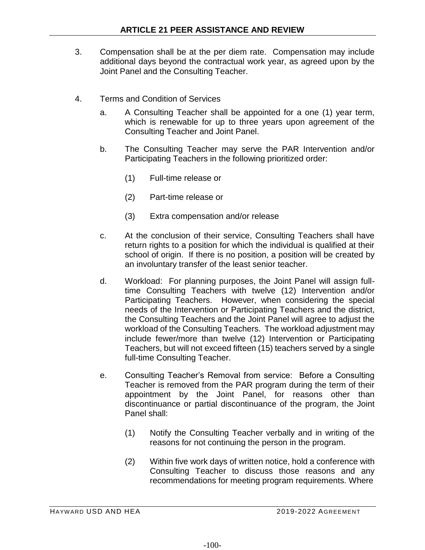- 3. Compensation shall be at the per diem rate. Compensation may include additional days beyond the contractual work year, as agreed upon by the Joint Panel and the Consulting Teacher.
- 4. Terms and Condition of Services
	- a. A Consulting Teacher shall be appointed for a one (1) year term, which is renewable for up to three years upon agreement of the Consulting Teacher and Joint Panel.
	- b. The Consulting Teacher may serve the PAR Intervention and/or Participating Teachers in the following prioritized order:
		- (1) Full-time release or
		- (2) Part-time release or
		- (3) Extra compensation and/or release
	- c. At the conclusion of their service, Consulting Teachers shall have return rights to a position for which the individual is qualified at their school of origin. If there is no position, a position will be created by an involuntary transfer of the least senior teacher.
	- d. Workload: For planning purposes, the Joint Panel will assign fulltime Consulting Teachers with twelve (12) Intervention and/or Participating Teachers. However, when considering the special needs of the Intervention or Participating Teachers and the district, the Consulting Teachers and the Joint Panel will agree to adjust the workload of the Consulting Teachers. The workload adjustment may include fewer/more than twelve (12) Intervention or Participating Teachers, but will not exceed fifteen (15) teachers served by a single full-time Consulting Teacher.
	- e. Consulting Teacher's Removal from service: Before a Consulting Teacher is removed from the PAR program during the term of their appointment by the Joint Panel, for reasons other than discontinuance or partial discontinuance of the program, the Joint Panel shall:
		- (1) Notify the Consulting Teacher verbally and in writing of the reasons for not continuing the person in the program.
		- (2) Within five work days of written notice, hold a conference with Consulting Teacher to discuss those reasons and any recommendations for meeting program requirements. Where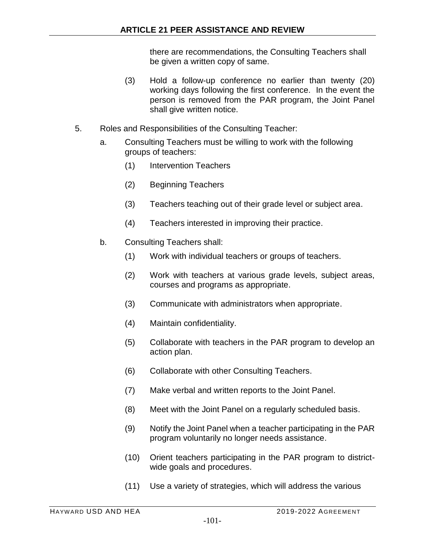there are recommendations, the Consulting Teachers shall be given a written copy of same.

- (3) Hold a follow-up conference no earlier than twenty (20) working days following the first conference. In the event the person is removed from the PAR program, the Joint Panel shall give written notice.
- 5. Roles and Responsibilities of the Consulting Teacher:
	- a. Consulting Teachers must be willing to work with the following groups of teachers:
		- (1) Intervention Teachers
		- (2) Beginning Teachers
		- (3) Teachers teaching out of their grade level or subject area.
		- (4) Teachers interested in improving their practice.
	- b. Consulting Teachers shall:
		- (1) Work with individual teachers or groups of teachers.
		- (2) Work with teachers at various grade levels, subject areas, courses and programs as appropriate.
		- (3) Communicate with administrators when appropriate.
		- (4) Maintain confidentiality.
		- (5) Collaborate with teachers in the PAR program to develop an action plan.
		- (6) Collaborate with other Consulting Teachers.
		- (7) Make verbal and written reports to the Joint Panel.
		- (8) Meet with the Joint Panel on a regularly scheduled basis.
		- (9) Notify the Joint Panel when a teacher participating in the PAR program voluntarily no longer needs assistance.
		- (10) Orient teachers participating in the PAR program to districtwide goals and procedures.
		- (11) Use a variety of strategies, which will address the various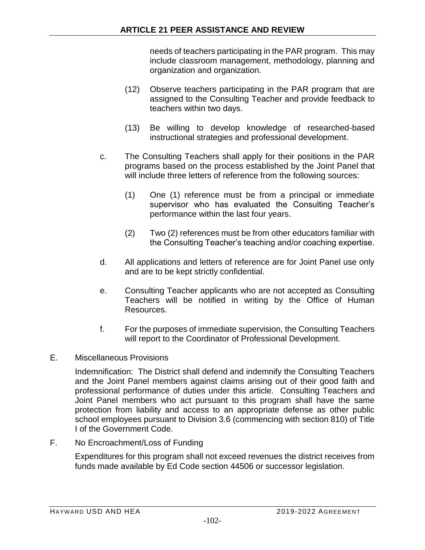needs of teachers participating in the PAR program. This may include classroom management, methodology, planning and organization and organization.

- (12) Observe teachers participating in the PAR program that are assigned to the Consulting Teacher and provide feedback to teachers within two days.
- (13) Be willing to develop knowledge of researched-based instructional strategies and professional development.
- c. The Consulting Teachers shall apply for their positions in the PAR programs based on the process established by the Joint Panel that will include three letters of reference from the following sources:
	- (1) One (1) reference must be from a principal or immediate supervisor who has evaluated the Consulting Teacher's performance within the last four years.
	- (2) Two (2) references must be from other educators familiar with the Consulting Teacher's teaching and/or coaching expertise.
- d. All applications and letters of reference are for Joint Panel use only and are to be kept strictly confidential.
- e. Consulting Teacher applicants who are not accepted as Consulting Teachers will be notified in writing by the Office of Human Resources.
- f. For the purposes of immediate supervision, the Consulting Teachers will report to the Coordinator of Professional Development.
- E. Miscellaneous Provisions

Indemnification: The District shall defend and indemnify the Consulting Teachers and the Joint Panel members against claims arising out of their good faith and professional performance of duties under this article. Consulting Teachers and Joint Panel members who act pursuant to this program shall have the same protection from liability and access to an appropriate defense as other public school employees pursuant to Division 3.6 (commencing with section 810) of Title I of the Government Code.

F. No Encroachment/Loss of Funding

Expenditures for this program shall not exceed revenues the district receives from funds made available by Ed Code section 44506 or successor legislation.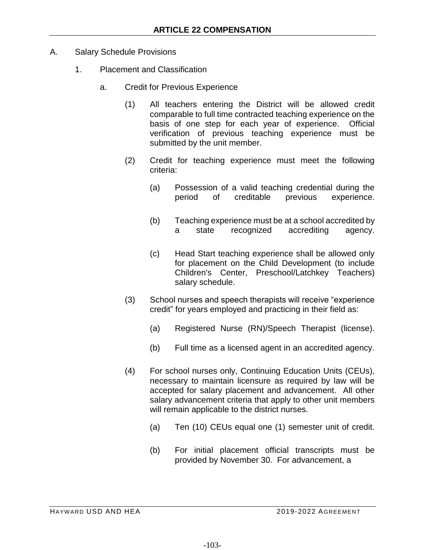- A. Salary Schedule Provisions
	- 1. Placement and Classification
		- a. Credit for Previous Experience
			- (1) All teachers entering the District will be allowed credit comparable to full time contracted teaching experience on the basis of one step for each year of experience. Official verification of previous teaching experience must be submitted by the unit member.
			- (2) Credit for teaching experience must meet the following criteria:
				- (a) Possession of a valid teaching credential during the period of creditable previous experience.
				- (b) Teaching experience must be at a school accredited by a state recognized accrediting agency.
				- (c) Head Start teaching experience shall be allowed only for placement on the Child Development (to include Children's Center, Preschool/Latchkey Teachers) salary schedule.
			- (3) School nurses and speech therapists will receive "experience credit" for years employed and practicing in their field as:
				- (a) Registered Nurse (RN)/Speech Therapist (license).
				- (b) Full time as a licensed agent in an accredited agency.
			- (4) For school nurses only, Continuing Education Units (CEUs), necessary to maintain licensure as required by law will be accepted for salary placement and advancement. All other salary advancement criteria that apply to other unit members will remain applicable to the district nurses.
				- (a) Ten (10) CEUs equal one (1) semester unit of credit.
				- (b) For initial placement official transcripts must be provided by November 30. For advancement, a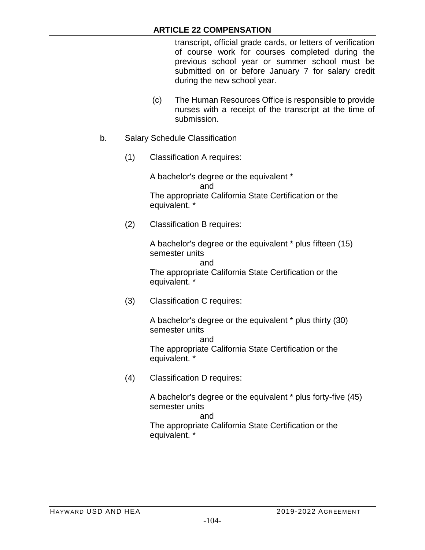transcript, official grade cards, or letters of verification of course work for courses completed during the previous school year or summer school must be submitted on or before January 7 for salary credit during the new school year.

- (c) The Human Resources Office is responsible to provide nurses with a receipt of the transcript at the time of submission.
- b. Salary Schedule Classification
	- (1) Classification A requires:

A bachelor's degree or the equivalent \* and The appropriate California State Certification or the equivalent. \*

(2) Classification B requires:

A bachelor's degree or the equivalent \* plus fifteen (15) semester units

and The appropriate California State Certification or the equivalent. \*

(3) Classification C requires:

A bachelor's degree or the equivalent \* plus thirty (30) semester units

and The appropriate California State Certification or the equivalent. \*

(4) Classification D requires:

A bachelor's degree or the equivalent \* plus forty-five (45) semester units

and The appropriate California State Certification or the equivalent. \*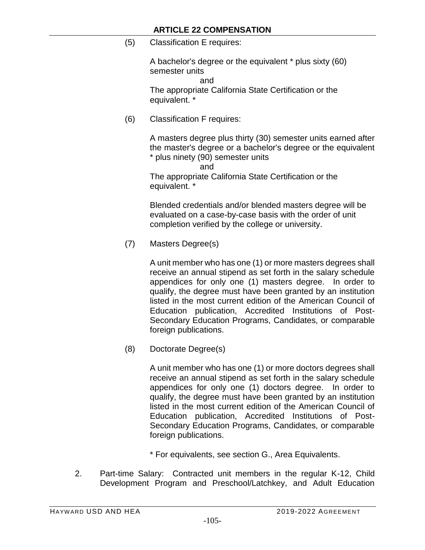(5) Classification E requires:

A bachelor's degree or the equivalent \* plus sixty (60) semester units

and

The appropriate California State Certification or the equivalent. \*

(6) Classification F requires:

A masters degree plus thirty (30) semester units earned after the master's degree or a bachelor's degree or the equivalent \* plus ninety (90) semester units

and

The appropriate California State Certification or the equivalent. \*

Blended credentials and/or blended masters degree will be evaluated on a case-by-case basis with the order of unit completion verified by the college or university.

(7) Masters Degree(s)

A unit member who has one (1) or more masters degrees shall receive an annual stipend as set forth in the salary schedule appendices for only one (1) masters degree. In order to qualify, the degree must have been granted by an institution listed in the most current edition of the American Council of Education publication, Accredited Institutions of Post-Secondary Education Programs, Candidates, or comparable foreign publications.

(8) Doctorate Degree(s)

A unit member who has one (1) or more doctors degrees shall receive an annual stipend as set forth in the salary schedule appendices for only one (1) doctors degree. In order to qualify, the degree must have been granted by an institution listed in the most current edition of the American Council of Education publication, Accredited Institutions of Post-Secondary Education Programs, Candidates, or comparable foreign publications.

\* For equivalents, see section G., Area Equivalents.

2. Part-time Salary: Contracted unit members in the regular K-12, Child Development Program and Preschool/Latchkey, and Adult Education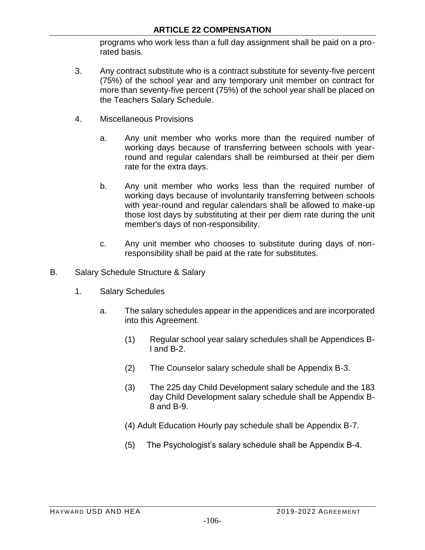programs who work less than a full day assignment shall be paid on a prorated basis.

- 3. Any contract substitute who is a contract substitute for seventy-five percent (75%) of the school year and any temporary unit member on contract for more than seventy-five percent (75%) of the school year shall be placed on the Teachers Salary Schedule.
- 4. Miscellaneous Provisions
	- a. Any unit member who works more than the required number of working days because of transferring between schools with yearround and regular calendars shall be reimbursed at their per diem rate for the extra days.
	- b. Any unit member who works less than the required number of working days because of involuntarily transferring between schools with year-round and regular calendars shall be allowed to make-up those lost days by substituting at their per diem rate during the unit member's days of non-responsibility.
	- c. Any unit member who chooses to substitute during days of nonresponsibility shall be paid at the rate for substitutes.
- B. Salary Schedule Structure & Salary
	- 1. Salary Schedules
		- a. The salary schedules appear in the appendices and are incorporated into this Agreement.
			- (1) Regular school year salary schedules shall be Appendices Bl and B-2.
			- (2) The Counselor salary schedule shall be Appendix B-3.
			- (3) The 225 day Child Development salary schedule and the 183 day Child Development salary schedule shall be Appendix B-8 and B-9.
			- (4) Adult Education Hourly pay schedule shall be Appendix B-7.
			- (5) The Psychologist's salary schedule shall be Appendix B-4.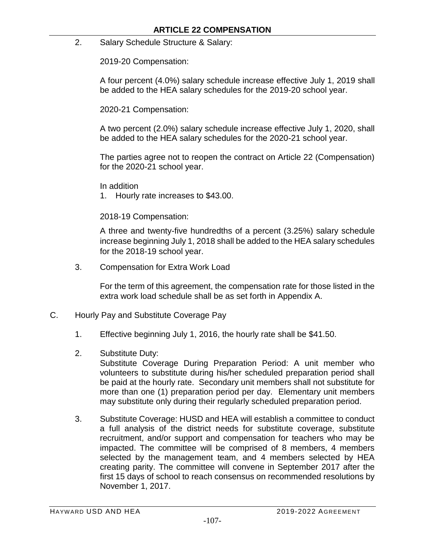2. Salary Schedule Structure & Salary:

2019-20 Compensation:

A four percent (4.0%) salary schedule increase effective July 1, 2019 shall be added to the HEA salary schedules for the 2019-20 school year.

2020-21 Compensation:

A two percent (2.0%) salary schedule increase effective July 1, 2020, shall be added to the HEA salary schedules for the 2020-21 school year.

The parties agree not to reopen the contract on Article 22 (Compensation) for the 2020-21 school year.

In addition

1. Hourly rate increases to \$43.00.

2018-19 Compensation:

A three and twenty-five hundredths of a percent (3.25%) salary schedule increase beginning July 1, 2018 shall be added to the HEA salary schedules for the 2018-19 school year.

3. Compensation for Extra Work Load

For the term of this agreement, the compensation rate for those listed in the extra work load schedule shall be as set forth in Appendix A.

- C. Hourly Pay and Substitute Coverage Pay
	- 1. Effective beginning July 1, 2016, the hourly rate shall be \$41.50.
	- 2. Substitute Duty:

Substitute Coverage During Preparation Period: A unit member who volunteers to substitute during his/her scheduled preparation period shall be paid at the hourly rate. Secondary unit members shall not substitute for more than one (1) preparation period per day. Elementary unit members may substitute only during their regularly scheduled preparation period.

3. Substitute Coverage: HUSD and HEA will establish a committee to conduct a full analysis of the district needs for substitute coverage, substitute recruitment, and/or support and compensation for teachers who may be impacted. The committee will be comprised of 8 members, 4 members selected by the management team, and 4 members selected by HEA creating parity. The committee will convene in September 2017 after the first 15 days of school to reach consensus on recommended resolutions by November 1, 2017.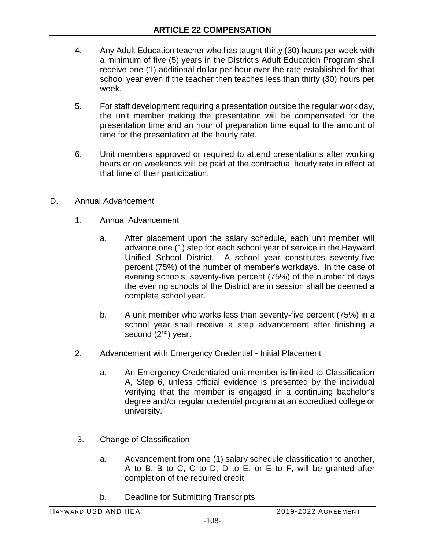- 4. Any Adult Education teacher who has taught thirty (30) hours per week with a minimum of five (5) years in the District's Adult Education Program shall receive one (1) additional dollar per hour over the rate established for that school year even if the teacher then teaches less than thirty (30) hours per week.
- 5. For staff development requiring a presentation outside the regular work day, the unit member making the presentation will be compensated for the presentation time and an hour of preparation time equal to the amount of time for the presentation at the hourly rate.
- 6. Unit members approved or required to attend presentations after working hours or on weekends will be paid at the contractual hourly rate in effect at that time of their participation.
- D. Annual Advancement
	- 1. Annual Advancement
		- a. After placement upon the salary schedule, each unit member will advance one (1) step for each school year of service in the Hayward Unified School District. A school year constitutes seventy-five percent (75%) of the number of member's workdays. In the case of evening schools, seventy-five percent (75%) of the number of days the evening schools of the District are in session shall be deemed a complete school year.
		- b. A unit member who works less than seventy-five percent (75%) in a school year shall receive a step advancement after finishing a second (2<sup>nd</sup>) year.
	- 2. Advancement with Emergency Credential Initial Placement
		- a. An Emergency Credentialed unit member is limited to Classification A, Step 6, unless official evidence is presented by the individual verifying that the member is engaged in a continuing bachelor's degree and/or regular credential program at an accredited college or university.
	- 3. Change of Classification
		- a. Advancement from one (1) salary schedule classification to another, A to B, B to C, C to D, D to E, or E to F, will be granted after completion of the required credit.
		- b. Deadline for Submitting Transcripts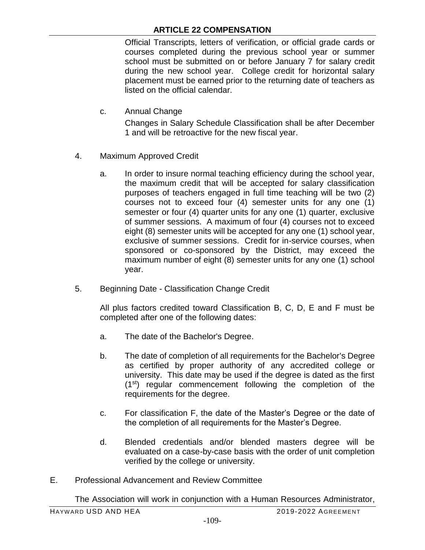## **ARTICLE 22 COMPENSATION**

Official Transcripts, letters of verification, or official grade cards or courses completed during the previous school year or summer school must be submitted on or before January 7 for salary credit during the new school year. College credit for horizontal salary placement must be earned prior to the returning date of teachers as listed on the official calendar.

c. Annual Change

Changes in Salary Schedule Classification shall be after December 1 and will be retroactive for the new fiscal year.

- 4. Maximum Approved Credit
	- a. In order to insure normal teaching efficiency during the school year, the maximum credit that will be accepted for salary classification purposes of teachers engaged in full time teaching will be two (2) courses not to exceed four (4) semester units for any one (1) semester or four (4) quarter units for any one (1) quarter, exclusive of summer sessions. A maximum of four (4) courses not to exceed eight (8) semester units will be accepted for any one (1) school year, exclusive of summer sessions. Credit for in-service courses, when sponsored or co-sponsored by the District, may exceed the maximum number of eight (8) semester units for any one (1) school year.
- 5. Beginning Date Classification Change Credit

All plus factors credited toward Classification B, C, D, E and F must be completed after one of the following dates:

- a. The date of the Bachelor's Degree.
- b. The date of completion of all requirements for the Bachelor's Degree as certified by proper authority of any accredited college or university. This date may be used if the degree is dated as the first (1st) regular commencement following the completion of the requirements for the degree.
- c. For classification F, the date of the Master's Degree or the date of the completion of all requirements for the Master's Degree.
- d. Blended credentials and/or blended masters degree will be evaluated on a case-by-case basis with the order of unit completion verified by the college or university.
- E. Professional Advancement and Review Committee

The Association will work in conjunction with a Human Resources Administrator,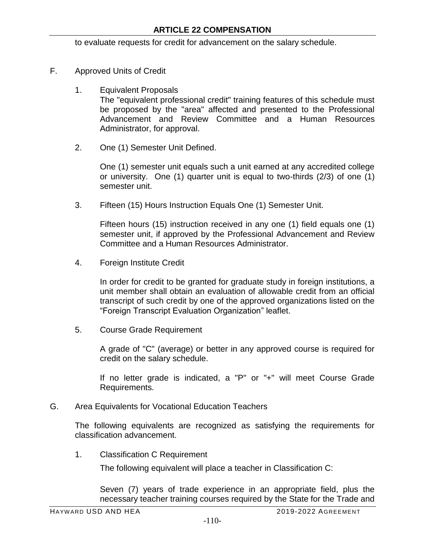to evaluate requests for credit for advancement on the salary schedule.

- F. Approved Units of Credit
	- 1. Equivalent Proposals The "equivalent professional credit" training features of this schedule must be proposed by the "area" affected and presented to the Professional Advancement and Review Committee and a Human Resources Administrator, for approval.
	- 2. One (1) Semester Unit Defined.

One (1) semester unit equals such a unit earned at any accredited college or university. One (1) quarter unit is equal to two-thirds (2/3) of one (1) semester unit.

3. Fifteen (15) Hours Instruction Equals One (1) Semester Unit.

Fifteen hours (15) instruction received in any one (1) field equals one (1) semester unit, if approved by the Professional Advancement and Review Committee and a Human Resources Administrator.

4. Foreign Institute Credit

In order for credit to be granted for graduate study in foreign institutions, a unit member shall obtain an evaluation of allowable credit from an official transcript of such credit by one of the approved organizations listed on the "Foreign Transcript Evaluation Organization" leaflet.

5. Course Grade Requirement

A grade of "C" (average) or better in any approved course is required for credit on the salary schedule.

If no letter grade is indicated, a "P" or "+" will meet Course Grade Requirements.

G. Area Equivalents for Vocational Education Teachers

The following equivalents are recognized as satisfying the requirements for classification advancement.

1. Classification C Requirement

The following equivalent will place a teacher in Classification C:

Seven (7) years of trade experience in an appropriate field, plus the necessary teacher training courses required by the State for the Trade and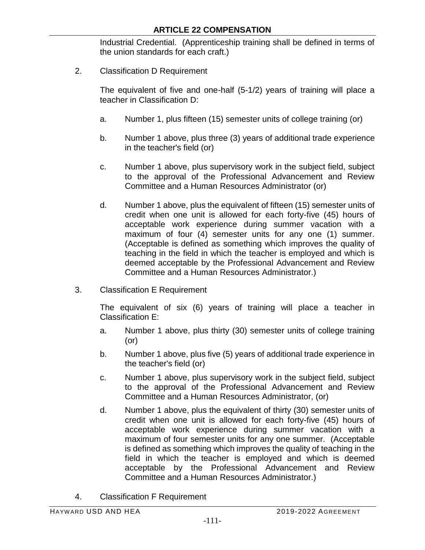Industrial Credential. (Apprenticeship training shall be defined in terms of the union standards for each craft.)

2. Classification D Requirement

The equivalent of five and one-half (5-1/2) years of training will place a teacher in Classification D:

- a. Number 1, plus fifteen (15) semester units of college training (or)
- b. Number 1 above, plus three (3) years of additional trade experience in the teacher's field (or)
- c. Number 1 above, plus supervisory work in the subject field, subject to the approval of the Professional Advancement and Review Committee and a Human Resources Administrator (or)
- d. Number 1 above, plus the equivalent of fifteen (15) semester units of credit when one unit is allowed for each forty-five (45) hours of acceptable work experience during summer vacation with a maximum of four (4) semester units for any one (1) summer. (Acceptable is defined as something which improves the quality of teaching in the field in which the teacher is employed and which is deemed acceptable by the Professional Advancement and Review Committee and a Human Resources Administrator.)
- 3. Classification E Requirement

The equivalent of six (6) years of training will place a teacher in Classification E:

- a. Number 1 above, plus thirty (30) semester units of college training (or)
- b. Number 1 above, plus five (5) years of additional trade experience in the teacher's field (or)
- c. Number 1 above, plus supervisory work in the subject field, subject to the approval of the Professional Advancement and Review Committee and a Human Resources Administrator, (or)
- d. Number 1 above, plus the equivalent of thirty (30) semester units of credit when one unit is allowed for each forty-five (45) hours of acceptable work experience during summer vacation with a maximum of four semester units for any one summer. (Acceptable is defined as something which improves the quality of teaching in the field in which the teacher is employed and which is deemed acceptable by the Professional Advancement and Review Committee and a Human Resources Administrator.)
- 4. Classification F Requirement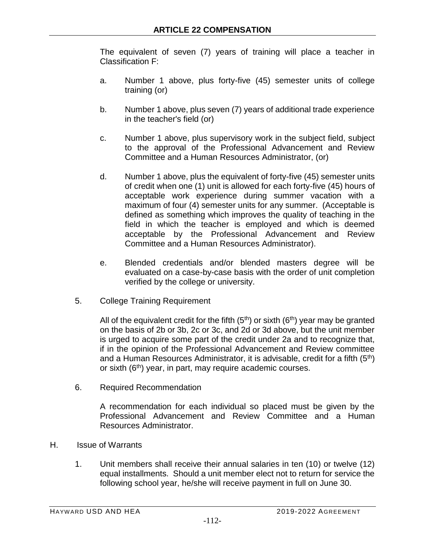The equivalent of seven (7) years of training will place a teacher in Classification F:

- a. Number 1 above, plus forty-five (45) semester units of college training (or)
- b. Number 1 above, plus seven (7) years of additional trade experience in the teacher's field (or)
- c. Number 1 above, plus supervisory work in the subject field, subject to the approval of the Professional Advancement and Review Committee and a Human Resources Administrator, (or)
- d. Number 1 above, plus the equivalent of forty-five (45) semester units of credit when one (1) unit is allowed for each forty-five (45) hours of acceptable work experience during summer vacation with a maximum of four (4) semester units for any summer. (Acceptable is defined as something which improves the quality of teaching in the field in which the teacher is employed and which is deemed acceptable by the Professional Advancement and Review Committee and a Human Resources Administrator).
- e. Blended credentials and/or blended masters degree will be evaluated on a case-by-case basis with the order of unit completion verified by the college or university.
- 5. College Training Requirement

All of the equivalent credit for the fifth  $(5<sup>th</sup>)$  or sixth  $(6<sup>th</sup>)$  year may be granted on the basis of 2b or 3b, 2c or 3c, and 2d or 3d above, but the unit member is urged to acquire some part of the credit under 2a and to recognize that, if in the opinion of the Professional Advancement and Review committee and a Human Resources Administrator, it is advisable, credit for a fifth  $(5<sup>th</sup>)$ or sixth (6<sup>th</sup>) year, in part, may require academic courses.

6. Required Recommendation

A recommendation for each individual so placed must be given by the Professional Advancement and Review Committee and a Human Resources Administrator.

- H. Issue of Warrants
	- 1. Unit members shall receive their annual salaries in ten (10) or twelve (12) equal installments. Should a unit member elect not to return for service the following school year, he/she will receive payment in full on June 30.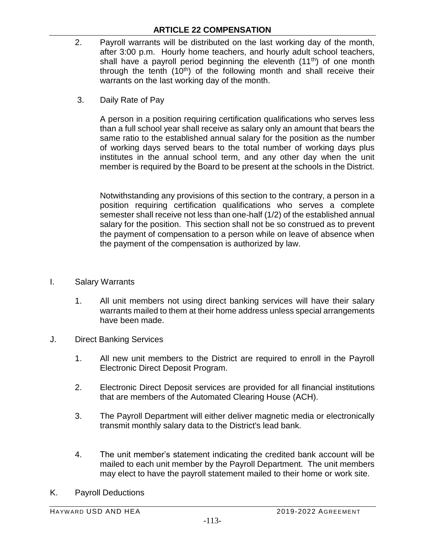## **ARTICLE 22 COMPENSATION**

- 2. Payroll warrants will be distributed on the last working day of the month, after 3:00 p.m. Hourly home teachers, and hourly adult school teachers, shall have a payroll period beginning the eleventh  $(11<sup>th</sup>)$  of one month through the tenth  $(10<sup>th</sup>)$  of the following month and shall receive their warrants on the last working day of the month.
	- 3. Daily Rate of Pay

A person in a position requiring certification qualifications who serves less than a full school year shall receive as salary only an amount that bears the same ratio to the established annual salary for the position as the number of working days served bears to the total number of working days plus institutes in the annual school term, and any other day when the unit member is required by the Board to be present at the schools in the District.

Notwithstanding any provisions of this section to the contrary, a person in a position requiring certification qualifications who serves a complete semester shall receive not less than one-half (1/2) of the established annual salary for the position. This section shall not be so construed as to prevent the payment of compensation to a person while on leave of absence when the payment of the compensation is authorized by law.

- I. Salary Warrants
	- 1. All unit members not using direct banking services will have their salary warrants mailed to them at their home address unless special arrangements have been made.
- J. Direct Banking Services
	- 1. All new unit members to the District are required to enroll in the Payroll Electronic Direct Deposit Program.
	- 2. Electronic Direct Deposit services are provided for all financial institutions that are members of the Automated Clearing House (ACH).
	- 3. The Payroll Department will either deliver magnetic media or electronically transmit monthly salary data to the District's lead bank.
	- 4. The unit member's statement indicating the credited bank account will be mailed to each unit member by the Payroll Department. The unit members may elect to have the payroll statement mailed to their home or work site.
- K. Payroll Deductions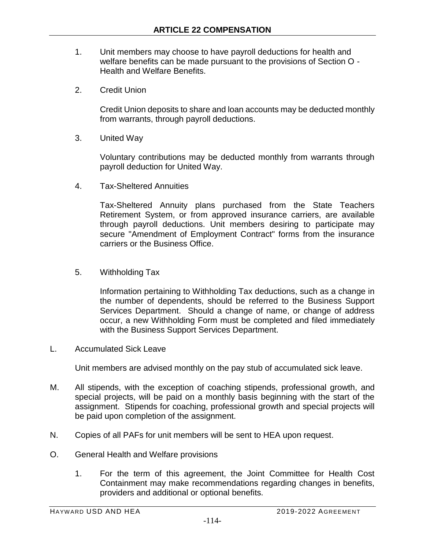- 1. Unit members may choose to have payroll deductions for health and welfare benefits can be made pursuant to the provisions of Section O - Health and Welfare Benefits.
- 2. Credit Union

Credit Union deposits to share and loan accounts may be deducted monthly from warrants, through payroll deductions.

3. United Way

Voluntary contributions may be deducted monthly from warrants through payroll deduction for United Way.

4. Tax-Sheltered Annuities

Tax-Sheltered Annuity plans purchased from the State Teachers Retirement System, or from approved insurance carriers, are available through payroll deductions. Unit members desiring to participate may secure "Amendment of Employment Contract" forms from the insurance carriers or the Business Office.

5. Withholding Tax

Information pertaining to Withholding Tax deductions, such as a change in the number of dependents, should be referred to the Business Support Services Department. Should a change of name, or change of address occur, a new Withholding Form must be completed and filed immediately with the Business Support Services Department.

L. Accumulated Sick Leave

Unit members are advised monthly on the pay stub of accumulated sick leave.

- M. All stipends, with the exception of coaching stipends, professional growth, and special projects, will be paid on a monthly basis beginning with the start of the assignment. Stipends for coaching, professional growth and special projects will be paid upon completion of the assignment.
- N. Copies of all PAFs for unit members will be sent to HEA upon request.
- O. General Health and Welfare provisions
	- 1. For the term of this agreement, the Joint Committee for Health Cost Containment may make recommendations regarding changes in benefits, providers and additional or optional benefits.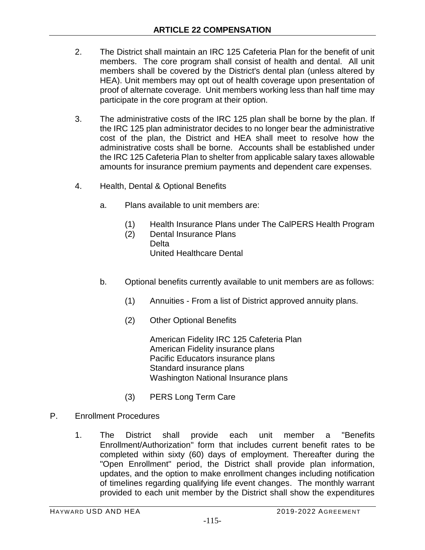- 2. The District shall maintain an IRC 125 Cafeteria Plan for the benefit of unit members. The core program shall consist of health and dental. All unit members shall be covered by the District's dental plan (unless altered by HEA). Unit members may opt out of health coverage upon presentation of proof of alternate coverage. Unit members working less than half time may participate in the core program at their option.
- 3. The administrative costs of the IRC 125 plan shall be borne by the plan. If the IRC 125 plan administrator decides to no longer bear the administrative cost of the plan, the District and HEA shall meet to resolve how the administrative costs shall be borne. Accounts shall be established under the IRC 125 Cafeteria Plan to shelter from applicable salary taxes allowable amounts for insurance premium payments and dependent care expenses.
- 4. Health, Dental & Optional Benefits
	- a. Plans available to unit members are:
		- (1) Health Insurance Plans under The CalPERS Health Program
		- (2) Dental Insurance Plans Delta United Healthcare Dental
	- b. Optional benefits currently available to unit members are as follows:
		- (1) Annuities From a list of District approved annuity plans.
		- (2) Other Optional Benefits

American Fidelity IRC 125 Cafeteria Plan American Fidelity insurance plans Pacific Educators insurance plans Standard insurance plans Washington National Insurance plans

- (3) PERS Long Term Care
- P. Enrollment Procedures
	- 1. The District shall provide each unit member a "Benefits Enrollment/Authorization" form that includes current benefit rates to be completed within sixty (60) days of employment. Thereafter during the "Open Enrollment" period, the District shall provide plan information, updates, and the option to make enrollment changes including notification of timelines regarding qualifying life event changes. The monthly warrant provided to each unit member by the District shall show the expenditures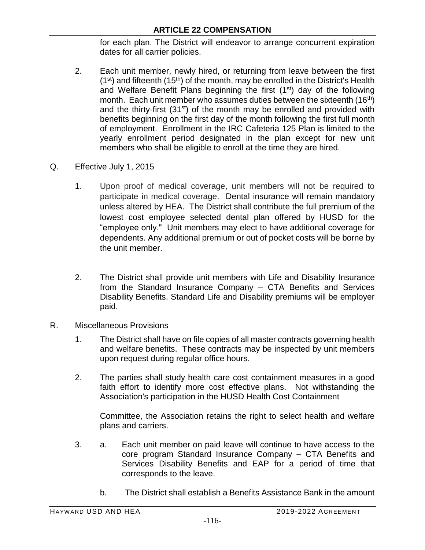for each plan. The District will endeavor to arrange concurrent expiration dates for all carrier policies.

- 2. Each unit member, newly hired, or returning from leave between the first  $(1<sup>st</sup>)$  and fifteenth  $(15<sup>th</sup>)$  of the month, may be enrolled in the District's Health and Welfare Benefit Plans beginning the first (1<sup>st</sup>) day of the following month. Each unit member who assumes duties between the sixteenth  $(16<sup>th</sup>)$ and the thirty-first (31<sup>st</sup>) of the month may be enrolled and provided with benefits beginning on the first day of the month following the first full month of employment. Enrollment in the IRC Cafeteria 125 Plan is limited to the yearly enrollment period designated in the plan except for new unit members who shall be eligible to enroll at the time they are hired.
- Q. Effective July 1, 2015
	- 1. Upon proof of medical coverage, unit members will not be required to participate in medical coverage. Dental insurance will remain mandatory unless altered by HEA. The District shall contribute the full premium of the lowest cost employee selected dental plan offered by HUSD for the "employee only." Unit members may elect to have additional coverage for dependents. Any additional premium or out of pocket costs will be borne by the unit member.
	- 2. The District shall provide unit members with Life and Disability Insurance from the Standard Insurance Company – CTA Benefits and Services Disability Benefits. Standard Life and Disability premiums will be employer paid.
- R. Miscellaneous Provisions
	- 1. The District shall have on file copies of all master contracts governing health and welfare benefits. These contracts may be inspected by unit members upon request during regular office hours.
	- 2. The parties shall study health care cost containment measures in a good faith effort to identify more cost effective plans. Not withstanding the Association's participation in the HUSD Health Cost Containment

Committee, the Association retains the right to select health and welfare plans and carriers.

- 3. a. Each unit member on paid leave will continue to have access to the core program Standard Insurance Company – CTA Benefits and Services Disability Benefits and EAP for a period of time that corresponds to the leave.
	- b. The District shall establish a Benefits Assistance Bank in the amount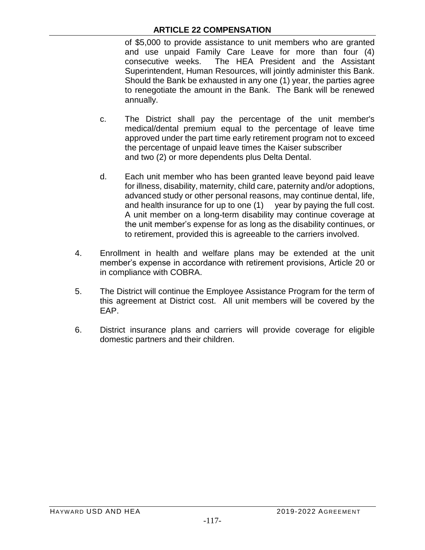of \$5,000 to provide assistance to unit members who are granted and use unpaid Family Care Leave for more than four (4) consecutive weeks. The HEA President and the Assistant Superintendent, Human Resources, will jointly administer this Bank. Should the Bank be exhausted in any one (1) year, the parties agree to renegotiate the amount in the Bank. The Bank will be renewed annually.

- c. The District shall pay the percentage of the unit member's medical/dental premium equal to the percentage of leave time approved under the part time early retirement program not to exceed the percentage of unpaid leave times the Kaiser subscriber and two (2) or more dependents plus Delta Dental.
- d. Each unit member who has been granted leave beyond paid leave for illness, disability, maternity, child care, paternity and/or adoptions, advanced study or other personal reasons, may continue dental, life, and health insurance for up to one (1) year by paying the full cost. A unit member on a long-term disability may continue coverage at the unit member's expense for as long as the disability continues, or to retirement, provided this is agreeable to the carriers involved.
- 4. Enrollment in health and welfare plans may be extended at the unit member's expense in accordance with retirement provisions, Article 20 or in compliance with COBRA.
- 5. The District will continue the Employee Assistance Program for the term of this agreement at District cost. All unit members will be covered by the EAP.
- 6. District insurance plans and carriers will provide coverage for eligible domestic partners and their children.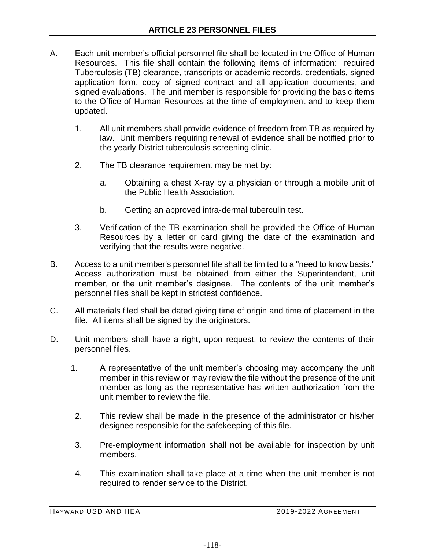- A. Each unit member's official personnel file shall be located in the Office of Human Resources. This file shall contain the following items of information: required Tuberculosis (TB) clearance, transcripts or academic records, credentials, signed application form, copy of signed contract and all application documents, and signed evaluations. The unit member is responsible for providing the basic items to the Office of Human Resources at the time of employment and to keep them updated.
	- 1. All unit members shall provide evidence of freedom from TB as required by law. Unit members requiring renewal of evidence shall be notified prior to the yearly District tuberculosis screening clinic.
	- 2. The TB clearance requirement may be met by:
		- a. Obtaining a chest X-ray by a physician or through a mobile unit of the Public Health Association.
		- b. Getting an approved intra-dermal tuberculin test.
	- 3. Verification of the TB examination shall be provided the Office of Human Resources by a letter or card giving the date of the examination and verifying that the results were negative.
- B. Access to a unit member's personnel file shall be limited to a "need to know basis." Access authorization must be obtained from either the Superintendent, unit member, or the unit member's designee. The contents of the unit member's personnel files shall be kept in strictest confidence.
- C. All materials filed shall be dated giving time of origin and time of placement in the file. All items shall be signed by the originators.
- D. Unit members shall have a right, upon request, to review the contents of their personnel files.
	- 1. A representative of the unit member's choosing may accompany the unit member in this review or may review the file without the presence of the unit member as long as the representative has written authorization from the unit member to review the file.
	- 2. This review shall be made in the presence of the administrator or his/her designee responsible for the safekeeping of this file.
	- 3. Pre-employment information shall not be available for inspection by unit members.
	- 4. This examination shall take place at a time when the unit member is not required to render service to the District.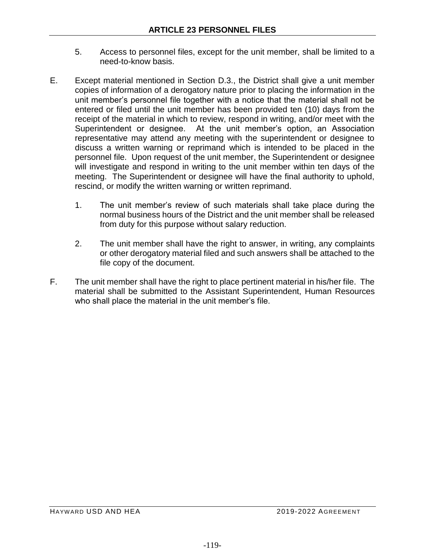- 5. Access to personnel files, except for the unit member, shall be limited to a need-to-know basis.
- E. Except material mentioned in Section D.3., the District shall give a unit member copies of information of a derogatory nature prior to placing the information in the unit member's personnel file together with a notice that the material shall not be entered or filed until the unit member has been provided ten (10) days from the receipt of the material in which to review, respond in writing, and/or meet with the Superintendent or designee. At the unit member's option, an Association representative may attend any meeting with the superintendent or designee to discuss a written warning or reprimand which is intended to be placed in the personnel file. Upon request of the unit member, the Superintendent or designee will investigate and respond in writing to the unit member within ten days of the meeting. The Superintendent or designee will have the final authority to uphold, rescind, or modify the written warning or written reprimand.
	- 1. The unit member's review of such materials shall take place during the normal business hours of the District and the unit member shall be released from duty for this purpose without salary reduction.
	- 2. The unit member shall have the right to answer, in writing, any complaints or other derogatory material filed and such answers shall be attached to the file copy of the document.
- F. The unit member shall have the right to place pertinent material in his/her file. The material shall be submitted to the Assistant Superintendent, Human Resources who shall place the material in the unit member's file.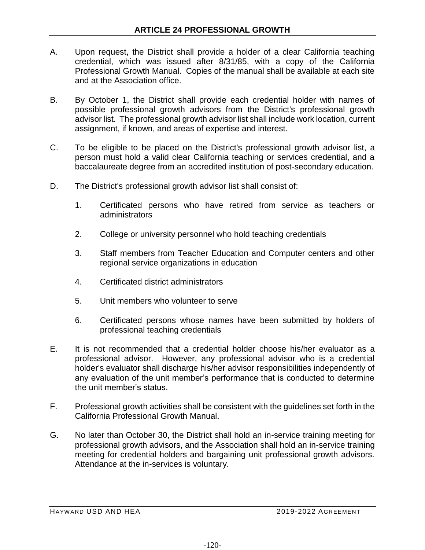- A. Upon request, the District shall provide a holder of a clear California teaching credential, which was issued after 8/31/85, with a copy of the California Professional Growth Manual. Copies of the manual shall be available at each site and at the Association office.
- B. By October 1, the District shall provide each credential holder with names of possible professional growth advisors from the District's professional growth advisor list. The professional growth advisor list shall include work location, current assignment, if known, and areas of expertise and interest.
- C. To be eligible to be placed on the District's professional growth advisor list, a person must hold a valid clear California teaching or services credential, and a baccalaureate degree from an accredited institution of post-secondary education.
- D. The District's professional growth advisor list shall consist of:
	- 1. Certificated persons who have retired from service as teachers or administrators
	- 2. College or university personnel who hold teaching credentials
	- 3. Staff members from Teacher Education and Computer centers and other regional service organizations in education
	- 4. Certificated district administrators
	- 5. Unit members who volunteer to serve
	- 6. Certificated persons whose names have been submitted by holders of professional teaching credentials
- E. It is not recommended that a credential holder choose his/her evaluator as a professional advisor. However, any professional advisor who is a credential holder's evaluator shall discharge his/her advisor responsibilities independently of any evaluation of the unit member's performance that is conducted to determine the unit member's status.
- F. Professional growth activities shall be consistent with the guidelines set forth in the California Professional Growth Manual.
- G. No later than October 30, the District shall hold an in-service training meeting for professional growth advisors, and the Association shall hold an in-service training meeting for credential holders and bargaining unit professional growth advisors. Attendance at the in-services is voluntary.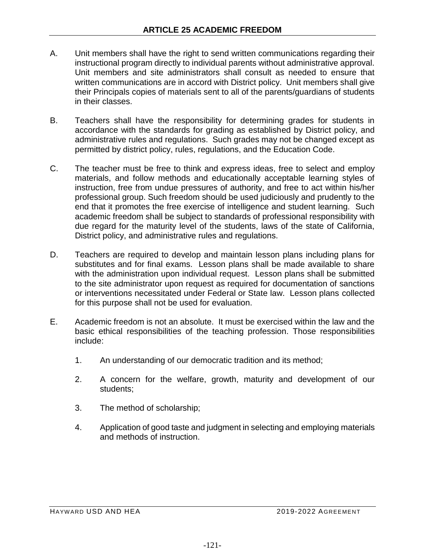- A. Unit members shall have the right to send written communications regarding their instructional program directly to individual parents without administrative approval. Unit members and site administrators shall consult as needed to ensure that written communications are in accord with District policy. Unit members shall give their Principals copies of materials sent to all of the parents/guardians of students in their classes.
- B. Teachers shall have the responsibility for determining grades for students in accordance with the standards for grading as established by District policy, and administrative rules and regulations. Such grades may not be changed except as permitted by district policy, rules, regulations, and the Education Code.
- C. The teacher must be free to think and express ideas, free to select and employ materials, and follow methods and educationally acceptable learning styles of instruction, free from undue pressures of authority, and free to act within his/her professional group. Such freedom should be used judiciously and prudently to the end that it promotes the free exercise of intelligence and student learning. Such academic freedom shall be subject to standards of professional responsibility with due regard for the maturity level of the students, laws of the state of California, District policy, and administrative rules and regulations.
- D. Teachers are required to develop and maintain lesson plans including plans for substitutes and for final exams. Lesson plans shall be made available to share with the administration upon individual request. Lesson plans shall be submitted to the site administrator upon request as required for documentation of sanctions or interventions necessitated under Federal or State law. Lesson plans collected for this purpose shall not be used for evaluation.
- E. Academic freedom is not an absolute. It must be exercised within the law and the basic ethical responsibilities of the teaching profession. Those responsibilities include:
	- 1. An understanding of our democratic tradition and its method;
	- 2. A concern for the welfare, growth, maturity and development of our students;
	- 3. The method of scholarship;
	- 4. Application of good taste and judgment in selecting and employing materials and methods of instruction.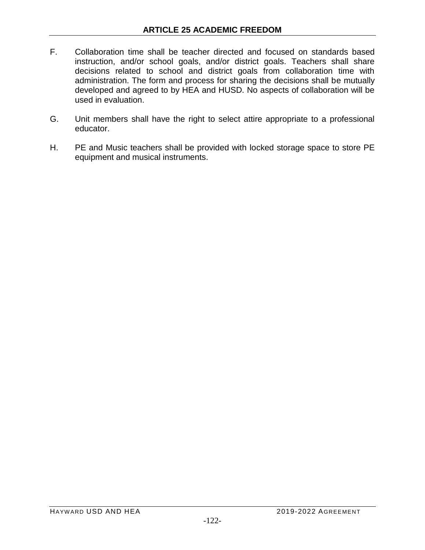- F. Collaboration time shall be teacher directed and focused on standards based instruction, and/or school goals, and/or district goals. Teachers shall share decisions related to school and district goals from collaboration time with administration. The form and process for sharing the decisions shall be mutually developed and agreed to by HEA and HUSD. No aspects of collaboration will be used in evaluation.
- G. Unit members shall have the right to select attire appropriate to a professional educator.
- H. PE and Music teachers shall be provided with locked storage space to store PE equipment and musical instruments.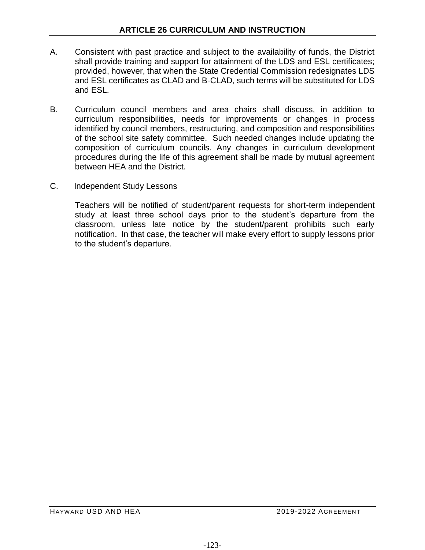- A. Consistent with past practice and subject to the availability of funds, the District shall provide training and support for attainment of the LDS and ESL certificates; provided, however, that when the State Credential Commission redesignates LDS and ESL certificates as CLAD and B-CLAD, such terms will be substituted for LDS and ESL.
- B. Curriculum council members and area chairs shall discuss, in addition to curriculum responsibilities, needs for improvements or changes in process identified by council members, restructuring, and composition and responsibilities of the school site safety committee. Such needed changes include updating the composition of curriculum councils. Any changes in curriculum development procedures during the life of this agreement shall be made by mutual agreement between HEA and the District.
- C. Independent Study Lessons

Teachers will be notified of student/parent requests for short-term independent study at least three school days prior to the student's departure from the classroom, unless late notice by the student/parent prohibits such early notification. In that case, the teacher will make every effort to supply lessons prior to the student's departure.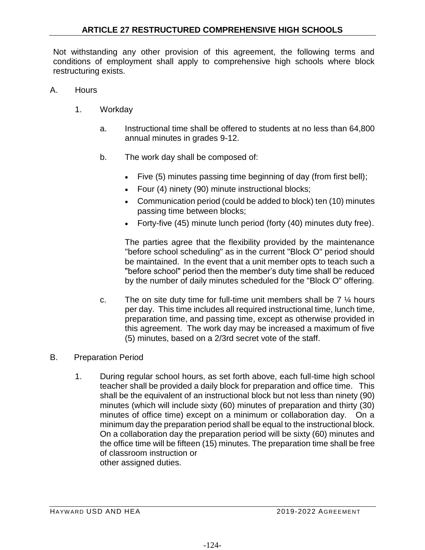Not withstanding any other provision of this agreement, the following terms and conditions of employment shall apply to comprehensive high schools where block restructuring exists.

- A. Hours
	- 1. Workday
		- a. Instructional time shall be offered to students at no less than 64,800 annual minutes in grades 9-12.
		- b. The work day shall be composed of:
			- Five (5) minutes passing time beginning of day (from first bell);
			- Four (4) ninety (90) minute instructional blocks;
			- Communication period (could be added to block) ten (10) minutes passing time between blocks;
			- Forty-five (45) minute lunch period (forty (40) minutes duty free).

The parties agree that the flexibility provided by the maintenance "before school scheduling" as in the current "Block O" period should be maintained. In the event that a unit member opts to teach such a "before school" period then the member's duty time shall be reduced by the number of daily minutes scheduled for the "Block O" offering.

- c. The on site duty time for full-time unit members shall be  $7\frac{1}{4}$  hours per day. This time includes all required instructional time, lunch time, preparation time, and passing time, except as otherwise provided in this agreement. The work day may be increased a maximum of five (5) minutes, based on a 2/3rd secret vote of the staff.
- B. Preparation Period
	- 1. During regular school hours, as set forth above, each full-time high school teacher shall be provided a daily block for preparation and office time. This shall be the equivalent of an instructional block but not less than ninety (90) minutes (which will include sixty (60) minutes of preparation and thirty (30) minutes of office time) except on a minimum or collaboration day. On a minimum day the preparation period shall be equal to the instructional block. On a collaboration day the preparation period will be sixty (60) minutes and the office time will be fifteen (15) minutes. The preparation time shall be free of classroom instruction or other assigned duties.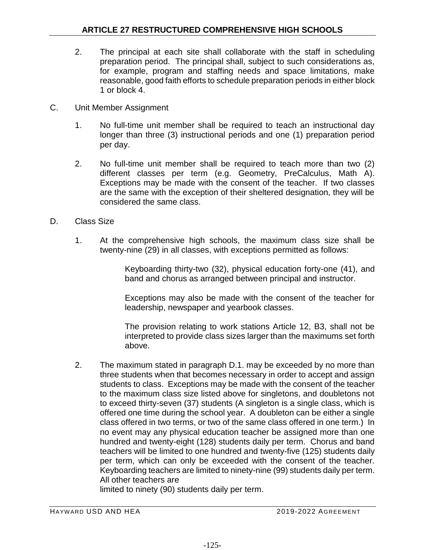- 2. The principal at each site shall collaborate with the staff in scheduling preparation period. The principal shall, subject to such considerations as, for example, program and staffing needs and space limitations, make reasonable, good faith efforts to schedule preparation periods in either block 1 or block 4.
- C. Unit Member Assignment
	- 1. No full-time unit member shall be required to teach an instructional day longer than three (3) instructional periods and one (1) preparation period per day.
	- 2. No full-time unit member shall be required to teach more than two (2) different classes per term (e.g. Geometry, PreCalculus, Math A). Exceptions may be made with the consent of the teacher. If two classes are the same with the exception of their sheltered designation, they will be considered the same class.
- D. Class Size
	- 1. At the comprehensive high schools, the maximum class size shall be twenty-nine (29) in all classes, with exceptions permitted as follows:

Keyboarding thirty-two (32), physical education forty-one (41), and band and chorus as arranged between principal and instructor.

Exceptions may also be made with the consent of the teacher for leadership, newspaper and yearbook classes.

The provision relating to work stations Article 12, B3, shall not be interpreted to provide class sizes larger than the maximums set forth above.

2. The maximum stated in paragraph D.1. may be exceeded by no more than three students when that becomes necessary in order to accept and assign students to class. Exceptions may be made with the consent of the teacher to the maximum class size listed above for singletons, and doubletons not to exceed thirty-seven (37) students (A singleton is a single class, which is offered one time during the school year. A doubleton can be either a single class offered in two terms, or two of the same class offered in one term.) In no event may any physical education teacher be assigned more than one hundred and twenty-eight (128) students daily per term. Chorus and band teachers will be limited to one hundred and twenty-five (125) students daily per term, which can only be exceeded with the consent of the teacher. Keyboarding teachers are limited to ninety-nine (99) students daily per term. All other teachers are

limited to ninety (90) students daily per term.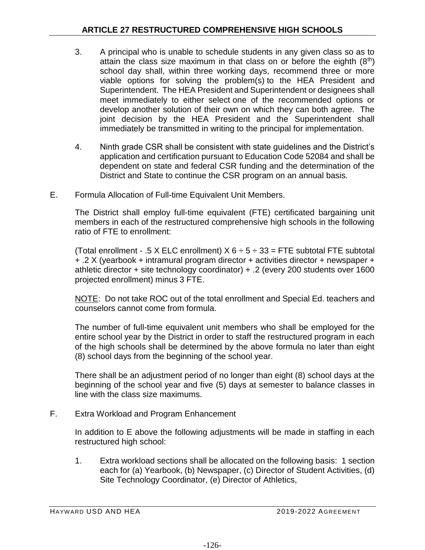- 3. A principal who is unable to schedule students in any given class so as to attain the class size maximum in that class on or before the eighth  $(8<sup>th</sup>)$ school day shall, within three working days, recommend three or more viable options for solving the problem(s) to the HEA President and Superintendent. The HEA President and Superintendent or designees shall meet immediately to either select one of the recommended options or develop another solution of their own on which they can both agree. The joint decision by the HEA President and the Superintendent shall immediately be transmitted in writing to the principal for implementation.
- 4. Ninth grade CSR shall be consistent with state guidelines and the District's application and certification pursuant to Education Code 52084 and shall be dependent on state and federal CSR funding and the determination of the District and State to continue the CSR program on an annual basis.
- E. Formula Allocation of Full-time Equivalent Unit Members.

The District shall employ full-time equivalent (FTE) certificated bargaining unit members in each of the restructured comprehensive high schools in the following ratio of FTE to enrollment:

(Total enrollment - .5 X ELC enrollment)  $X$  6  $\div$  5  $\div$  33 = FTE subtotal FTE subtotal + .2 X (yearbook + intramural program director + activities director + newspaper + athletic director + site technology coordinator) + .2 (every 200 students over 1600 projected enrollment) minus 3 FTE.

NOTE: Do not take ROC out of the total enrollment and Special Ed. teachers and counselors cannot come from formula.

The number of full-time equivalent unit members who shall be employed for the entire school year by the District in order to staff the restructured program in each of the high schools shall be determined by the above formula no later than eight (8) school days from the beginning of the school year.

There shall be an adjustment period of no longer than eight (8) school days at the beginning of the school year and five (5) days at semester to balance classes in line with the class size maximums.

F. Extra Workload and Program Enhancement

In addition to E above the following adjustments will be made in staffing in each restructured high school:

1. Extra workload sections shall be allocated on the following basis: 1 section each for (a) Yearbook, (b) Newspaper, (c) Director of Student Activities, (d) Site Technology Coordinator, (e) Director of Athletics,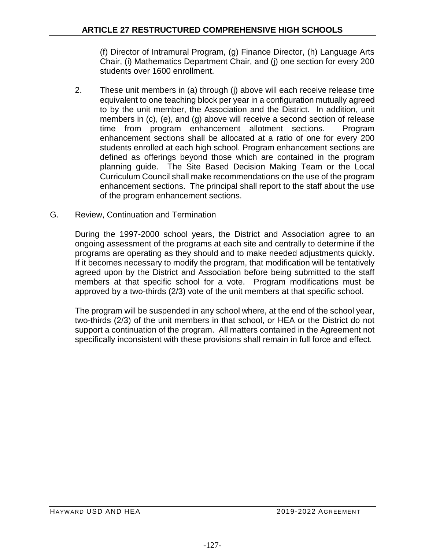(f) Director of Intramural Program, (g) Finance Director, (h) Language Arts Chair, (i) Mathematics Department Chair, and (j) one section for every 200 students over 1600 enrollment.

- 2. These unit members in (a) through (j) above will each receive release time equivalent to one teaching block per year in a configuration mutually agreed to by the unit member, the Association and the District. In addition, unit members in (c), (e), and (g) above will receive a second section of release time from program enhancement allotment sections. Program enhancement sections shall be allocated at a ratio of one for every 200 students enrolled at each high school. Program enhancement sections are defined as offerings beyond those which are contained in the program planning guide. The Site Based Decision Making Team or the Local Curriculum Council shall make recommendations on the use of the program enhancement sections. The principal shall report to the staff about the use of the program enhancement sections.
- G. Review, Continuation and Termination

During the 1997-2000 school years, the District and Association agree to an ongoing assessment of the programs at each site and centrally to determine if the programs are operating as they should and to make needed adjustments quickly. If it becomes necessary to modify the program, that modification will be tentatively agreed upon by the District and Association before being submitted to the staff members at that specific school for a vote. Program modifications must be approved by a two-thirds (2/3) vote of the unit members at that specific school.

The program will be suspended in any school where, at the end of the school year, two-thirds (2/3) of the unit members in that school, or HEA or the District do not support a continuation of the program. All matters contained in the Agreement not specifically inconsistent with these provisions shall remain in full force and effect.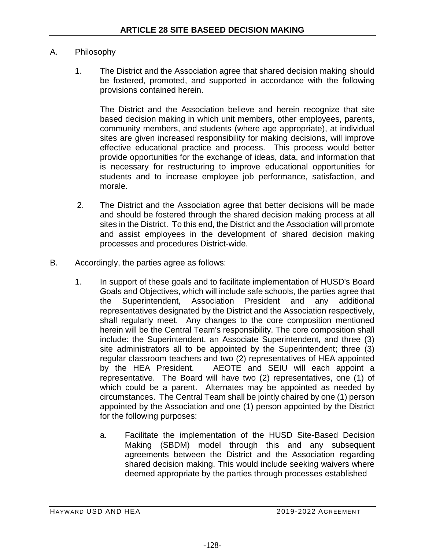## A. Philosophy

1. The District and the Association agree that shared decision making should be fostered, promoted, and supported in accordance with the following provisions contained herein.

The District and the Association believe and herein recognize that site based decision making in which unit members, other employees, parents, community members, and students (where age appropriate), at individual sites are given increased responsibility for making decisions, will improve effective educational practice and process. This process would better provide opportunities for the exchange of ideas, data, and information that is necessary for restructuring to improve educational opportunities for students and to increase employee job performance, satisfaction, and morale.

- 2. The District and the Association agree that better decisions will be made and should be fostered through the shared decision making process at all sites in the District. To this end, the District and the Association will promote and assist employees in the development of shared decision making processes and procedures District-wide.
- B. Accordingly, the parties agree as follows:
	- 1. In support of these goals and to facilitate implementation of HUSD's Board Goals and Objectives, which will include safe schools, the parties agree that the Superintendent, Association President and any additional representatives designated by the District and the Association respectively, shall regularly meet. Any changes to the core composition mentioned herein will be the Central Team's responsibility. The core composition shall include: the Superintendent, an Associate Superintendent, and three (3) site administrators all to be appointed by the Superintendent; three (3) regular classroom teachers and two (2) representatives of HEA appointed by the HEA President. AEOTE and SEIU will each appoint a representative. The Board will have two (2) representatives, one (1) of which could be a parent. Alternates may be appointed as needed by circumstances. The Central Team shall be jointly chaired by one (1) person appointed by the Association and one (1) person appointed by the District for the following purposes:
		- a. Facilitate the implementation of the HUSD Site-Based Decision Making (SBDM) model through this and any subsequent agreements between the District and the Association regarding shared decision making. This would include seeking waivers where deemed appropriate by the parties through processes established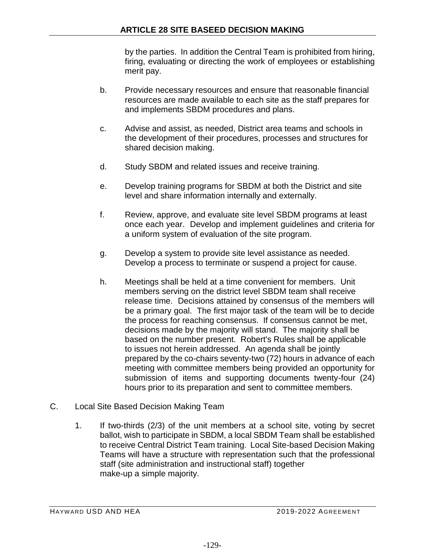by the parties. In addition the Central Team is prohibited from hiring, firing, evaluating or directing the work of employees or establishing merit pay.

- b. Provide necessary resources and ensure that reasonable financial resources are made available to each site as the staff prepares for and implements SBDM procedures and plans.
- c. Advise and assist, as needed, District area teams and schools in the development of their procedures, processes and structures for shared decision making.
- d. Study SBDM and related issues and receive training.
- e. Develop training programs for SBDM at both the District and site level and share information internally and externally.
- f. Review, approve, and evaluate site level SBDM programs at least once each year. Develop and implement guidelines and criteria for a uniform system of evaluation of the site program.
- g. Develop a system to provide site level assistance as needed. Develop a process to terminate or suspend a project for cause.
- h. Meetings shall be held at a time convenient for members. Unit members serving on the district level SBDM team shall receive release time. Decisions attained by consensus of the members will be a primary goal. The first major task of the team will be to decide the process for reaching consensus. If consensus cannot be met, decisions made by the majority will stand. The majority shall be based on the number present. Robert's Rules shall be applicable to issues not herein addressed. An agenda shall be jointly prepared by the co-chairs seventy-two (72) hours in advance of each meeting with committee members being provided an opportunity for submission of items and supporting documents twenty-four (24) hours prior to its preparation and sent to committee members.
- C. Local Site Based Decision Making Team
	- 1. If two-thirds (2/3) of the unit members at a school site, voting by secret ballot, wish to participate in SBDM, a local SBDM Team shall be established to receive Central District Team training. Local Site-based Decision Making Teams will have a structure with representation such that the professional staff (site administration and instructional staff) together make-up a simple majority.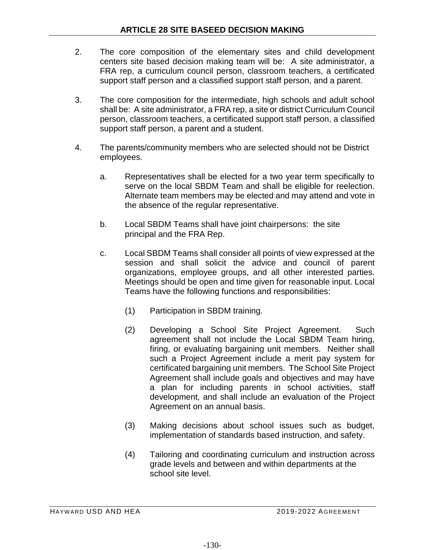- 2. The core composition of the elementary sites and child development centers site based decision making team will be: A site administrator, a FRA rep, a curriculum council person, classroom teachers, a certificated support staff person and a classified support staff person, and a parent.
- 3. The core composition for the intermediate, high schools and adult school shall be: A site administrator, a FRA rep, a site or district Curriculum Council person, classroom teachers, a certificated support staff person, a classified support staff person, a parent and a student.
- 4. The parents/community members who are selected should not be District employees.
	- a. Representatives shall be elected for a two year term specifically to serve on the local SBDM Team and shall be eligible for reelection. Alternate team members may be elected and may attend and vote in the absence of the regular representative.
	- b. Local SBDM Teams shall have joint chairpersons: the site principal and the FRA Rep.
	- c. Local SBDM Teams shall consider all points of view expressed at the session and shall solicit the advice and council of parent organizations, employee groups, and all other interested parties. Meetings should be open and time given for reasonable input. Local Teams have the following functions and responsibilities:
		- (1) Participation in SBDM training.
		- (2) Developing a School Site Project Agreement. Such agreement shall not include the Local SBDM Team hiring, firing, or evaluating bargaining unit members. Neither shall such a Project Agreement include a merit pay system for certificated bargaining unit members. The School Site Project Agreement shall include goals and objectives and may have a plan for including parents in school activities, staff development, and shall include an evaluation of the Project Agreement on an annual basis.
		- (3) Making decisions about school issues such as budget, implementation of standards based instruction, and safety.
		- (4) Tailoring and coordinating curriculum and instruction across grade levels and between and within departments at the school site level.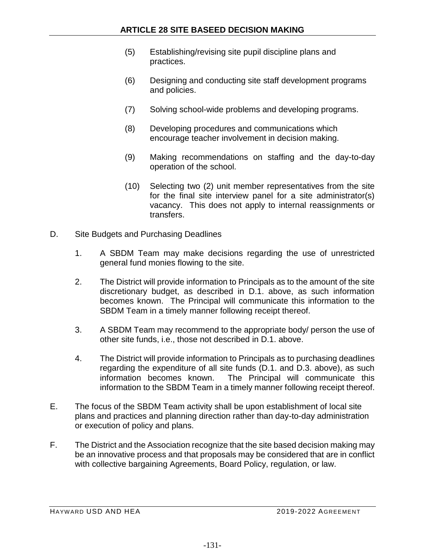- (5) Establishing/revising site pupil discipline plans and practices.
- (6) Designing and conducting site staff development programs and policies.
- (7) Solving school-wide problems and developing programs.
- (8) Developing procedures and communications which encourage teacher involvement in decision making.
- (9) Making recommendations on staffing and the day-to-day operation of the school.
- (10) Selecting two (2) unit member representatives from the site for the final site interview panel for a site administrator(s) vacancy. This does not apply to internal reassignments or transfers.
- D. Site Budgets and Purchasing Deadlines
	- 1. A SBDM Team may make decisions regarding the use of unrestricted general fund monies flowing to the site.
	- 2. The District will provide information to Principals as to the amount of the site discretionary budget, as described in D.1. above, as such information becomes known. The Principal will communicate this information to the SBDM Team in a timely manner following receipt thereof.
	- 3. A SBDM Team may recommend to the appropriate body/ person the use of other site funds, i.e., those not described in D.1. above.
	- 4. The District will provide information to Principals as to purchasing deadlines regarding the expenditure of all site funds (D.1. and D.3. above), as such information becomes known. The Principal will communicate this information to the SBDM Team in a timely manner following receipt thereof.
- E. The focus of the SBDM Team activity shall be upon establishment of local site plans and practices and planning direction rather than day-to-day administration or execution of policy and plans.
- F. The District and the Association recognize that the site based decision making may be an innovative process and that proposals may be considered that are in conflict with collective bargaining Agreements, Board Policy, regulation, or law.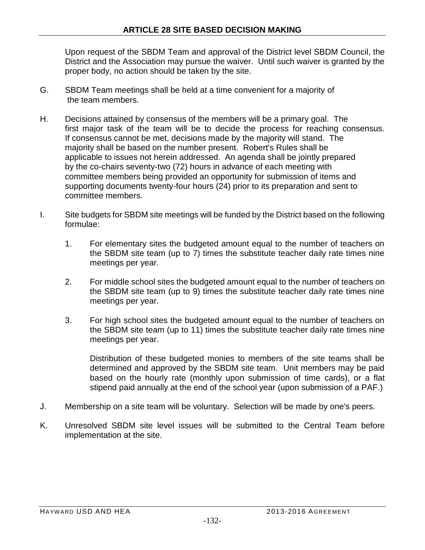Upon request of the SBDM Team and approval of the District level SBDM Council, the District and the Association may pursue the waiver. Until such waiver is granted by the proper body, no action should be taken by the site.

- G. SBDM Team meetings shall be held at a time convenient for a majority of the team members.
- H. Decisions attained by consensus of the members will be a primary goal. The first major task of the team will be to decide the process for reaching consensus. If consensus cannot be met, decisions made by the majority will stand. The majority shall be based on the number present. Robert's Rules shall be applicable to issues not herein addressed. An agenda shall be jointly prepared by the co-chairs seventy-two (72) hours in advance of each meeting with committee members being provided an opportunity for submission of items and supporting documents twenty-four hours (24) prior to its preparation and sent to committee members.
- I. Site budgets for SBDM site meetings will be funded by the District based on the following formulae:
	- 1. For elementary sites the budgeted amount equal to the number of teachers on the SBDM site team (up to 7) times the substitute teacher daily rate times nine meetings per year.
	- 2. For middle school sites the budgeted amount equal to the number of teachers on the SBDM site team (up to 9) times the substitute teacher daily rate times nine meetings per year.
	- 3. For high school sites the budgeted amount equal to the number of teachers on the SBDM site team (up to 11) times the substitute teacher daily rate times nine meetings per year.

Distribution of these budgeted monies to members of the site teams shall be determined and approved by the SBDM site team. Unit members may be paid based on the hourly rate (monthly upon submission of time cards), or a flat stipend paid annually at the end of the school year (upon submission of a PAF.)

- J. Membership on a site team will be voluntary. Selection will be made by one's peers.
- K. Unresolved SBDM site level issues will be submitted to the Central Team before implementation at the site.